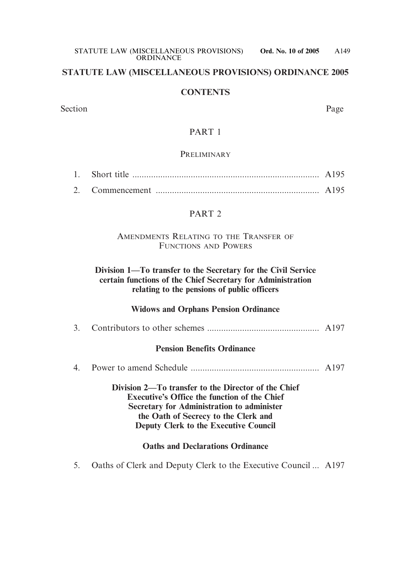### **STATUTE LAW (MISCELLANEOUS PROVISIONS) ORDINANCE 2005**

#### **CONTENTS**

Section Page

### PART 1

#### PRELIMINARY

### PART 2

### AMENDMENTS RELATING TO THE TRANSFER OF FUNCTIONS AND POWERS

### **Division 1—To transfer to the Secretary for the Civil Service certain functions of the Chief Secretary for Administration relating to the pensions of public officers**

### **Widows and Orphans Pension Ordinance**

3. Contributors to other schemes ................................................ A197

### **Pension Benefits Ordinance**

4. Power to amend Schedule ....................................................... A197

**Division 2—To transfer to the Director of the Chief Executive's Office the function of the Chief Secretary for Administration to administer the Oath of Secrecy to the Clerk and Deputy Clerk to the Executive Council** 

### **Oaths and Declarations Ordinance**

5. Oaths of Clerk and Deputy Clerk to the Executive Council ... A197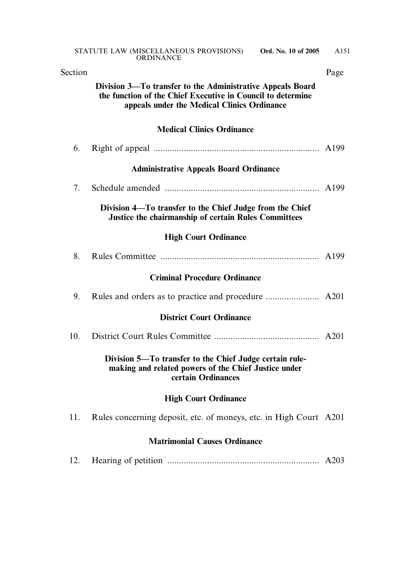| Section |                                                                                                                                                                          | Page |
|---------|--------------------------------------------------------------------------------------------------------------------------------------------------------------------------|------|
|         | Division 3—To transfer to the Administrative Appeals Board<br>the function of the Chief Executive in Council to determine<br>appeals under the Medical Clinics Ordinance |      |
|         | <b>Medical Clinics Ordinance</b>                                                                                                                                         |      |
| 6.      |                                                                                                                                                                          |      |
|         | <b>Administrative Appeals Board Ordinance</b>                                                                                                                            |      |
| 7.      |                                                                                                                                                                          |      |
|         | Division 4—To transfer to the Chief Judge from the Chief<br><b>Justice the chairmanship of certain Rules Committees</b>                                                  |      |
|         | <b>High Court Ordinance</b>                                                                                                                                              |      |
| 8.      |                                                                                                                                                                          |      |
|         | <b>Criminal Procedure Ordinance</b>                                                                                                                                      |      |
| 9.      |                                                                                                                                                                          |      |
|         | <b>District Court Ordinance</b>                                                                                                                                          |      |
| 10.     |                                                                                                                                                                          |      |
|         | Division 5—To transfer to the Chief Judge certain rule-<br>making and related powers of the Chief Justice under<br>certain Ordinances                                    |      |
|         | <b>High Court Ordinance</b>                                                                                                                                              |      |
| 11.     | Rules concerning deposit, etc. of moneys, etc. in High Court A201                                                                                                        |      |
|         | <b>Matrimonial Causes Ordinance</b>                                                                                                                                      |      |
| 12.     |                                                                                                                                                                          | A203 |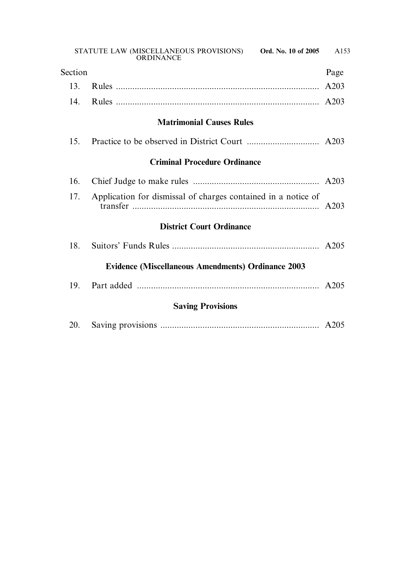| Section |                                                               | Page |
|---------|---------------------------------------------------------------|------|
| 13.     |                                                               | A203 |
| 14.     |                                                               |      |
|         | <b>Matrimonial Causes Rules</b>                               |      |
| 15.     |                                                               |      |
|         | <b>Criminal Procedure Ordinance</b>                           |      |
| 16.     |                                                               |      |
| 17.     | Application for dismissal of charges contained in a notice of |      |
|         | <b>District Court Ordinance</b>                               |      |
| 18.     |                                                               |      |
|         | <b>Evidence (Miscellaneous Amendments) Ordinance 2003</b>     |      |
| 19.     |                                                               |      |
|         | <b>Saving Provisions</b>                                      |      |
| 20.     |                                                               |      |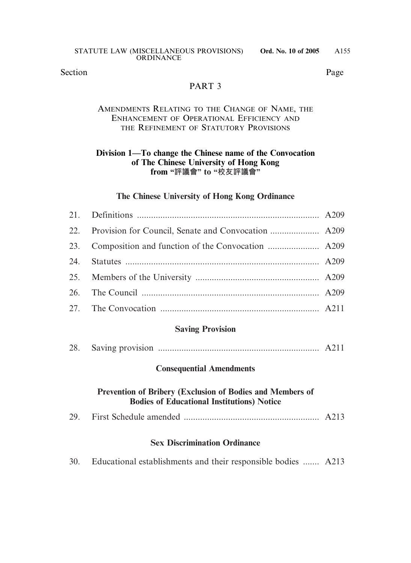Section Page

### PART<sub>3</sub>

### AMENDMENTS RELATING TO THE CHANGE OF NAME, THE ENHANCEMENT OF OPERATIONAL EFFICIENCY AND THE REFINEMENT OF STATUTORY PROVISIONS

### **Division 1—To change the Chinese name of the Convocation of The Chinese University of Hong Kong from "評議會" to "校友評議會"**

### **The Chinese University of Hong Kong Ordinance**

### **Saving Provision**

| 28. |  |  |  |
|-----|--|--|--|
|-----|--|--|--|

#### **Consequential Amendments**

### **Prevention of Bribery (Exclusion of Bodies and Members of Bodies of Educational Institutions) Notice**

|--|--|

### **Sex Discrimination Ordinance**

| 30. |  | Educational establishments and their responsible bodies  A213 |  |  |  |  |  |  |
|-----|--|---------------------------------------------------------------|--|--|--|--|--|--|
|-----|--|---------------------------------------------------------------|--|--|--|--|--|--|

A155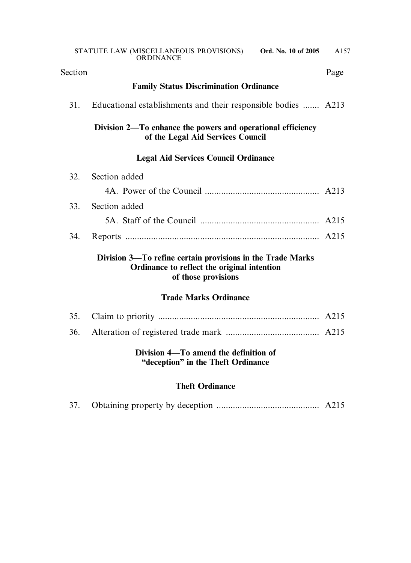| Section |                                                                                                                                  | Page |
|---------|----------------------------------------------------------------------------------------------------------------------------------|------|
|         | <b>Family Status Discrimination Ordinance</b>                                                                                    |      |
| 31.     | Educational establishments and their responsible bodies  A213                                                                    |      |
|         | Division 2—To enhance the powers and operational efficiency<br>of the Legal Aid Services Council                                 |      |
|         | <b>Legal Aid Services Council Ordinance</b>                                                                                      |      |
| 32.     | Section added                                                                                                                    |      |
|         |                                                                                                                                  |      |
| 33.     | Section added                                                                                                                    |      |
|         |                                                                                                                                  |      |
| 34.     |                                                                                                                                  |      |
|         | Division 3—To refine certain provisions in the Trade Marks<br>Ordinance to reflect the original intention<br>of those provisions |      |
|         | <b>Trade Marks Ordinance</b>                                                                                                     |      |
| 35.     |                                                                                                                                  |      |
| 36.     |                                                                                                                                  |      |
|         | Division 4—To amend the definition of<br>"deception" in the Theft Ordinance                                                      |      |
|         | <b>Theft Ordinance</b>                                                                                                           |      |
| 37.     |                                                                                                                                  |      |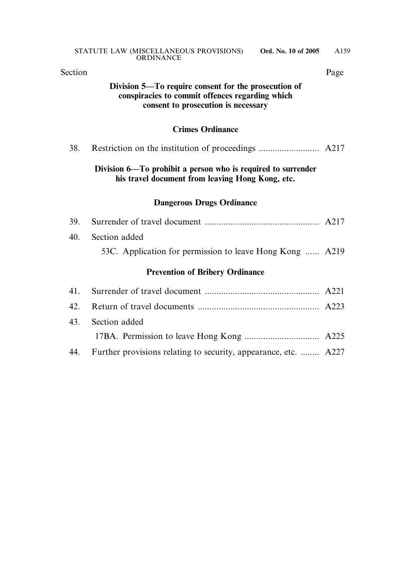| Section |                                                                                                                                                | Page |
|---------|------------------------------------------------------------------------------------------------------------------------------------------------|------|
|         | Division 5—To require consent for the prosecution of<br>conspiracies to commit offences regarding which<br>consent to prosecution is necessary |      |
|         | <b>Crimes Ordinance</b>                                                                                                                        |      |
| 38.     |                                                                                                                                                |      |
|         | Division 6—To prohibit a person who is required to surrender<br>his travel document from leaving Hong Kong, etc.                               |      |
|         | <b>Dangerous Drugs Ordinance</b>                                                                                                               |      |
| 39.     |                                                                                                                                                |      |
| 40.     | Section added                                                                                                                                  |      |
|         | 53C. Application for permission to leave Hong Kong  A219                                                                                       |      |
|         | <b>Prevention of Bribery Ordinance</b>                                                                                                         |      |
| 41.     |                                                                                                                                                |      |
| 42.     |                                                                                                                                                |      |
| 43.     | Section added                                                                                                                                  |      |
|         |                                                                                                                                                |      |

44. Further provisions relating to security, appearance, etc. ........ A227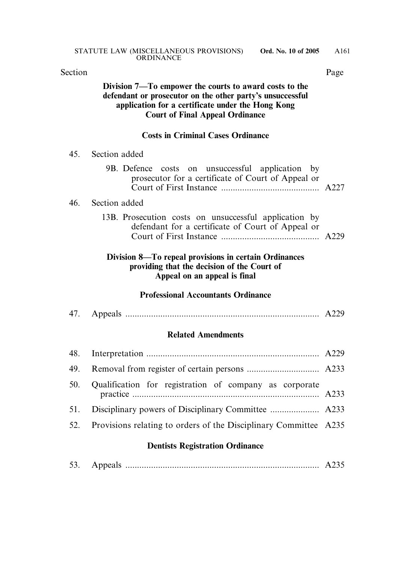| Section |                                                                                                                                                                                                                    | Page |
|---------|--------------------------------------------------------------------------------------------------------------------------------------------------------------------------------------------------------------------|------|
|         | Division 7—To empower the courts to award costs to the<br>defendant or prosecutor on the other party's unsuccessful<br>application for a certificate under the Hong Kong<br><b>Court of Final Appeal Ordinance</b> |      |
|         | <b>Costs in Criminal Cases Ordinance</b>                                                                                                                                                                           |      |
| 45.     | Section added                                                                                                                                                                                                      |      |
|         | 9B. Defence costs on unsuccessful application by<br>prosecutor for a certificate of Court of Appeal or                                                                                                             |      |
| 46.     | Section added                                                                                                                                                                                                      |      |
|         | 13B. Prosecution costs on unsuccessful application by<br>defendant for a certificate of Court of Appeal or                                                                                                         |      |
|         | Division 8—To repeal provisions in certain Ordinances<br>providing that the decision of the Court of<br>Appeal on an appeal is final                                                                               |      |
|         | <b>Professional Accountants Ordinance</b>                                                                                                                                                                          |      |
| 47.     |                                                                                                                                                                                                                    |      |
|         | <b>Related Amendments</b>                                                                                                                                                                                          |      |
| 48.     |                                                                                                                                                                                                                    |      |
| 49.     |                                                                                                                                                                                                                    |      |
| 50.     | Qualification for registration of company as corporate                                                                                                                                                             | A233 |
| 51.     |                                                                                                                                                                                                                    |      |
| 52.     | Provisions relating to orders of the Disciplinary Committee A235                                                                                                                                                   |      |
|         | <b>Dentists Registration Ordinance</b>                                                                                                                                                                             |      |
| 53.     |                                                                                                                                                                                                                    | A235 |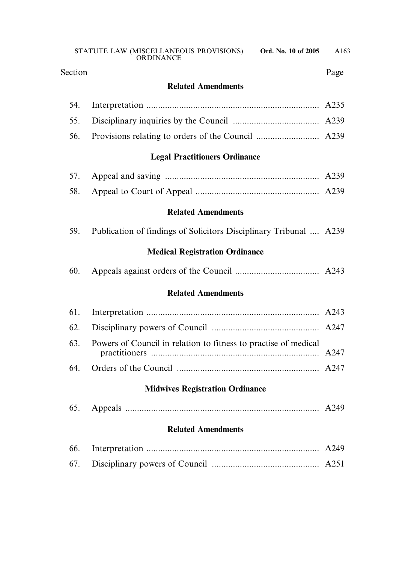Section Page

# **Related Amendments**

# **Legal Practitioners Ordinance**

# **Related Amendments**

| 59. |  |  |  | Publication of findings of Solicitors Disciplinary Tribunal  A239 |  |  |  |
|-----|--|--|--|-------------------------------------------------------------------|--|--|--|
|-----|--|--|--|-------------------------------------------------------------------|--|--|--|

# **Medical Registration Ordinance**

| 60. |  |
|-----|--|
|     |  |

# **Related Amendments**

| 63. Powers of Council in relation to fitness to practise of medical |  |
|---------------------------------------------------------------------|--|
|                                                                     |  |

### **Midwives Registration Ordinance**

| 65. |  |  |  |
|-----|--|--|--|
|-----|--|--|--|

### **Related Amendments**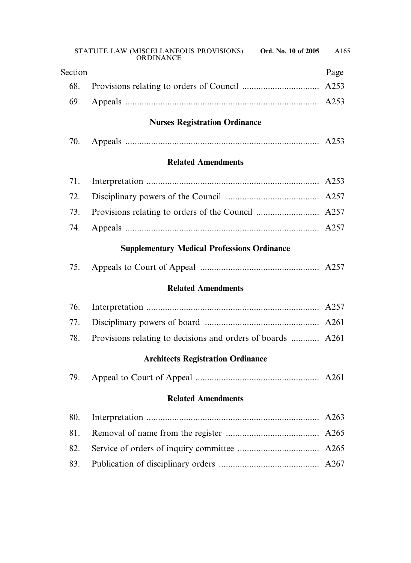| Section |                                                             | Page |
|---------|-------------------------------------------------------------|------|
| 68.     |                                                             | A253 |
| 69.     |                                                             |      |
|         | <b>Nurses Registration Ordinance</b>                        |      |
| 70.     |                                                             |      |
|         | <b>Related Amendments</b>                                   |      |
| 71.     |                                                             |      |
| 72.     |                                                             |      |
| 73.     |                                                             |      |
| 74.     |                                                             |      |
|         | <b>Supplementary Medical Professions Ordinance</b>          |      |
| 75.     |                                                             |      |
|         | <b>Related Amendments</b>                                   |      |
| 76.     |                                                             |      |
| 77.     |                                                             |      |
| 78.     | Provisions relating to decisions and orders of boards  A261 |      |
|         | <b>Architects Registration Ordinance</b>                    |      |
| 79.     |                                                             |      |
|         | <b>Related Amendments</b>                                   |      |
| 80.     |                                                             |      |
| 81.     |                                                             |      |
| 82.     |                                                             |      |
| 83.     |                                                             |      |
|         |                                                             |      |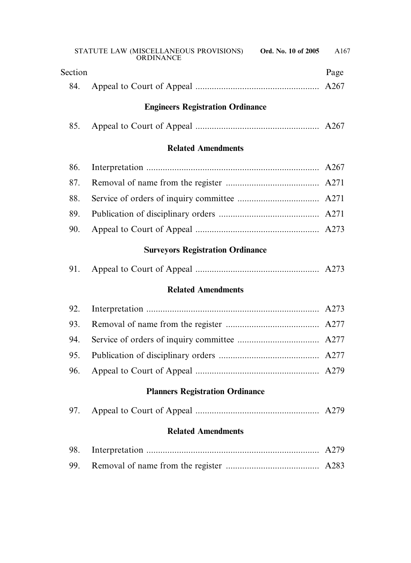|         | STATUTE LAW (MISCELLANEOUS PROVISIONS) Ord. No. 10 of 2005<br>ORDINANCE | A167 |
|---------|-------------------------------------------------------------------------|------|
| Section |                                                                         | Page |
| 84.     |                                                                         |      |
|         | <b>Engineers Registration Ordinance</b>                                 |      |
| 85.     |                                                                         |      |
|         | <b>Related Amendments</b>                                               |      |
| 86.     |                                                                         |      |
| 87.     |                                                                         |      |
| 88.     |                                                                         |      |
| 89.     |                                                                         |      |
| 90.     |                                                                         |      |
|         | <b>Surveyors Registration Ordinance</b>                                 |      |
| 91.     |                                                                         |      |
|         | <b>Related Amendments</b>                                               |      |
| 92.     |                                                                         |      |
| 93.     |                                                                         |      |
| 94.     |                                                                         |      |
| 95.     |                                                                         |      |
| 96.     |                                                                         |      |
|         | <b>Planners Registration Ordinance</b>                                  |      |
| 97.     |                                                                         |      |
|         | <b>Related Amendments</b>                                               |      |
| 98.     |                                                                         | A279 |
| 99.     |                                                                         | A283 |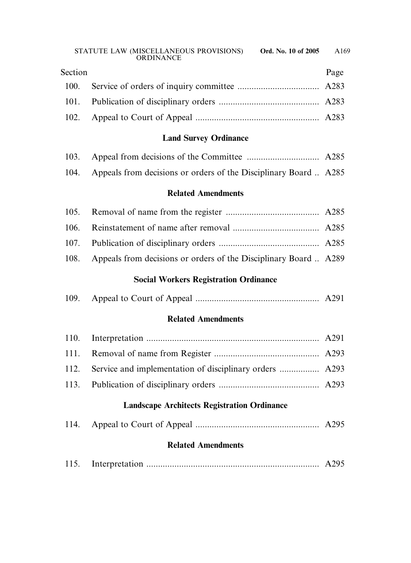| Section | Page |
|---------|------|
|         |      |
|         |      |
|         |      |

# **Land Survey Ordinance**

| 104. Appeals from decisions or orders of the Disciplinary Board  A285 |  |
|-----------------------------------------------------------------------|--|

#### **Related Amendments**

| 108. Appeals from decisions or orders of the Disciplinary Board  A289 |  |
|-----------------------------------------------------------------------|--|

# **Social Workers Registration Ordinance**

| 109. |  |  |  |
|------|--|--|--|
|      |  |  |  |

# **Related Amendments**

# **Landscape Architects Registration Ordinance**

|--|--|--|

# **Related Amendments**

|--|--|--|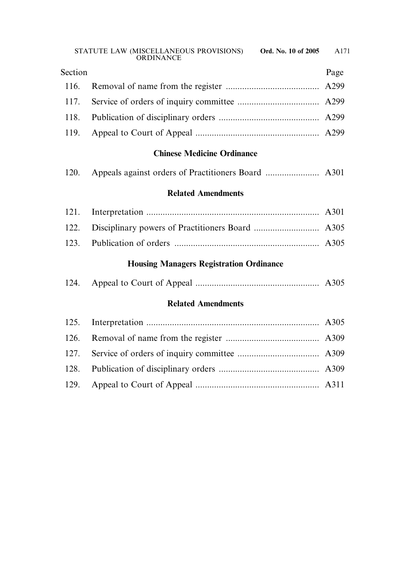| Section | Page |
|---------|------|
|         |      |
|         |      |
|         |      |
|         |      |

# **Chinese Medicine Ordinance**

| 120. |  |  |  |  |  |
|------|--|--|--|--|--|
|------|--|--|--|--|--|

# **Related Amendments**

# **Housing Managers Registration Ordinance**

|--|--|--|--|--|

# **Related Amendments**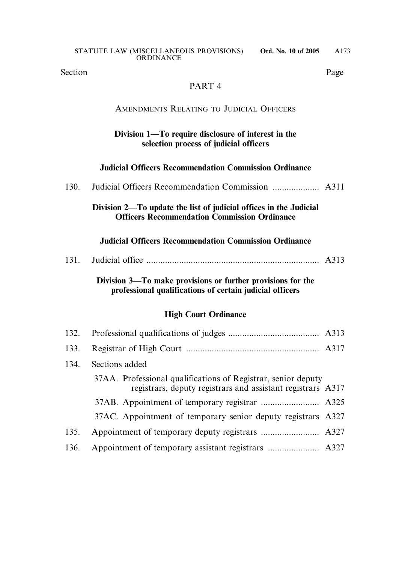Section Page

### PART 4

## AMENDMENTS RELATING TO JUDICIAL OFFICERS

### **Division 1—To require disclosure of interest in the selection process of judicial officers**

### **Judicial Officers Recommendation Commission Ordinance**

### **Division 2—To update the list of judicial offices in the Judicial Officers Recommendation Commission Ordinance**

#### **Judicial Officers Recommendation Commission Ordinance**

| 131. |  |  |  |
|------|--|--|--|
|------|--|--|--|

**Division 3—To make provisions or further provisions for the professional qualifications of certain judicial officers**

### **High Court Ordinance**

| 132. |                                                                                                                              |  |
|------|------------------------------------------------------------------------------------------------------------------------------|--|
| 133. |                                                                                                                              |  |
| 134. | Sections added                                                                                                               |  |
|      | 37AA. Professional qualifications of Registrar, senior deputy<br>registrars, deputy registrars and assistant registrars A317 |  |
|      |                                                                                                                              |  |
|      | 37AC. Appointment of temporary senior deputy registrars A327                                                                 |  |
| 135. |                                                                                                                              |  |
| 136. |                                                                                                                              |  |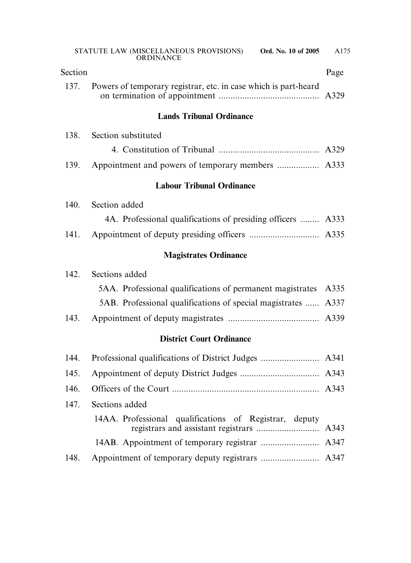| Section |                                                                 | Page |
|---------|-----------------------------------------------------------------|------|
| 137.    | Powers of temporary registrar, etc. in case which is part-heard | A329 |
|         | <b>Lands Tribunal Ordinance</b>                                 |      |
| 138.    | Section substituted                                             |      |
|         |                                                                 |      |
| 139.    |                                                                 |      |
|         | <b>Labour Tribunal Ordinance</b>                                |      |
| 140.    | Section added                                                   |      |
|         | 4A. Professional qualifications of presiding officers  A333     |      |
| 141.    |                                                                 |      |
|         | <b>Magistrates Ordinance</b>                                    |      |
| 142.    | Sections added                                                  |      |
|         | 5AA. Professional qualifications of permanent magistrates       | A335 |
|         | 5AB. Professional qualifications of special magistrates         | A337 |
| 143.    |                                                                 |      |
|         | <b>District Court Ordinance</b>                                 |      |
| 144.    |                                                                 |      |
| 145.    |                                                                 |      |
| 146.    |                                                                 |      |
| 147.    | Sections added                                                  |      |
|         | 14AA. Professional qualifications of Registrar, deputy          | A343 |
|         |                                                                 | A347 |
| 148.    |                                                                 |      |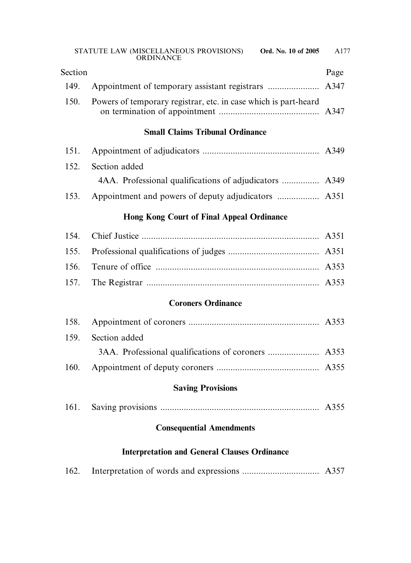|         | ORDINANCE                                                       |      |
|---------|-----------------------------------------------------------------|------|
| Section |                                                                 | Page |
| 149.    |                                                                 |      |
| 150.    | Powers of temporary registrar, etc. in case which is part-heard |      |
|         | <b>Small Claims Tribunal Ordinance</b>                          |      |
| 151.    |                                                                 |      |
| 152.    | Section added                                                   |      |
|         | 4AA. Professional qualifications of adjudicators  A349          |      |
| 153.    |                                                                 |      |
|         | <b>Hong Kong Court of Final Appeal Ordinance</b>                |      |
| 154.    |                                                                 |      |
| 155.    |                                                                 |      |
| 156.    |                                                                 |      |
| 157.    |                                                                 |      |
|         | <b>Coroners Ordinance</b>                                       |      |
| 158.    |                                                                 |      |
| 159.    | Section added                                                   |      |
|         |                                                                 |      |
| 160.    |                                                                 |      |
|         | <b>Saving Provisions</b>                                        |      |
| 161.    |                                                                 |      |
|         | <b>Consequential Amendments</b>                                 |      |
|         | <b>Interpretation and General Clauses Ordinance</b>             |      |

|--|--|--|--|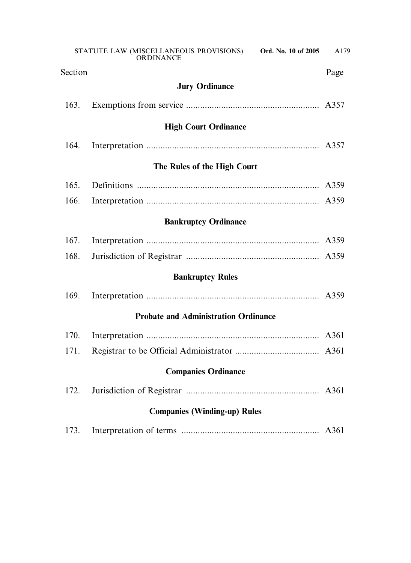|                                     | STATUTE LAW (MISCELLANEOUS PROVISIONS)<br>Ord. No. 10 of 2005<br><b>ORDINANCE</b> | A179 |
|-------------------------------------|-----------------------------------------------------------------------------------|------|
| Section                             |                                                                                   | Page |
|                                     | <b>Jury Ordinance</b>                                                             |      |
| 163.                                |                                                                                   |      |
|                                     | <b>High Court Ordinance</b>                                                       |      |
| 164.                                |                                                                                   |      |
|                                     | The Rules of the High Court                                                       |      |
| 165.                                |                                                                                   |      |
| 166.                                |                                                                                   |      |
|                                     | <b>Bankruptcy Ordinance</b>                                                       |      |
| 167.                                |                                                                                   |      |
| 168.                                |                                                                                   |      |
|                                     | <b>Bankruptcy Rules</b>                                                           |      |
| 169.                                |                                                                                   |      |
|                                     | <b>Probate and Administration Ordinance</b>                                       |      |
| 170.                                |                                                                                   |      |
| 171.                                |                                                                                   |      |
| <b>Companies Ordinance</b>          |                                                                                   |      |
| 172.                                |                                                                                   |      |
| <b>Companies (Winding-up) Rules</b> |                                                                                   |      |
| 173.                                |                                                                                   | A361 |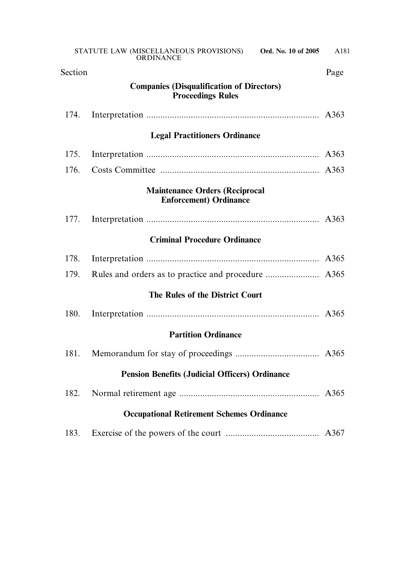| Section                                               |                                                                              | Page |
|-------------------------------------------------------|------------------------------------------------------------------------------|------|
|                                                       | <b>Companies (Disqualification of Directors)</b><br><b>Proceedings Rules</b> |      |
| 174.                                                  |                                                                              |      |
|                                                       | <b>Legal Practitioners Ordinance</b>                                         |      |
| 175.                                                  |                                                                              | A363 |
| 176.                                                  |                                                                              |      |
|                                                       | <b>Maintenance Orders (Reciprocal</b><br><b>Enforcement) Ordinance</b>       |      |
| 177.                                                  |                                                                              |      |
|                                                       | <b>Criminal Procedure Ordinance</b>                                          |      |
| 178.                                                  |                                                                              | A365 |
| 179.                                                  |                                                                              |      |
|                                                       | The Rules of the District Court                                              |      |
| 180.                                                  |                                                                              |      |
|                                                       | <b>Partition Ordinance</b>                                                   |      |
| 181.                                                  |                                                                              |      |
| <b>Pension Benefits (Judicial Officers) Ordinance</b> |                                                                              |      |
| 182.                                                  |                                                                              |      |
| <b>Occupational Retirement Schemes Ordinance</b>      |                                                                              |      |
| 183.                                                  |                                                                              |      |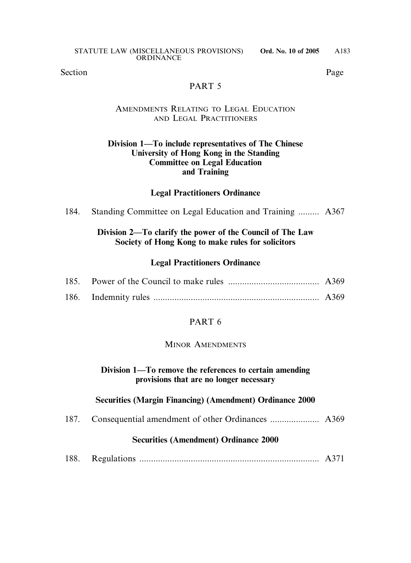Section Page

## PART 5

### AMENDMENTS RELATING TO LEGAL EDUCATION AND LEGAL PRACTITIONERS

### **Division 1—To include representatives of The Chinese University of Hong Kong in the Standing Committee on Legal Education and Training**

# **Legal Practitioners Ordinance**

184. Standing Committee on Legal Education and Training ......... A367

## **Division 2—To clarify the power of the Council of The Law Society of Hong Kong to make rules for solicitors**

### **Legal Practitioners Ordinance**

# PART 6

### MINOR AMENDMENTS

### **Division 1—To remove the references to certain amending provisions that are no longer necessary**

### **Securities (Margin Financing) (Amendment) Ordinance 2000**

187. Consequential amendment of other Ordinances ..................... A369

### **Securities (Amendment) Ordinance 2000**

188. Regulations ............................................................................. A371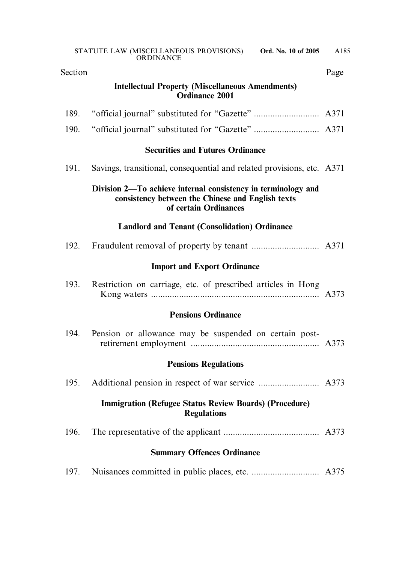| Section                           |                                                                                                                                             | Page |
|-----------------------------------|---------------------------------------------------------------------------------------------------------------------------------------------|------|
|                                   | <b>Intellectual Property (Miscellaneous Amendments)</b><br><b>Ordinance 2001</b>                                                            |      |
| 189.                              |                                                                                                                                             |      |
| 190.                              |                                                                                                                                             |      |
|                                   | <b>Securities and Futures Ordinance</b>                                                                                                     |      |
| 191.                              | Savings, transitional, consequential and related provisions, etc. A371                                                                      |      |
|                                   | Division 2—To achieve internal consistency in terminology and<br>consistency between the Chinese and English texts<br>of certain Ordinances |      |
|                                   | <b>Landlord and Tenant (Consolidation) Ordinance</b>                                                                                        |      |
| 192.                              |                                                                                                                                             |      |
|                                   | <b>Import and Export Ordinance</b>                                                                                                          |      |
| 193.                              | Restriction on carriage, etc. of prescribed articles in Hong                                                                                |      |
|                                   | <b>Pensions Ordinance</b>                                                                                                                   |      |
| 194.                              | Pension or allowance may be suspended on certain post-                                                                                      |      |
|                                   | <b>Pensions Regulations</b>                                                                                                                 |      |
| 195.                              |                                                                                                                                             |      |
|                                   | <b>Immigration (Refugee Status Review Boards) (Procedure)</b><br><b>Regulations</b>                                                         |      |
| 196.                              |                                                                                                                                             |      |
| <b>Summary Offences Ordinance</b> |                                                                                                                                             |      |
| 197.                              |                                                                                                                                             |      |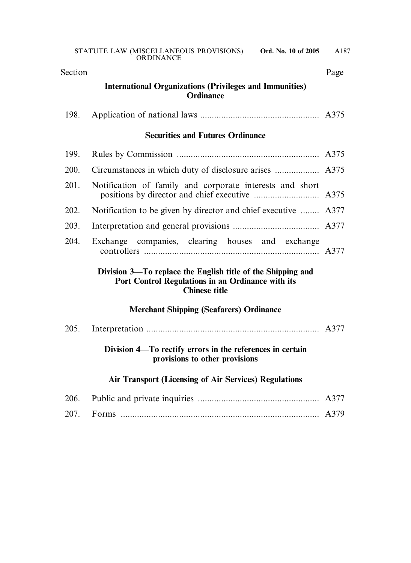| Section |                                                                                                                                          | Page |
|---------|------------------------------------------------------------------------------------------------------------------------------------------|------|
|         | <b>International Organizations (Privileges and Immunities)</b><br><b>Ordinance</b>                                                       |      |
| 198.    |                                                                                                                                          |      |
|         | <b>Securities and Futures Ordinance</b>                                                                                                  |      |
| 199.    |                                                                                                                                          |      |
| 200.    |                                                                                                                                          |      |
| 201.    | Notification of family and corporate interests and short                                                                                 |      |
| 202.    | Notification to be given by director and chief executive  A377                                                                           |      |
| 203.    |                                                                                                                                          |      |
| 204.    | Exchange companies, clearing houses and exchange                                                                                         |      |
|         | Division 3—To replace the English title of the Shipping and<br>Port Control Regulations in an Ordinance with its<br><b>Chinese title</b> |      |
|         | <b>Merchant Shipping (Seafarers) Ordinance</b>                                                                                           |      |
| 205.    |                                                                                                                                          |      |
|         | Division 4—To rectify errors in the references in certain<br>provisions to other provisions                                              |      |
|         | <b>Air Transport (Licensing of Air Services) Regulations</b>                                                                             |      |
| 206.    |                                                                                                                                          | A377 |
| 207.    |                                                                                                                                          | A379 |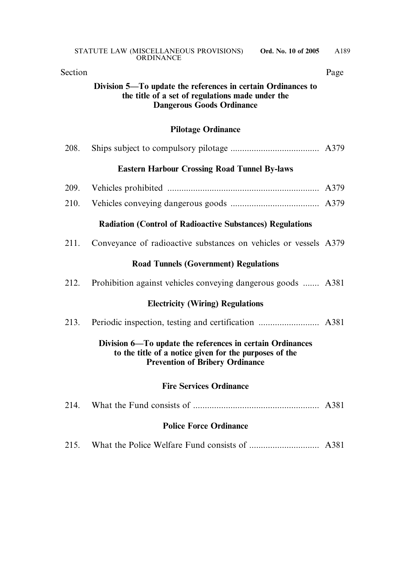|         | ORDINANCE                                                                                                                                                     |      |
|---------|---------------------------------------------------------------------------------------------------------------------------------------------------------------|------|
| Section |                                                                                                                                                               | Page |
|         | Division 5—To update the references in certain Ordinances to<br>the title of a set of regulations made under the<br><b>Dangerous Goods Ordinance</b>          |      |
|         | <b>Pilotage Ordinance</b>                                                                                                                                     |      |
| 208.    |                                                                                                                                                               |      |
|         | <b>Eastern Harbour Crossing Road Tunnel By-laws</b>                                                                                                           |      |
| 209.    |                                                                                                                                                               |      |
| 210.    |                                                                                                                                                               |      |
|         | <b>Radiation (Control of Radioactive Substances) Regulations</b>                                                                                              |      |
| 211.    | Conveyance of radioactive substances on vehicles or vessels A379                                                                                              |      |
|         | <b>Road Tunnels (Government) Regulations</b>                                                                                                                  |      |
| 212.    | Prohibition against vehicles conveying dangerous goods  A381                                                                                                  |      |
|         | <b>Electricity (Wiring) Regulations</b>                                                                                                                       |      |
| 213.    |                                                                                                                                                               |      |
|         | Division 6—To update the references in certain Ordinances<br>to the title of a notice given for the purposes of the<br><b>Prevention of Bribery Ordinance</b> |      |
|         | <b>Fire Services Ordinance</b>                                                                                                                                |      |
| 214.    |                                                                                                                                                               |      |
|         | <b>Police Force Ordinance</b>                                                                                                                                 |      |
| 215.    |                                                                                                                                                               |      |
|         |                                                                                                                                                               |      |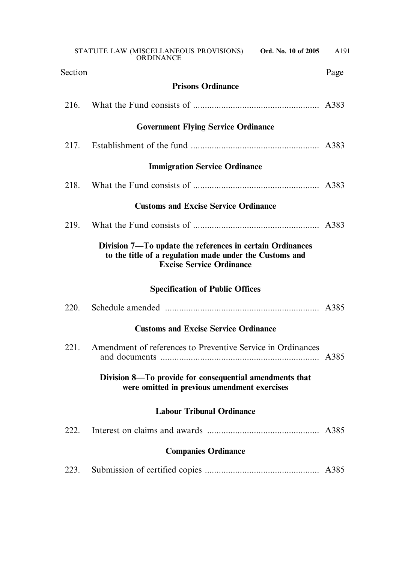|                                        | STATUTE LAW (MISCELLANEOUS PROVISIONS) Ord. No. 10 of 2005<br><b>ORDINANCE</b>                                                                          | A191 |
|----------------------------------------|---------------------------------------------------------------------------------------------------------------------------------------------------------|------|
| Section                                |                                                                                                                                                         | Page |
|                                        | <b>Prisons Ordinance</b>                                                                                                                                |      |
| 216.                                   |                                                                                                                                                         | A383 |
|                                        | <b>Government Flying Service Ordinance</b>                                                                                                              |      |
| 217.                                   |                                                                                                                                                         |      |
|                                        | <b>Immigration Service Ordinance</b>                                                                                                                    |      |
| 218.                                   |                                                                                                                                                         |      |
|                                        | <b>Customs and Excise Service Ordinance</b>                                                                                                             |      |
| 219.                                   |                                                                                                                                                         |      |
|                                        | Division 7—To update the references in certain Ordinances<br>to the title of a regulation made under the Customs and<br><b>Excise Service Ordinance</b> |      |
| <b>Specification of Public Offices</b> |                                                                                                                                                         |      |
| 220.                                   |                                                                                                                                                         |      |
|                                        | <b>Customs and Excise Service Ordinance</b>                                                                                                             |      |
| 221.                                   | Amendment of references to Preventive Service in Ordinances                                                                                             | A385 |
|                                        | Division 8—To provide for consequential amendments that<br>were omitted in previous amendment exercises                                                 |      |
| <b>Labour Tribunal Ordinance</b>       |                                                                                                                                                         |      |
| 222.                                   |                                                                                                                                                         |      |
| <b>Companies Ordinance</b>             |                                                                                                                                                         |      |
| 223.                                   |                                                                                                                                                         |      |
|                                        |                                                                                                                                                         |      |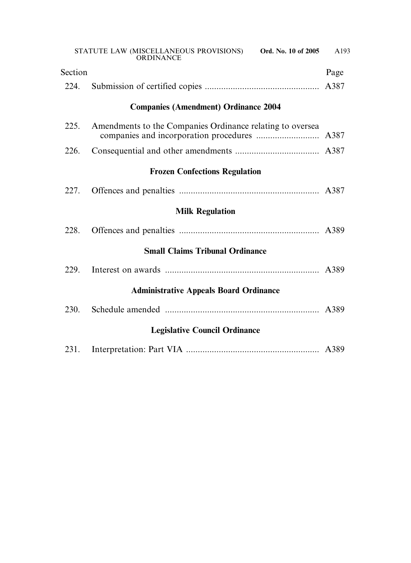|                                               | STATUTE LAW (MISCELLANEOUS PROVISIONS) Ord. No. 10 of 2005<br><b>ORDINANCE</b> | A193 |
|-----------------------------------------------|--------------------------------------------------------------------------------|------|
| Section                                       |                                                                                | Page |
| 224.                                          |                                                                                | A387 |
|                                               | <b>Companies (Amendment) Ordinance 2004</b>                                    |      |
| 225.                                          | Amendments to the Companies Ordinance relating to oversea                      |      |
| 226.                                          |                                                                                |      |
|                                               | <b>Frozen Confections Regulation</b>                                           |      |
| 227.                                          |                                                                                |      |
|                                               | <b>Milk Regulation</b>                                                         |      |
| 228.                                          |                                                                                |      |
| <b>Small Claims Tribunal Ordinance</b>        |                                                                                |      |
| 229.                                          |                                                                                |      |
| <b>Administrative Appeals Board Ordinance</b> |                                                                                |      |
| 230.                                          |                                                                                |      |
| <b>Legislative Council Ordinance</b>          |                                                                                |      |
| 231.                                          |                                                                                |      |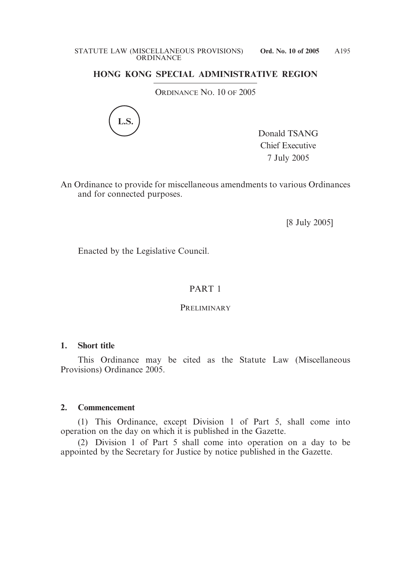# **HONG KONG SPECIAL ADMINISTRATIVE REGION**

ORDINANCE NO. 10 OF 2005



Donald TSANG Chief Executive 7 July 2005

An Ordinance to provide for miscellaneous amendments to various Ordinances and for connected purposes.

[8 July 2005]

Enacted by the Legislative Council.

### PART 1

#### PRELIMINARY

#### **1. Short title**

This Ordinance may be cited as the Statute Law (Miscellaneous Provisions) Ordinance 2005.

#### **2. Commencement**

(1) This Ordinance, except Division 1 of Part 5, shall come into operation on the day on which it is published in the Gazette.

(2) Division 1 of Part 5 shall come into operation on a day to be appointed by the Secretary for Justice by notice published in the Gazette.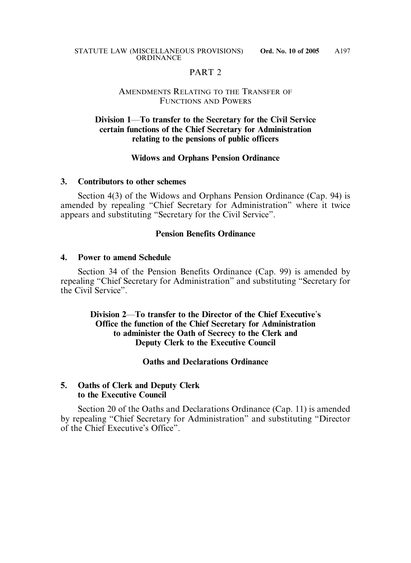### PART<sub>2</sub>

#### AMENDMENTS RELATING TO THE TRANSFER OF FUNCTIONS AND POWERS

### **Division 1**—**To transfer to the Secretary for the Civil Service certain functions of the Chief Secretary for Administration relating to the pensions of public officers**

#### **Widows and Orphans Pension Ordinance**

#### **3. Contributors to other schemes**

Section 4(3) of the Widows and Orphans Pension Ordinance (Cap. 94) is amended by repealing "Chief Secretary for Administration" where it twice appears and substituting "Secretary for the Civil Service".

#### **Pension Benefits Ordinance**

#### **4. Power to amend Schedule**

Section 34 of the Pension Benefits Ordinance (Cap. 99) is amended by repealing "Chief Secretary for Administration" and substituting "Secretary for the Civil Service".

### **Division 2**—**To transfer to the Director of the Chief Executive**'**s Office the function of the Chief Secretary for Administration to administer the Oath of Secrecy to the Clerk and Deputy Clerk to the Executive Council**

### **Oaths and Declarations Ordinance**

### **5. Oaths of Clerk and Deputy Clerk to the Executive Council**

Section 20 of the Oaths and Declarations Ordinance (Cap. 11) is amended by repealing "Chief Secretary for Administration" and substituting "Director of the Chief Executive's Office".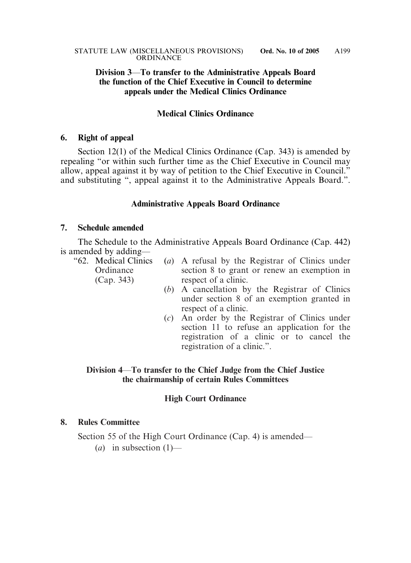### **Division 3**—**To transfer to the Administrative Appeals Board the function of the Chief Executive in Council to determine appeals under the Medical Clinics Ordinance**

### **Medical Clinics Ordinance**

#### **6. Right of appeal**

Section 12(1) of the Medical Clinics Ordinance (Cap. 343) is amended by repealing "or within such further time as the Chief Executive in Council may allow, appeal against it by way of petition to the Chief Executive in Council." and substituting ", appeal against it to the Administrative Appeals Board.".

#### **Administrative Appeals Board Ordinance**

#### **7. Schedule amended**

The Schedule to the Administrative Appeals Board Ordinance (Cap. 442) is amended by adding—<br>"62. Medical Clinics"

- (*a*) A refusal by the Registrar of Clinics under Ordinance section 8 to grant or renew an exemption in (Cap. 343) respect of a clinic.
	- (*b*) A cancellation by the Registrar of Clinics under section 8 of an exemption granted in respect of a clinic.
	- (*c*) An order by the Registrar of Clinics under section 11 to refuse an application for the registration of a clinic or to cancel the registration of a clinic.".

### **Division 4**—**To transfer to the Chief Judge from the Chief Justice the chairmanship of certain Rules Committees**

### **High Court Ordinance**

### **8. Rules Committee**

Section 55 of the High Court Ordinance (Cap. 4) is amended—

(*a*) in subsection (1)—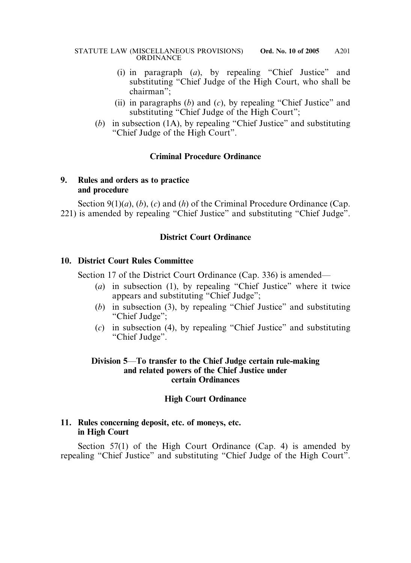- (i) in paragraph (*a*), by repealing "Chief Justice" and substituting "Chief Judge of the High Court, who shall be chairman";
- (ii) in paragraphs (*b*) and (*c*), by repealing "Chief Justice" and substituting "Chief Judge of the High Court";
- (*b*) in subsection (1A), by repealing "Chief Justice" and substituting "Chief Judge of the High Court".

### **Criminal Procedure Ordinance**

### **9. Rules and orders as to practice and procedure**

Section 9(1)(*a*), (*b*), (*c*) and (*h*) of the Criminal Procedure Ordinance (Cap. 221) is amended by repealing "Chief Justice" and substituting "Chief Judge".

### **District Court Ordinance**

### **10. District Court Rules Committee**

Section 17 of the District Court Ordinance (Cap. 336) is amended—

- (*a*) in subsection (1), by repealing "Chief Justice" where it twice appears and substituting "Chief Judge";
- (*b*) in subsection (3), by repealing "Chief Justice" and substituting "Chief Judge":
- (*c*) in subsection (4), by repealing "Chief Justice" and substituting "Chief Judge".

### **Division 5**—**To transfer to the Chief Judge certain rule-making and related powers of the Chief Justice under certain Ordinances**

### **High Court Ordinance**

### **11. Rules concerning deposit, etc. of moneys, etc. in High Court**

Section 57(1) of the High Court Ordinance (Cap. 4) is amended by repealing "Chief Justice" and substituting "Chief Judge of the High Court".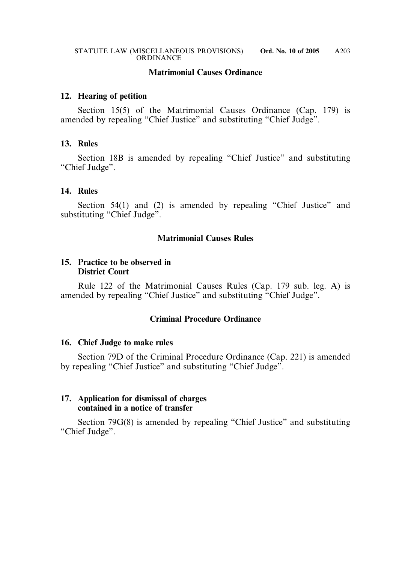#### **Matrimonial Causes Ordinance**

#### **12. Hearing of petition**

Section 15(5) of the Matrimonial Causes Ordinance (Cap. 179) is amended by repealing "Chief Justice" and substituting "Chief Judge".

#### **13. Rules**

Section 18B is amended by repealing "Chief Justice" and substituting "Chief Judge".

#### **14. Rules**

Section 54(1) and (2) is amended by repealing "Chief Justice" and substituting "Chief Judge".

### **Matrimonial Causes Rules**

#### **15. Practice to be observed in District Court**

Rule 122 of the Matrimonial Causes Rules (Cap. 179 sub. leg. A) is amended by repealing "Chief Justice" and substituting "Chief Judge".

### **Criminal Procedure Ordinance**

#### **16. Chief Judge to make rules**

Section 79D of the Criminal Procedure Ordinance (Cap. 221) is amended by repealing "Chief Justice" and substituting "Chief Judge".

#### **17. Application for dismissal of charges contained in a notice of transfer**

Section 79G(8) is amended by repealing "Chief Justice" and substituting "Chief Judge".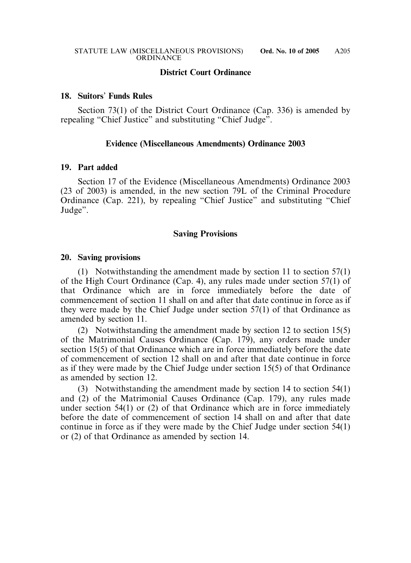### **District Court Ordinance**

#### **18. Suitors**' **Funds Rules**

Section 73(1) of the District Court Ordinance (Cap. 336) is amended by repealing "Chief Justice" and substituting "Chief Judge".

#### **Evidence (Miscellaneous Amendments) Ordinance 2003**

#### **19. Part added**

Section 17 of the Evidence (Miscellaneous Amendments) Ordinance 2003 (23 of 2003) is amended, in the new section 79L of the Criminal Procedure Ordinance (Cap. 221), by repealing "Chief Justice" and substituting "Chief Judge".

#### **Saving Provisions**

#### **20. Saving provisions**

(1) Notwithstanding the amendment made by section 11 to section 57(1) of the High Court Ordinance (Cap. 4), any rules made under section 57(1) of that Ordinance which are in force immediately before the date of commencement of section 11 shall on and after that date continue in force as if they were made by the Chief Judge under section 57(1) of that Ordinance as amended by section 11.

(2) Notwithstanding the amendment made by section 12 to section 15(5) of the Matrimonial Causes Ordinance (Cap. 179), any orders made under section 15(5) of that Ordinance which are in force immediately before the date of commencement of section 12 shall on and after that date continue in force as if they were made by the Chief Judge under section 15(5) of that Ordinance as amended by section 12.

(3) Notwithstanding the amendment made by section 14 to section 54(1) and (2) of the Matrimonial Causes Ordinance (Cap. 179), any rules made under section 54(1) or (2) of that Ordinance which are in force immediately before the date of commencement of section 14 shall on and after that date continue in force as if they were made by the Chief Judge under section 54(1) or (2) of that Ordinance as amended by section 14.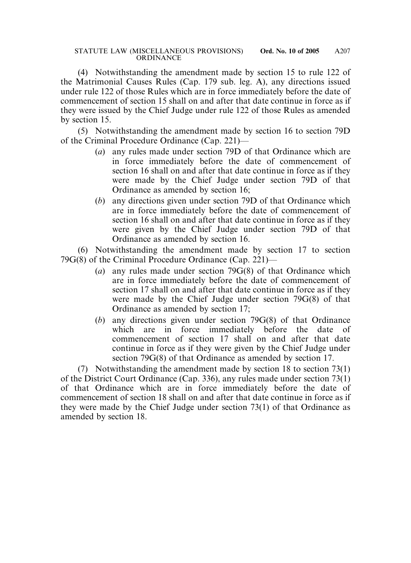(4) Notwithstanding the amendment made by section 15 to rule 122 of the Matrimonial Causes Rules (Cap. 179 sub. leg. A), any directions issued under rule 122 of those Rules which are in force immediately before the date of commencement of section 15 shall on and after that date continue in force as if they were issued by the Chief Judge under rule 122 of those Rules as amended by section 15.

(5) Notwithstanding the amendment made by section 16 to section 79D of the Criminal Procedure Ordinance (Cap. 221)—

- (*a*) any rules made under section 79D of that Ordinance which are in force immediately before the date of commencement of section 16 shall on and after that date continue in force as if they were made by the Chief Judge under section 79D of that Ordinance as amended by section 16;
- (*b*) any directions given under section 79D of that Ordinance which are in force immediately before the date of commencement of section 16 shall on and after that date continue in force as if they were given by the Chief Judge under section 79D of that Ordinance as amended by section 16.

(6) Notwithstanding the amendment made by section 17 to section 79G(8) of the Criminal Procedure Ordinance (Cap. 221)—

- (*a*) any rules made under section 79G(8) of that Ordinance which are in force immediately before the date of commencement of section 17 shall on and after that date continue in force as if they were made by the Chief Judge under section 79G(8) of that Ordinance as amended by section 17;
- (*b*) any directions given under section 79G(8) of that Ordinance which are in force immediately before the date of commencement of section 17 shall on and after that date continue in force as if they were given by the Chief Judge under section 79G(8) of that Ordinance as amended by section 17.

(7) Notwithstanding the amendment made by section 18 to section 73(1) of the District Court Ordinance (Cap. 336), any rules made under section 73(1) of that Ordinance which are in force immediately before the date of commencement of section 18 shall on and after that date continue in force as if they were made by the Chief Judge under section 73(1) of that Ordinance as amended by section 18.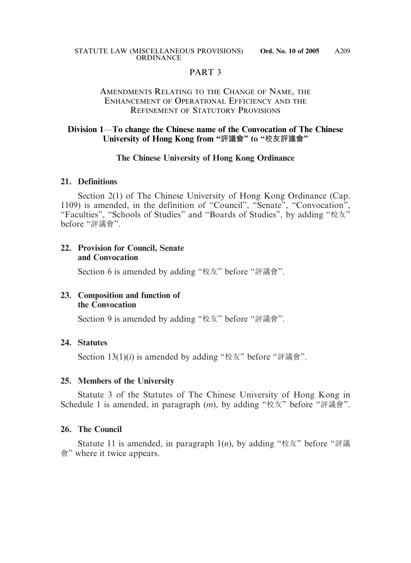### PART 3

### AMENDMENTS RELATING TO THE CHANGE OF NAME, THE ENHANCEMENT OF OPERATIONAL EFFICIENCY AND THE REFINEMENT OF STATUTORY PROVISIONS

### **Division 1**—**To change the Chinese name of the Convocation of The Chinese University of Hong Kong from "評議會" to "校友評議會"**

### **The Chinese University of Hong Kong Ordinance**

### **21. Definitions**

Section 2(1) of The Chinese University of Hong Kong Ordinance (Cap. 1109) is amended, in the definition of "Council", "Senate", "Convocation", "Faculties", "Schools of Studies" and "Boards of Studies", by adding "校友" before "評議會".

### **22. Provision for Council, Senate and Convocation**

Section 6 is amended by adding "校友" before "評議會".

### **23. Composition and function of the Convocation**

Section 9 is amended by adding "校友" before "評議會".

### **24. Statutes**

Section 13(1)(*i*) is amended by adding "校友" before "評議會".

### **25. Members of the University**

Statute 3 of the Statutes of The Chinese University of Hong Kong in Schedule 1 is amended, in paragraph (*m*), by adding "校友" before "評議會".

### **26. The Council**

Statute 11 is amended, in paragraph 1(*n*), by adding "校友" before "評議 會" where it twice appears.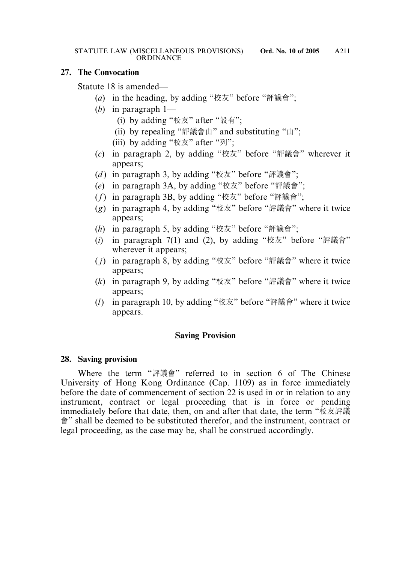### **27. The Convocation**

Statute 18 is amended—

- (*a*) in the heading, by adding "校友" before "評議會";
- (*b*) in paragraph 1—
	- (i) by adding "校友" after "設有";
	- (ii) by repealing "評議會由" and substituting "由";
	- (iii) by adding "校友" after "列";
- (*c*) in paragraph 2, by adding "校友" before "評議會" wherever it appears;
- (*d* ) in paragraph 3, by adding "校友" before "評議會";
- (*e*) in paragraph 3A, by adding "校友" before "評議會";
- (*f*) in paragraph 3B, by adding "校友" before "評議會";
- (*g*) in paragraph 4, by adding "校友" before "評議會" where it twice appears;
- (*h*) in paragraph 5, by adding "校友" before "評議會";
- (*i*) in paragraph 7(1) and (2), by adding "校友" before "評議會" wherever it appears;
- ( *j*) in paragraph 8, by adding "校友" before "評議會" where it twice appears;
- (*k*) in paragraph 9, by adding "校友" before "評議會" where it twice appears;
- (*l*) in paragraph 10, by adding "校友" before "評議會" where it twice appears.

### **Saving Provision**

#### **28. Saving provision**

Where the term "評議會" referred to in section 6 of The Chinese University of Hong Kong Ordinance (Cap. 1109) as in force immediately before the date of commencement of section 22 is used in or in relation to any instrument, contract or legal proceeding that is in force or pending immediately before that date, then, on and after that date, the term "校友評議 會" shall be deemed to be substituted therefor, and the instrument, contract or legal proceeding, as the case may be, shall be construed accordingly.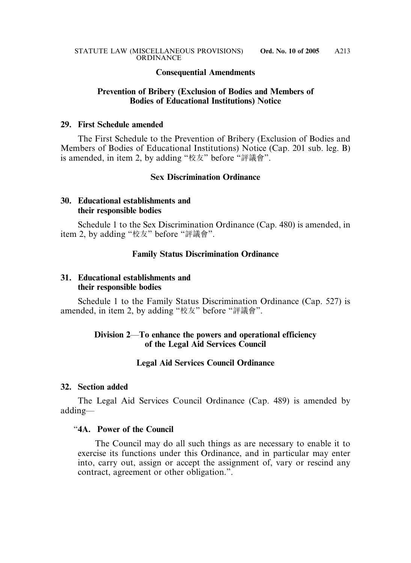#### **Consequential Amendments**

### **Prevention of Bribery (Exclusion of Bodies and Members of Bodies of Educational Institutions) Notice**

#### **29. First Schedule amended**

The First Schedule to the Prevention of Bribery (Exclusion of Bodies and Members of Bodies of Educational Institutions) Notice (Cap. 201 sub. leg. B) is amended, in item 2, by adding "校友" before "評議會".

### **Sex Discrimination Ordinance**

### **30. Educational establishments and their responsible bodies**

Schedule 1 to the Sex Discrimination Ordinance (Cap. 480) is amended, in item 2, by adding "校友" before "評議會".

### **Family Status Discrimination Ordinance**

### **31. Educational establishments and their responsible bodies**

Schedule 1 to the Family Status Discrimination Ordinance (Cap. 527) is amended, in item 2, by adding "校友" before "評議會".

#### **Division 2**—**To enhance the powers and operational efficiency of the Legal Aid Services Council**

#### **Legal Aid Services Council Ordinance**

#### **32. Section added**

The Legal Aid Services Council Ordinance (Cap. 489) is amended by adding—

#### "**4A. Power of the Council**

The Council may do all such things as are necessary to enable it to exercise its functions under this Ordinance, and in particular may enter into, carry out, assign or accept the assignment of, vary or rescind any contract, agreement or other obligation.".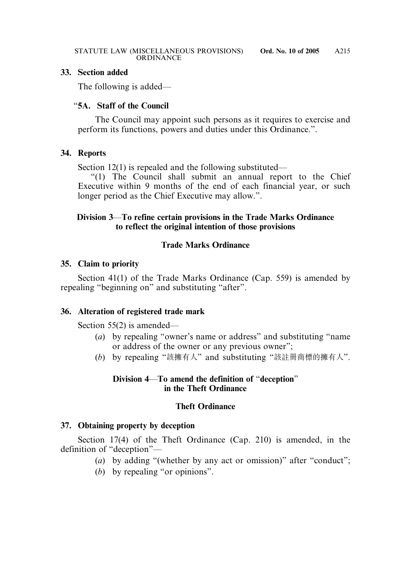### **33. Section added**

The following is added—

### "**5A. Staff of the Council**

The Council may appoint such persons as it requires to exercise and perform its functions, powers and duties under this Ordinance.".

### **34. Reports**

Section 12(1) is repealed and the following substituted—

"(1) The Council shall submit an annual report to the Chief Executive within 9 months of the end of each financial year, or such longer period as the Chief Executive may allow.".

### **Division 3**—**To refine certain provisions in the Trade Marks Ordinance to reflect the original intention of those provisions**

### **Trade Marks Ordinance**

### **35. Claim to priority**

Section 41(1) of the Trade Marks Ordinance (Cap. 559) is amended by repealing "beginning on" and substituting "after".

### **36. Alteration of registered trade mark**

Section 55(2) is amended—

- (*a*) by repealing "owner's name or address" and substituting "name or address of the owner or any previous owner";
- (*b*) by repealing "該擁有人" and substituting "該註冊商標的擁有人".

### **Division 4**—**To amend the definition of** "**deception**" **in the Theft Ordinance**

### **Theft Ordinance**

### **37. Obtaining property by deception**

Section 17(4) of the Theft Ordinance (Cap. 210) is amended, in the definition of "deception"—

- (*a*) by adding "(whether by any act or omission)" after "conduct";
- (*b*) by repealing "or opinions".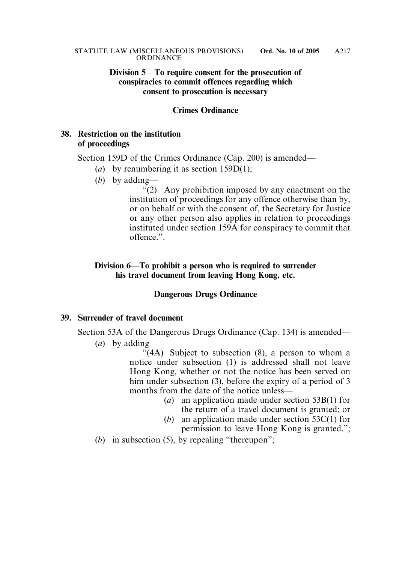#### **Division 5**—**To require consent for the prosecution of conspiracies to commit offences regarding which consent to prosecution is necessary**

#### **Crimes Ordinance**

### **38. Restriction on the institution of proceedings**

Section 159D of the Crimes Ordinance (Cap. 200) is amended—

- (*a*) by renumbering it as section 159D(1);
- (*b*) by adding—

"(2) Any prohibition imposed by any enactment on the institution of proceedings for any offence otherwise than by, or on behalf or with the consent of, the Secretary for Justice or any other person also applies in relation to proceedings instituted under section 159A for conspiracy to commit that offence.".

### **Division 6**—**To prohibit a person who is required to surrender his travel document from leaving Hong Kong, etc.**

#### **Dangerous Drugs Ordinance**

### **39. Surrender of travel document**

Section 53A of the Dangerous Drugs Ordinance (Cap. 134) is amended—

(*a*) by adding—

 $\sqrt{4A}$ ) Subject to subsection (8), a person to whom a notice under subsection (1) is addressed shall not leave Hong Kong, whether or not the notice has been served on him under subsection (3), before the expiry of a period of 3 months from the date of the notice unless—

- (*a*) an application made under section 53B(1) for the return of a travel document is granted; or
- (*b*) an application made under section 53C(1) for permission to leave Hong Kong is granted.";
- (*b*) in subsection (5), by repealing "thereupon":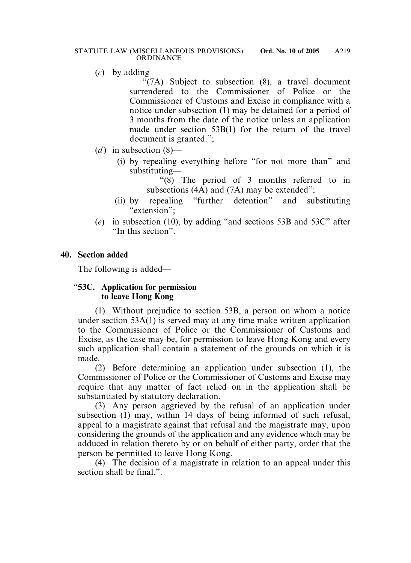(*c*) by adding—

"(7A) Subject to subsection (8), a travel document surrendered to the Commissioner of Police or the Commissioner of Customs and Excise in compliance with a notice under subsection (1) may be detained for a period of 3 months from the date of the notice unless an application made under section 53B(1) for the return of the travel document is granted.";

- (*d*) in subsection  $(8)$ 
	- (i) by repealing everything before "for not more than" and substituting—

"(8) The period of 3 months referred to in subsections (4A) and (7A) may be extended";

- (ii) by repealing "further detention" and substituting "extension";
- (*e*) in subsection (10), by adding "and sections 53B and 53C" after "In this section".

### **40. Section added**

The following is added—

### "**53C. Application for permission to leave Hong Kong**

(1) Without prejudice to section 53B, a person on whom a notice under section 53A(1) is served may at any time make written application to the Commissioner of Police or the Commissioner of Customs and Excise, as the case may be, for permission to leave Hong Kong and every such application shall contain a statement of the grounds on which it is made.

(2) Before determining an application under subsection (1), the Commissioner of Police or the Commissioner of Customs and Excise may require that any matter of fact relied on in the application shall be substantiated by statutory declaration.

(3) Any person aggrieved by the refusal of an application under subsection (1) may, within 14 days of being informed of such refusal, appeal to a magistrate against that refusal and the magistrate may, upon considering the grounds of the application and any evidence which may be adduced in relation thereto by or on behalf of either party, order that the person be permitted to leave Hong Kong.

(4) The decision of a magistrate in relation to an appeal under this section shall be final."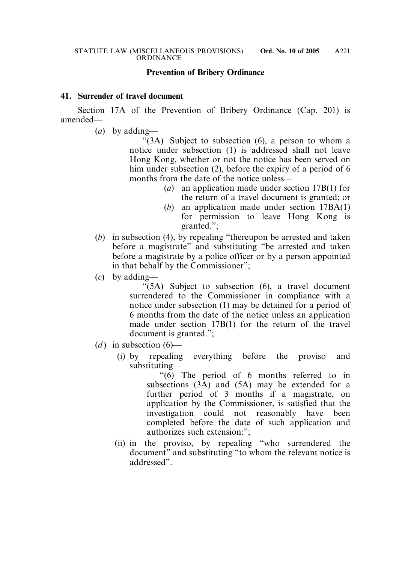#### **Prevention of Bribery Ordinance**

#### **41. Surrender of travel document**

Section 17A of the Prevention of Bribery Ordinance (Cap. 201) is amended—

(*a*) by adding—

"(3A) Subject to subsection (6), a person to whom a notice under subsection (1) is addressed shall not leave Hong Kong, whether or not the notice has been served on him under subsection (2), before the expiry of a period of 6 months from the date of the notice unless—

> (*a*) an application made under section 17B(1) for the return of a travel document is granted; or

A221

- (*b*) an application made under section 17BA(1) for permission to leave Hong Kong is granted.";
- (*b*) in subsection (4), by repealing "thereupon be arrested and taken before a magistrate" and substituting "be arrested and taken before a magistrate by a police officer or by a person appointed in that behalf by the Commissioner";
- (*c*) by adding—

"(5A) Subject to subsection (6), a travel document surrendered to the Commissioner in compliance with a notice under subsection (1) may be detained for a period of 6 months from the date of the notice unless an application made under section 17B(1) for the return of the travel document is granted.";

- (*d*) in subsection  $(6)$ 
	- (i) by repealing everything before the proviso and substituting—

"(6) The period of 6 months referred to in subsections (3A) and (5A) may be extended for a further period of 3 months if a magistrate, on application by the Commissioner, is satisfied that the investigation could not reasonably have been completed before the date of such application and authorizes such extension:";

(ii) in the proviso, by repealing "who surrendered the document" and substituting "to whom the relevant notice is addressed".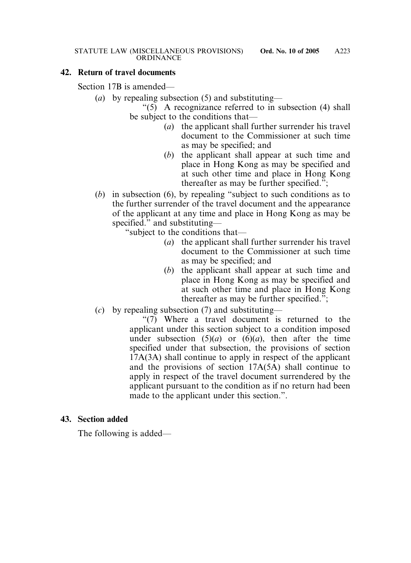## **42. Return of travel documents**

Section 17B is amended—

(*a*) by repealing subsection (5) and substituting—

"(5) A recognizance referred to in subsection (4) shall be subject to the conditions that—

- (*a*) the applicant shall further surrender his travel document to the Commissioner at such time as may be specified; and
- (*b*) the applicant shall appear at such time and place in Hong Kong as may be specified and at such other time and place in Hong Kong thereafter as may be further specified.";
- (*b*) in subsection (6), by repealing "subject to such conditions as to the further surrender of the travel document and the appearance of the applicant at any time and place in Hong Kong as may be specified." and substituting—

"subject to the conditions that—

- (*a*) the applicant shall further surrender his travel document to the Commissioner at such time as may be specified; and
- (*b*) the applicant shall appear at such time and place in Hong Kong as may be specified and at such other time and place in Hong Kong thereafter as may be further specified.";
- (*c*) by repealing subsection (7) and substituting—

"(7) Where a travel document is returned to the applicant under this section subject to a condition imposed under subsection  $(5)(a)$  or  $(6)(a)$ , then after the time specified under that subsection, the provisions of section 17A(3A) shall continue to apply in respect of the applicant and the provisions of section 17A(5A) shall continue to apply in respect of the travel document surrendered by the applicant pursuant to the condition as if no return had been made to the applicant under this section.".

## **43. Section added**

The following is added—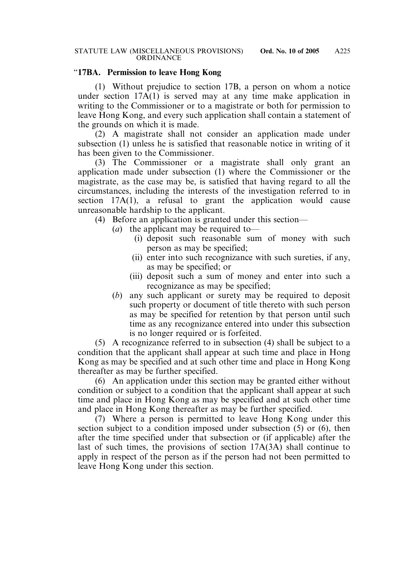## "**17BA. Permission to leave Hong Kong**

(1) Without prejudice to section 17B, a person on whom a notice under section  $17A(1)$  is served may at any time make application in writing to the Commissioner or to a magistrate or both for permission to leave Hong Kong, and every such application shall contain a statement of the grounds on which it is made.

(2) A magistrate shall not consider an application made under subsection (1) unless he is satisfied that reasonable notice in writing of it has been given to the Commissioner.

(3) The Commissioner or a magistrate shall only grant an application made under subsection (1) where the Commissioner or the magistrate, as the case may be, is satisfied that having regard to all the circumstances, including the interests of the investigation referred to in section 17A(1), a refusal to grant the application would cause unreasonable hardship to the applicant.

(4) Before an application is granted under this section—

- (*a*) the applicant may be required to—
	- (i) deposit such reasonable sum of money with such person as may be specified;
	- (ii) enter into such recognizance with such sureties, if any, as may be specified; or
	- (iii) deposit such a sum of money and enter into such a recognizance as may be specified;
- (*b*) any such applicant or surety may be required to deposit such property or document of title thereto with such person as may be specified for retention by that person until such time as any recognizance entered into under this subsection is no longer required or is forfeited.

(5) A recognizance referred to in subsection (4) shall be subject to a condition that the applicant shall appear at such time and place in Hong Kong as may be specified and at such other time and place in Hong Kong thereafter as may be further specified.

(6) An application under this section may be granted either without condition or subject to a condition that the applicant shall appear at such time and place in Hong Kong as may be specified and at such other time and place in Hong Kong thereafter as may be further specified.

(7) Where a person is permitted to leave Hong Kong under this section subject to a condition imposed under subsection (5) or (6), then after the time specified under that subsection or (if applicable) after the last of such times, the provisions of section 17A(3A) shall continue to apply in respect of the person as if the person had not been permitted to leave Hong Kong under this section.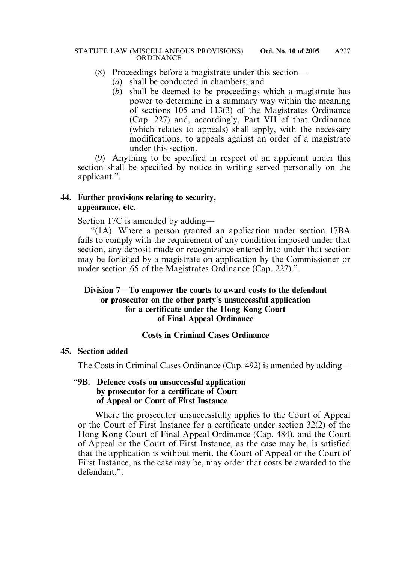## (8) Proceedings before a magistrate under this section—

- (*a*) shall be conducted in chambers; and
- (*b*) shall be deemed to be proceedings which a magistrate has power to determine in a summary way within the meaning of sections 105 and 113(3) of the Magistrates Ordinance (Cap. 227) and, accordingly, Part VII of that Ordinance (which relates to appeals) shall apply, with the necessary modifications, to appeals against an order of a magistrate under this section.

(9) Anything to be specified in respect of an applicant under this section shall be specified by notice in writing served personally on the applicant.".

## **44. Further provisions relating to security, appearance, etc.**

Section 17C is amended by adding—

"(1A) Where a person granted an application under section 17BA fails to comply with the requirement of any condition imposed under that section, any deposit made or recognizance entered into under that section may be forfeited by a magistrate on application by the Commissioner or under section 65 of the Magistrates Ordinance (Cap. 227).".

## **Division 7**—**To empower the courts to award costs to the defendant or prosecutor on the other party**'**s unsuccessful application for a certificate under the Hong Kong Court of Final Appeal Ordinance**

# **Costs in Criminal Cases Ordinance**

## **45. Section added**

The Costs in Criminal Cases Ordinance (Cap. 492) is amended by adding—

## "**9B. Defence costs on unsuccessful application by prosecutor for a certificate of Court of Appeal or Court of First Instance**

Where the prosecutor unsuccessfully applies to the Court of Appeal or the Court of First Instance for a certificate under section 32(2) of the Hong Kong Court of Final Appeal Ordinance (Cap. 484), and the Court of Appeal or the Court of First Instance, as the case may be, is satisfied that the application is without merit, the Court of Appeal or the Court of First Instance, as the case may be, may order that costs be awarded to the defendant."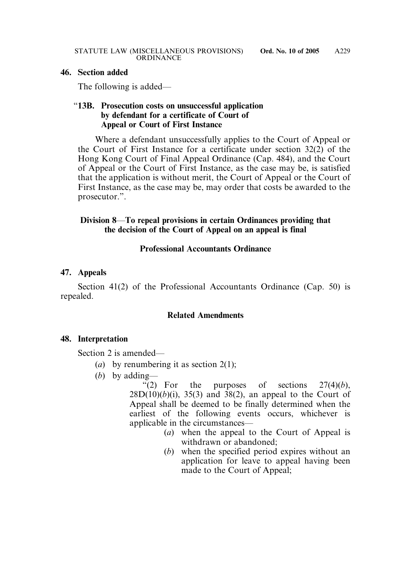#### **46. Section added**

The following is added—

## "**13B. Prosecution costs on unsuccessful application by defendant for a certificate of Court of Appeal or Court of First Instance**

Where a defendant unsuccessfully applies to the Court of Appeal or the Court of First Instance for a certificate under section 32(2) of the Hong Kong Court of Final Appeal Ordinance (Cap. 484), and the Court of Appeal or the Court of First Instance, as the case may be, is satisfied that the application is without merit, the Court of Appeal or the Court of First Instance, as the case may be, may order that costs be awarded to the prosecutor.".

# **Division 8**—**To repeal provisions in certain Ordinances providing that the decision of the Court of Appeal on an appeal is final**

## **Professional Accountants Ordinance**

## **47. Appeals**

Section 41(2) of the Professional Accountants Ordinance (Cap. 50) is repealed.

## **Related Amendments**

## **48. Interpretation**

Section 2 is amended—

- (*a*) by renumbering it as section 2(1);
- (*b*) by adding—

"(2) For the purposes of sections  $27(4)(b)$ ,  $28D(10)(b)(i)$ ,  $35(3)$  and  $38(2)$ , an appeal to the Court of Appeal shall be deemed to be finally determined when the earliest of the following events occurs, whichever is applicable in the circumstances—

- (*a*) when the appeal to the Court of Appeal is withdrawn or abandoned;
- (*b*) when the specified period expires without an application for leave to appeal having been made to the Court of Appeal;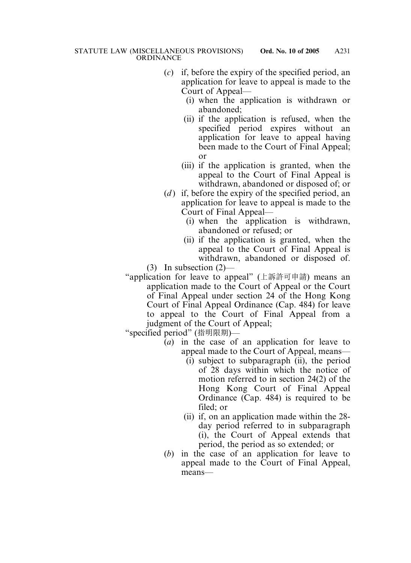- (*c*) if, before the expiry of the specified period, an application for leave to appeal is made to the Court of Appeal—
	- (i) when the application is withdrawn or abandoned;
	- (ii) if the application is refused, when the specified period expires without an application for leave to appeal having been made to the Court of Final Appeal; or
	- (iii) if the application is granted, when the appeal to the Court of Final Appeal is withdrawn, abandoned or disposed of; or
- (*d*) if, before the expiry of the specified period, an application for leave to appeal is made to the Court of Final Appeal—
	- (i) when the application is withdrawn, abandoned or refused; or
	- (ii) if the application is granted, when the appeal to the Court of Final Appeal is withdrawn, abandoned or disposed of.

 $(3)$  In subsection  $(2)$ —

"application for leave to appeal" (上訴許可申請) means an application made to the Court of Appeal or the Court of Final Appeal under section 24 of the Hong Kong Court of Final Appeal Ordinance (Cap. 484) for leave to appeal to the Court of Final Appeal from a judgment of the Court of Appeal;

"specified period" (指明限期)—

- (*a*) in the case of an application for leave to appeal made to the Court of Appeal, means—
	- $(i)$  subject to subparagraph  $(ii)$ , the period of 28 days within which the notice of motion referred to in section 24(2) of the Hong Kong Court of Final Appeal Ordinance (Cap. 484) is required to be filed; or
	- (ii) if, on an application made within the 28 day period referred to in subparagraph (i), the Court of Appeal extends that period, the period as so extended; or
- (*b*) in the case of an application for leave to appeal made to the Court of Final Appeal, means—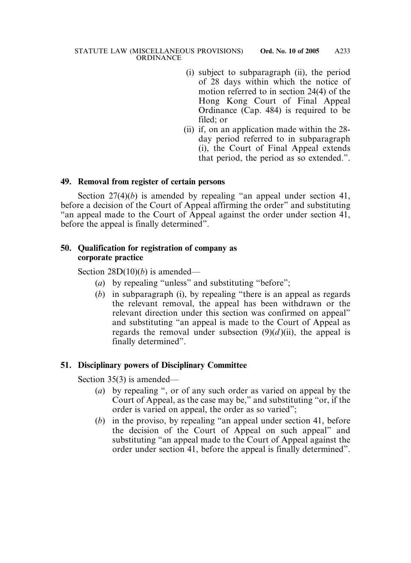- (i) subject to subparagraph (ii), the period of 28 days within which the notice of motion referred to in section 24(4) of the Hong Kong Court of Final Appeal Ordinance (Cap. 484) is required to be filed; or
- (ii) if, on an application made within the 28 day period referred to in subparagraph (i), the Court of Final Appeal extends that period, the period as so extended.".

#### **49. Removal from register of certain persons**

Section 27(4)(*b*) is amended by repealing "an appeal under section 41, before a decision of the Court of Appeal affirming the order" and substituting "an appeal made to the Court of Appeal against the order under section 41, before the appeal is finally determined".

## **50. Qualification for registration of company as corporate practice**

Section 28D(10)(*b*) is amended—

- (*a*) by repealing "unless" and substituting "before";
- (*b*) in subparagraph (i), by repealing "there is an appeal as regards the relevant removal, the appeal has been withdrawn or the relevant direction under this section was confirmed on appeal" and substituting "an appeal is made to the Court of Appeal as regards the removal under subsection  $(9)(d)$ (ii), the appeal is finally determined".

# **51. Disciplinary powers of Disciplinary Committee**

Section 35(3) is amended—

- (*a*) by repealing ", or of any such order as varied on appeal by the Court of Appeal, as the case may be," and substituting "or, if the order is varied on appeal, the order as so varied";
- (*b*) in the proviso, by repealing "an appeal under section 41, before the decision of the Court of Appeal on such appeal" and substituting "an appeal made to the Court of Appeal against the order under section 41, before the appeal is finally determined".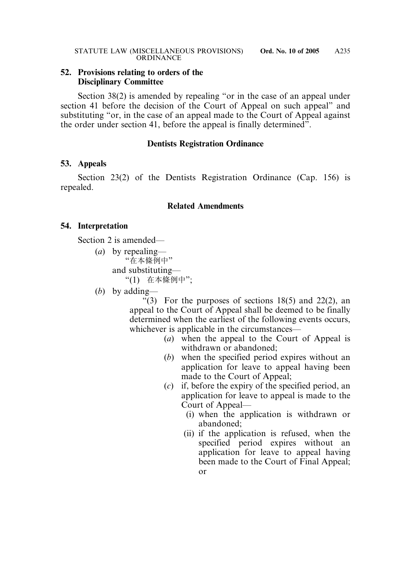## **52. Provisions relating to orders of the Disciplinary Committee**

Section 38(2) is amended by repealing "or in the case of an appeal under section 41 before the decision of the Court of Appeal on such appeal" and substituting "or, in the case of an appeal made to the Court of Appeal against the order under section 41, before the appeal is finally determined".

#### **Dentists Registration Ordinance**

## **53. Appeals**

Section 23(2) of the Dentists Registration Ordinance (Cap. 156) is repealed.

## **Related Amendments**

## **54. Interpretation**

Section 2 is amended—

- (*a*) by repealing— "在本條例中" and substituting— "(1) 在本條例中";
- (*b*) by adding—

"(3) For the purposes of sections  $18(5)$  and  $22(2)$ , an appeal to the Court of Appeal shall be deemed to be finally determined when the earliest of the following events occurs, whichever is applicable in the circumstances—

- (*a*) when the appeal to the Court of Appeal is withdrawn or abandoned;
- (*b*) when the specified period expires without an application for leave to appeal having been made to the Court of Appeal;
- (*c*) if, before the expiry of the specified period, an application for leave to appeal is made to the Court of Appeal—
	- (i) when the application is withdrawn or abandoned;
	- (ii) if the application is refused, when the specified period expires without an application for leave to appeal having been made to the Court of Final Appeal; or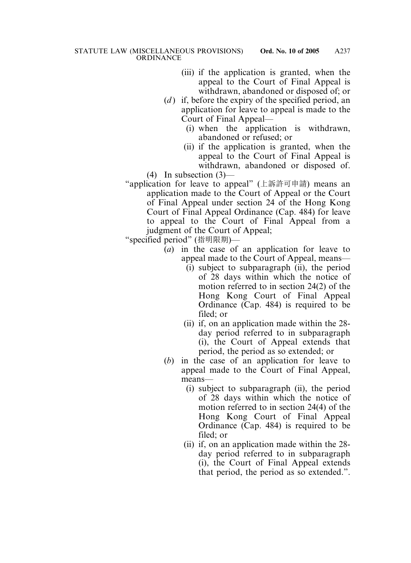- (iii) if the application is granted, when the appeal to the Court of Final Appeal is withdrawn, abandoned or disposed of; or
- (*d*) if, before the expiry of the specified period, an application for leave to appeal is made to the Court of Final Appeal—
	- (i) when the application is withdrawn, abandoned or refused; or
	- (ii) if the application is granted, when the appeal to the Court of Final Appeal is withdrawn, abandoned or disposed of.

(4) In subsection (3)—

"application for leave to appeal" (上訴許可申請) means an application made to the Court of Appeal or the Court of Final Appeal under section 24 of the Hong Kong Court of Final Appeal Ordinance (Cap. 484) for leave to appeal to the Court of Final Appeal from a judgment of the Court of Appeal;

"specified period" (指明限期)—

- (*a*) in the case of an application for leave to appeal made to the Court of Appeal, means—
	- (i) subject to subparagraph (ii), the period of 28 days within which the notice of motion referred to in section 24(2) of the Hong Kong Court of Final Appeal Ordinance (Cap. 484) is required to be filed; or
	- (ii) if, on an application made within the 28 day period referred to in subparagraph (i), the Court of Appeal extends that period, the period as so extended; or
- (*b*) in the case of an application for leave to appeal made to the Court of Final Appeal, means—
	- (i) subject to subparagraph (ii), the period of 28 days within which the notice of motion referred to in section 24(4) of the Hong Kong Court of Final Appeal Ordinance (Cap. 484) is required to be filed; or
	- (ii) if, on an application made within the 28 day period referred to in subparagraph (i), the Court of Final Appeal extends that period, the period as so extended.".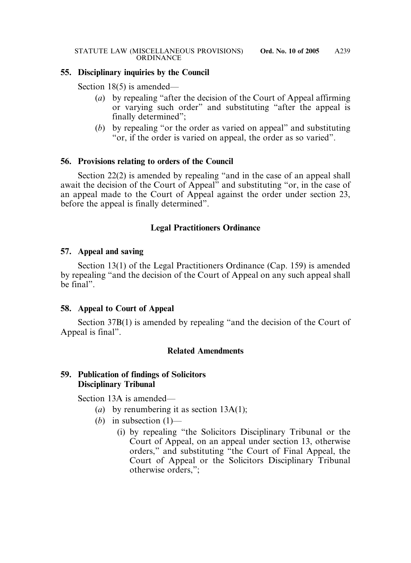## **55. Disciplinary inquiries by the Council**

Section 18(5) is amended—

- (*a*) by repealing "after the decision of the Court of Appeal affirming or varying such order" and substituting "after the appeal is finally determined";
- (*b*) by repealing "or the order as varied on appeal" and substituting "or, if the order is varied on appeal, the order as so varied".

#### **56. Provisions relating to orders of the Council**

Section 22(2) is amended by repealing "and in the case of an appeal shall await the decision of the Court of Appeal" and substituting "or, in the case of an appeal made to the Court of Appeal against the order under section 23, before the appeal is finally determined".

## **Legal Practitioners Ordinance**

#### **57. Appeal and saving**

Section 13(1) of the Legal Practitioners Ordinance (Cap. 159) is amended by repealing "and the decision of the Court of Appeal on any such appeal shall be final".

## **58. Appeal to Court of Appeal**

Section 37B(1) is amended by repealing "and the decision of the Court of Appeal is final".

## **Related Amendments**

## **59. Publication of findings of Solicitors Disciplinary Tribunal**

Section 13A is amended—

- (*a*) by renumbering it as section 13A(1);
- (*b*) in subsection (1)—
	- (i) by repealing "the Solicitors Disciplinary Tribunal or the Court of Appeal, on an appeal under section 13, otherwise orders," and substituting "the Court of Final Appeal, the Court of Appeal or the Solicitors Disciplinary Tribunal otherwise orders,";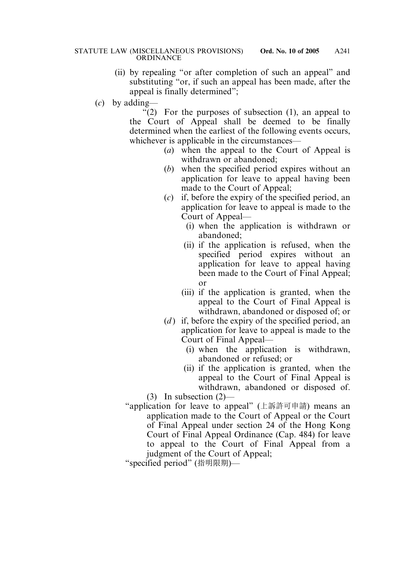- (ii) by repealing "or after completion of such an appeal" and substituting "or, if such an appeal has been made, after the appeal is finally determined";
- (*c*) by adding—

 $(2)$  For the purposes of subsection (1), an appeal to the Court of Appeal shall be deemed to be finally determined when the earliest of the following events occurs, whichever is applicable in the circumstances—

- (*a*) when the appeal to the Court of Appeal is withdrawn or abandoned;
- (*b*) when the specified period expires without an application for leave to appeal having been made to the Court of Appeal;
- (*c*) if, before the expiry of the specified period, an application for leave to appeal is made to the Court of Appeal—
	- (i) when the application is withdrawn or abandoned;
	- (ii) if the application is refused, when the specified period expires without an application for leave to appeal having been made to the Court of Final Appeal; or
	- (iii) if the application is granted, when the appeal to the Court of Final Appeal is withdrawn, abandoned or disposed of; or
- (*d*) if, before the expiry of the specified period, an application for leave to appeal is made to the Court of Final Appeal—
	- (i) when the application is withdrawn, abandoned or refused; or
- (ii) if the application is granted, when the appeal to the Court of Final Appeal is withdrawn, abandoned or disposed of. (3) In subsection (2)—

"application for leave to appeal" (上訴許可申請) means an application made to the Court of Appeal or the Court of Final Appeal under section 24 of the Hong Kong Court of Final Appeal Ordinance (Cap. 484) for leave to appeal to the Court of Final Appeal from a judgment of the Court of Appeal; "specified period" (指明限期)—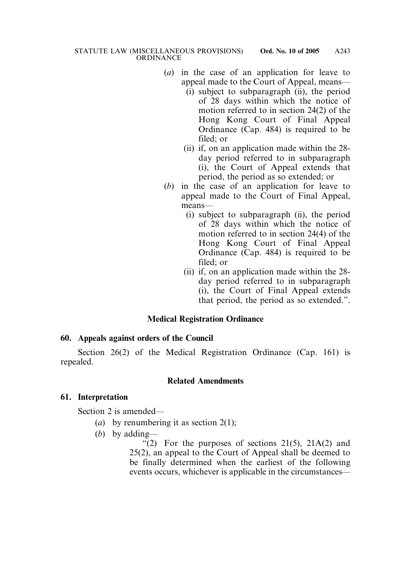- (*a*) in the case of an application for leave to appeal made to the Court of Appeal, means—
	- (i) subject to subparagraph (ii), the period of 28 days within which the notice of motion referred to in section 24(2) of the Hong Kong Court of Final Appeal Ordinance (Cap. 484) is required to be filed; or
	- (ii) if, on an application made within the 28 day period referred to in subparagraph (i), the Court of Appeal extends that period, the period as so extended; or
- (*b*) in the case of an application for leave to appeal made to the Court of Final Appeal, means—
	- (i) subject to subparagraph (ii), the period of 28 days within which the notice of motion referred to in section 24(4) of the Hong Kong Court of Final Appeal Ordinance (Cap. 484) is required to be filed; or
	- (ii) if, on an application made within the 28 day period referred to in subparagraph (i), the Court of Final Appeal extends that period, the period as so extended.".

# **Medical Registration Ordinance**

# **60. Appeals against orders of the Council**

Section 26(2) of the Medical Registration Ordinance (Cap. 161) is repealed.

# **Related Amendments**

# **61. Interpretation**

Section 2 is amended—

- (*a*) by renumbering it as section 2(1);
- (*b*) by adding—

"(2) For the purposes of sections  $21(5)$ ,  $21A(2)$  and 25(2), an appeal to the Court of Appeal shall be deemed to be finally determined when the earliest of the following events occurs, whichever is applicable in the circumstances—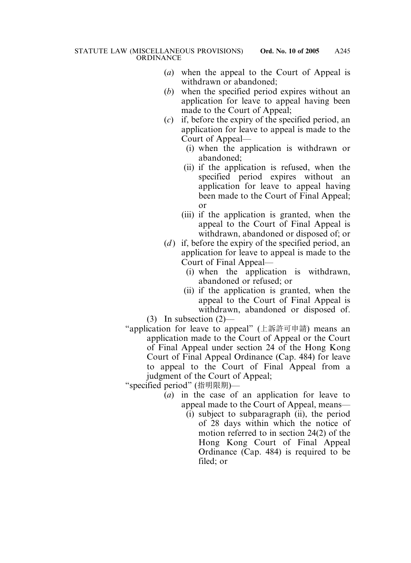- (*a*) when the appeal to the Court of Appeal is withdrawn or abandoned;
- (*b*) when the specified period expires without an application for leave to appeal having been made to the Court of Appeal;
- (*c*) if, before the expiry of the specified period, an application for leave to appeal is made to the Court of Appeal—
	- (i) when the application is withdrawn or abandoned;
	- (ii) if the application is refused, when the specified period expires without an application for leave to appeal having been made to the Court of Final Appeal; or
	- (iii) if the application is granted, when the appeal to the Court of Final Appeal is withdrawn, abandoned or disposed of; or
- (*d*) if, before the expiry of the specified period, an application for leave to appeal is made to the Court of Final Appeal—
	- (i) when the application is withdrawn, abandoned or refused; or
	- (ii) if the application is granted, when the appeal to the Court of Final Appeal is withdrawn, abandoned or disposed of.
- (3) In subsection (2)—
- "application for leave to appeal" (上訴許可申請) means an application made to the Court of Appeal or the Court of Final Appeal under section 24 of the Hong Kong Court of Final Appeal Ordinance (Cap. 484) for leave to appeal to the Court of Final Appeal from a judgment of the Court of Appeal;

"specified period" (指明限期)—

- (*a*) in the case of an application for leave to appeal made to the Court of Appeal, means—
	- (i) subject to subparagraph (ii), the period of 28 days within which the notice of motion referred to in section 24(2) of the Hong Kong Court of Final Appeal Ordinance (Cap. 484) is required to be filed; or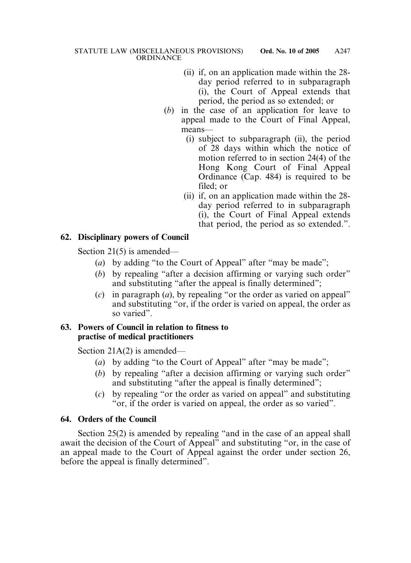- (ii) if, on an application made within the 28 day period referred to in subparagraph (i), the Court of Appeal extends that period, the period as so extended; or
- (*b*) in the case of an application for leave to appeal made to the Court of Final Appeal, means—
	- (i) subject to subparagraph (ii), the period of 28 days within which the notice of motion referred to in section 24(4) of the Hong Kong Court of Final Appeal Ordinance (Cap. 484) is required to be filed; or
	- (ii) if, on an application made within the 28 day period referred to in subparagraph (i), the Court of Final Appeal extends that period, the period as so extended.".

# **62. Disciplinary powers of Council**

Section 21(5) is amended—

- (*a*) by adding "to the Court of Appeal" after "may be made";
- (*b*) by repealing "after a decision affirming or varying such order" and substituting "after the appeal is finally determined";
- (*c*) in paragraph (*a*), by repealing "or the order as varied on appeal" and substituting "or, if the order is varied on appeal, the order as so varied".

## **63. Powers of Council in relation to fitness to practise of medical practitioners**

Section 21A(2) is amended—

- (*a*) by adding "to the Court of Appeal" after "may be made";
- (*b*) by repealing "after a decision affirming or varying such order" and substituting "after the appeal is finally determined";
- (*c*) by repealing "or the order as varied on appeal" and substituting "or, if the order is varied on appeal, the order as so varied".

# **64. Orders of the Council**

Section 25(2) is amended by repealing "and in the case of an appeal shall await the decision of the Court of Appeal" and substituting "or, in the case of an appeal made to the Court of Appeal against the order under section 26, before the appeal is finally determined".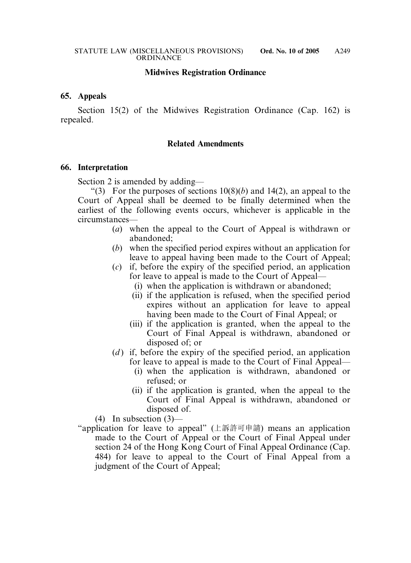#### **Midwives Registration Ordinance**

#### **65. Appeals**

Section 15(2) of the Midwives Registration Ordinance (Cap. 162) is repealed.

#### **Related Amendments**

#### **66. Interpretation**

Section 2 is amended by adding—

"(3) For the purposes of sections  $10(8)(b)$  and  $14(2)$ , an appeal to the Court of Appeal shall be deemed to be finally determined when the earliest of the following events occurs, whichever is applicable in the circumstances—

- (*a*) when the appeal to the Court of Appeal is withdrawn or abandoned;
- (*b*) when the specified period expires without an application for leave to appeal having been made to the Court of Appeal;
- (*c*) if, before the expiry of the specified period, an application for leave to appeal is made to the Court of Appeal—
	- (i) when the application is withdrawn or abandoned;
	- (ii) if the application is refused, when the specified period expires without an application for leave to appeal having been made to the Court of Final Appeal; or
	- (iii) if the application is granted, when the appeal to the Court of Final Appeal is withdrawn, abandoned or disposed of; or
- (*d*) if, before the expiry of the specified period, an application for leave to appeal is made to the Court of Final Appeal—
	- (i) when the application is withdrawn, abandoned or refused; or
	- (ii) if the application is granted, when the appeal to the Court of Final Appeal is withdrawn, abandoned or disposed of.

(4) In subsection  $(3)$ —

"application for leave to appeal" (上訴許可申請) means an application made to the Court of Appeal or the Court of Final Appeal under section 24 of the Hong Kong Court of Final Appeal Ordinance (Cap. 484) for leave to appeal to the Court of Final Appeal from a judgment of the Court of Appeal;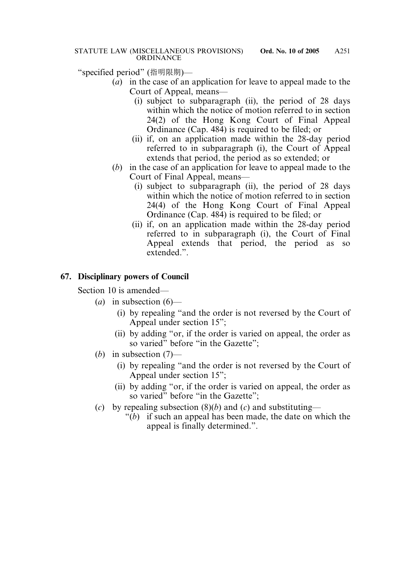"specified period" (指明限期)—

- (*a*) in the case of an application for leave to appeal made to the Court of Appeal, means—
	- (i) subject to subparagraph (ii), the period of 28 days within which the notice of motion referred to in section 24(2) of the Hong Kong Court of Final Appeal Ordinance (Cap. 484) is required to be filed; or
	- (ii) if, on an application made within the 28-day period referred to in subparagraph (i), the Court of Appeal extends that period, the period as so extended; or
- (*b*) in the case of an application for leave to appeal made to the Court of Final Appeal, means—
	- (i) subject to subparagraph (ii), the period of 28 days within which the notice of motion referred to in section 24(4) of the Hong Kong Court of Final Appeal Ordinance (Cap. 484) is required to be filed; or
	- (ii) if, on an application made within the 28-day period referred to in subparagraph (i), the Court of Final Appeal extends that period, the period as so extended.".

# **67. Disciplinary powers of Council**

Section 10 is amended—

- (*a*) in subsection (6)—
	- (i) by repealing "and the order is not reversed by the Court of Appeal under section 15";
	- (ii) by adding "or, if the order is varied on appeal, the order as so varied" before "in the Gazette":
- (*b*) in subsection (7)—
	- (i) by repealing "and the order is not reversed by the Court of Appeal under section 15";
	- (ii) by adding "or, if the order is varied on appeal, the order as so varied" before "in the Gazette":
- (*c*) by repealing subsection (8)(*b*) and (*c*) and substituting—
	- "(*b*) if such an appeal has been made, the date on which the appeal is finally determined.".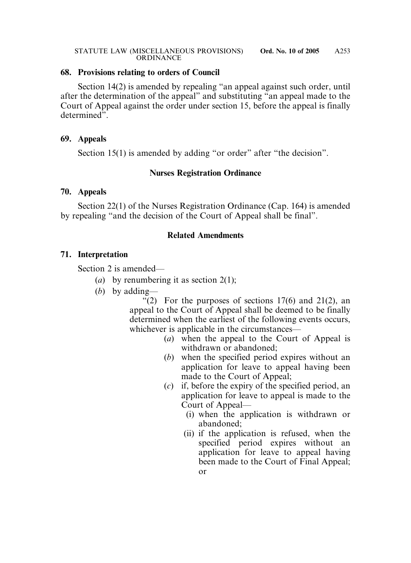#### **68. Provisions relating to orders of Council**

Section 14(2) is amended by repealing "an appeal against such order, until after the determination of the appeal" and substituting "an appeal made to the Court of Appeal against the order under section 15, before the appeal is finally determined".

#### **69. Appeals**

Section 15(1) is amended by adding "or order" after "the decision".

## **Nurses Registration Ordinance**

#### **70. Appeals**

Section 22(1) of the Nurses Registration Ordinance (Cap. 164) is amended by repealing "and the decision of the Court of Appeal shall be final".

## **Related Amendments**

## **71. Interpretation**

Section 2 is amended—

- (*a*) by renumbering it as section 2(1);
- (*b*) by adding—

"(2) For the purposes of sections  $17(6)$  and  $21(2)$ , an appeal to the Court of Appeal shall be deemed to be finally determined when the earliest of the following events occurs, whichever is applicable in the circumstances—

- (*a*) when the appeal to the Court of Appeal is withdrawn or abandoned;
- (*b*) when the specified period expires without an application for leave to appeal having been made to the Court of Appeal;
- (*c*) if, before the expiry of the specified period, an application for leave to appeal is made to the Court of Appeal—
	- (i) when the application is withdrawn or abandoned;
	- (ii) if the application is refused, when the specified period expires without an application for leave to appeal having been made to the Court of Final Appeal; or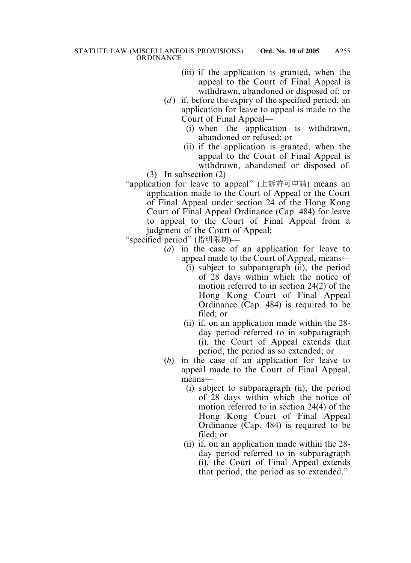- (iii) if the application is granted, when the appeal to the Court of Final Appeal is withdrawn, abandoned or disposed of; or
- (*d*) if, before the expiry of the specified period, an application for leave to appeal is made to the Court of Final Appeal—
	- (i) when the application is withdrawn, abandoned or refused; or
	- (ii) if the application is granted, when the appeal to the Court of Final Appeal is withdrawn, abandoned or disposed of.

(3) In subsection (2)—

"application for leave to appeal" (上訴許可申請) means an application made to the Court of Appeal or the Court of Final Appeal under section 24 of the Hong Kong Court of Final Appeal Ordinance (Cap. 484) for leave to appeal to the Court of Final Appeal from a judgment of the Court of Appeal;

"specified period" (指明限期)—

- (*a*) in the case of an application for leave to appeal made to the Court of Appeal, means—
	- (i) subject to subparagraph (ii), the period of 28 days within which the notice of motion referred to in section 24(2) of the Hong Kong Court of Final Appeal Ordinance (Cap. 484) is required to be filed; or
	- (ii) if, on an application made within the 28 day period referred to in subparagraph (i), the Court of Appeal extends that period, the period as so extended; or
- (*b*) in the case of an application for leave to appeal made to the Court of Final Appeal, means—
	- (i) subject to subparagraph (ii), the period of 28 days within which the notice of motion referred to in section 24(4) of the Hong Kong Court of Final Appeal Ordinance (Cap. 484) is required to be filed; or
	- (ii) if, on an application made within the 28 day period referred to in subparagraph (i), the Court of Final Appeal extends that period, the period as so extended.".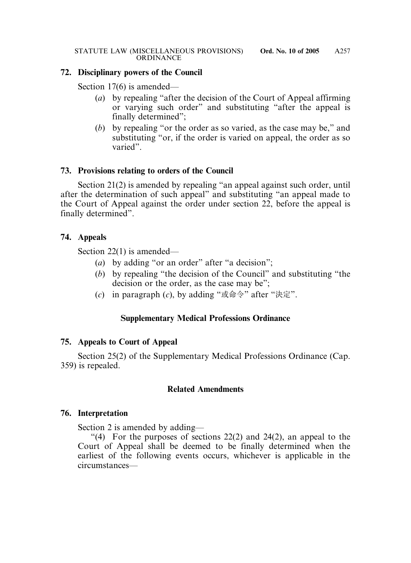## **72. Disciplinary powers of the Council**

Section 17(6) is amended—

- (*a*) by repealing "after the decision of the Court of Appeal affirming or varying such order" and substituting "after the appeal is finally determined";
- (*b*) by repealing "or the order as so varied, as the case may be," and substituting "or, if the order is varied on appeal, the order as so varied".

## **73. Provisions relating to orders of the Council**

Section 21(2) is amended by repealing "an appeal against such order, until after the determination of such appeal" and substituting "an appeal made to the Court of Appeal against the order under section 22, before the appeal is finally determined".

# **74. Appeals**

Section 22(1) is amended—

- (*a*) by adding "or an order" after "a decision";
- (*b*) by repealing "the decision of the Council" and substituting "the decision or the order, as the case may be";
- (*c*) in paragraph (*c*), by adding "或命令" after "決定".

# **Supplementary Medical Professions Ordinance**

# **75. Appeals to Court of Appeal**

Section 25(2) of the Supplementary Medical Professions Ordinance (Cap. 359) is repealed.

# **Related Amendments**

# **76. Interpretation**

Section 2 is amended by adding—

"(4) For the purposes of sections  $22(2)$  and  $24(2)$ , an appeal to the Court of Appeal shall be deemed to be finally determined when the earliest of the following events occurs, whichever is applicable in the circumstances—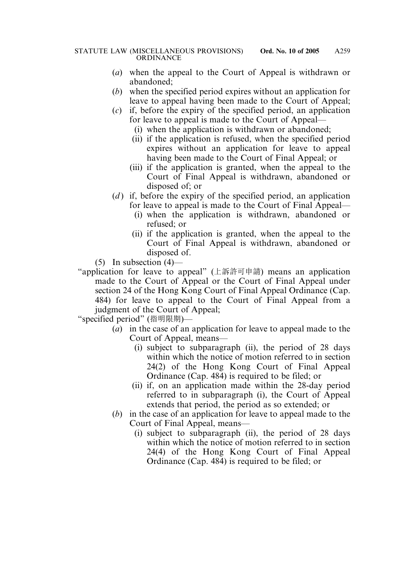- (*a*) when the appeal to the Court of Appeal is withdrawn or abandoned;
- (*b*) when the specified period expires without an application for leave to appeal having been made to the Court of Appeal;
- (*c*) if, before the expiry of the specified period, an application for leave to appeal is made to the Court of Appeal—
	- (i) when the application is withdrawn or abandoned;
	- (ii) if the application is refused, when the specified period expires without an application for leave to appeal having been made to the Court of Final Appeal; or
	- (iii) if the application is granted, when the appeal to the Court of Final Appeal is withdrawn, abandoned or disposed of; or
- (*d*) if, before the expiry of the specified period, an application for leave to appeal is made to the Court of Final Appeal—
	- (i) when the application is withdrawn, abandoned or refused; or
	- (ii) if the application is granted, when the appeal to the Court of Final Appeal is withdrawn, abandoned or disposed of.

 $(5)$  In subsection  $(4)$ —

"application for leave to appeal" (上訴許可申請) means an application made to the Court of Appeal or the Court of Final Appeal under section 24 of the Hong Kong Court of Final Appeal Ordinance (Cap. 484) for leave to appeal to the Court of Final Appeal from a judgment of the Court of Appeal;

"specified period" (指明限期)—

- (*a*) in the case of an application for leave to appeal made to the Court of Appeal, means—
	- (i) subject to subparagraph (ii), the period of 28 days within which the notice of motion referred to in section 24(2) of the Hong Kong Court of Final Appeal Ordinance (Cap. 484) is required to be filed; or
	- (ii) if, on an application made within the 28-day period referred to in subparagraph (i), the Court of Appeal extends that period, the period as so extended; or
- (*b*) in the case of an application for leave to appeal made to the Court of Final Appeal, means—
	- (i) subject to subparagraph (ii), the period of 28 days within which the notice of motion referred to in section 24(4) of the Hong Kong Court of Final Appeal Ordinance (Cap. 484) is required to be filed; or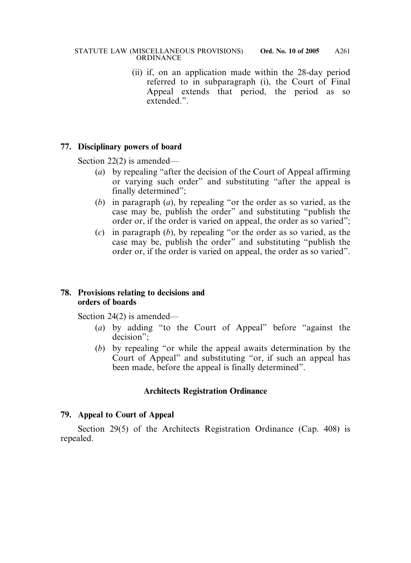(ii) if, on an application made within the 28-day period referred to in subparagraph (i), the Court of Final Appeal extends that period, the period as so extended.".

## **77. Disciplinary powers of board**

Section 22(2) is amended—

- (*a*) by repealing "after the decision of the Court of Appeal affirming or varying such order" and substituting "after the appeal is finally determined";
- (*b*) in paragraph (*a*), by repealing "or the order as so varied, as the case may be, publish the order" and substituting "publish the order or, if the order is varied on appeal, the order as so varied";
- (*c*) in paragraph (*b*), by repealing "or the order as so varied, as the case may be, publish the order" and substituting "publish the order or, if the order is varied on appeal, the order as so varied".

## **78. Provisions relating to decisions and orders of boards**

Section 24(2) is amended—

- (*a*) by adding "to the Court of Appeal" before "against the decision";
- (*b*) by repealing "or while the appeal awaits determination by the Court of Appeal" and substituting "or, if such an appeal has been made, before the appeal is finally determined".

# **Architects Registration Ordinance**

## **79. Appeal to Court of Appeal**

Section 29(5) of the Architects Registration Ordinance (Cap. 408) is repealed.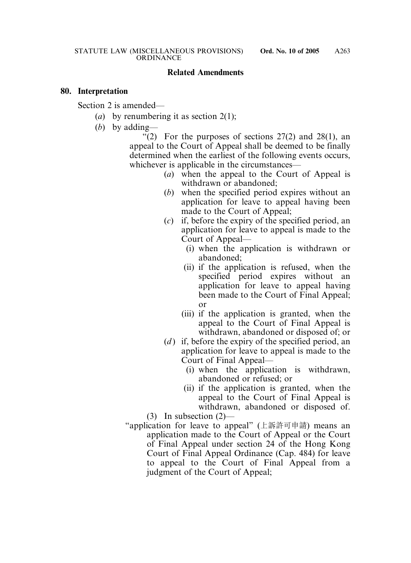#### **Related Amendments**

#### **80. Interpretation**

Section 2 is amended—

- (*a*) by renumbering it as section 2(1);
- (*b*) by adding—

"(2) For the purposes of sections  $27(2)$  and  $28(1)$ , an appeal to the Court of Appeal shall be deemed to be finally determined when the earliest of the following events occurs, whichever is applicable in the circumstances—

- (*a*) when the appeal to the Court of Appeal is withdrawn or abandoned;
- (*b*) when the specified period expires without an application for leave to appeal having been made to the Court of Appeal;
- (*c*) if, before the expiry of the specified period, an application for leave to appeal is made to the Court of Appeal—
	- (i) when the application is withdrawn or abandoned;
	- (ii) if the application is refused, when the specified period expires without an application for leave to appeal having been made to the Court of Final Appeal; or
	- (iii) if the application is granted, when the appeal to the Court of Final Appeal is withdrawn, abandoned or disposed of; or
- (*d*) if, before the expiry of the specified period, an application for leave to appeal is made to the Court of Final Appeal—
	- (i) when the application is withdrawn, abandoned or refused; or
	- (ii) if the application is granted, when the appeal to the Court of Final Appeal is withdrawn, abandoned or disposed of.

(3) In subsection (2)—

"application for leave to appeal" (上訴許可申請) means an application made to the Court of Appeal or the Court of Final Appeal under section 24 of the Hong Kong Court of Final Appeal Ordinance (Cap. 484) for leave to appeal to the Court of Final Appeal from a judgment of the Court of Appeal;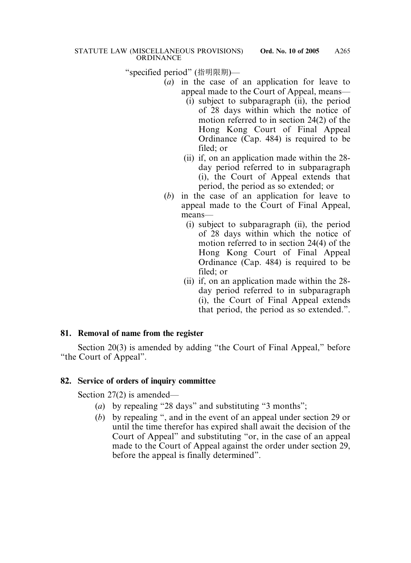"specified period" (指明限期)—

- (*a*) in the case of an application for leave to appeal made to the Court of Appeal, means—
	- (i) subject to subparagraph (ii), the period of 28 days within which the notice of motion referred to in section 24(2) of the Hong Kong Court of Final Appeal Ordinance (Cap. 484) is required to be filed; or
	- (ii) if, on an application made within the 28 day period referred to in subparagraph (i), the Court of Appeal extends that period, the period as so extended; or
- (*b*) in the case of an application for leave to appeal made to the Court of Final Appeal, means—
	- (i) subject to subparagraph (ii), the period of 28 days within which the notice of motion referred to in section 24(4) of the Hong Kong Court of Final Appeal Ordinance (Cap. 484) is required to be filed; or
	- (ii) if, on an application made within the 28 day period referred to in subparagraph (i), the Court of Final Appeal extends that period, the period as so extended.".

# **81. Removal of name from the register**

Section 20(3) is amended by adding "the Court of Final Appeal," before "the Court of Appeal".

# **82. Service of orders of inquiry committee**

Section 27(2) is amended—

- (*a*) by repealing "28 days" and substituting "3 months";
- (*b*) by repealing ", and in the event of an appeal under section 29 or until the time therefor has expired shall await the decision of the Court of Appeal" and substituting "or, in the case of an appeal made to the Court of Appeal against the order under section 29, before the appeal is finally determined".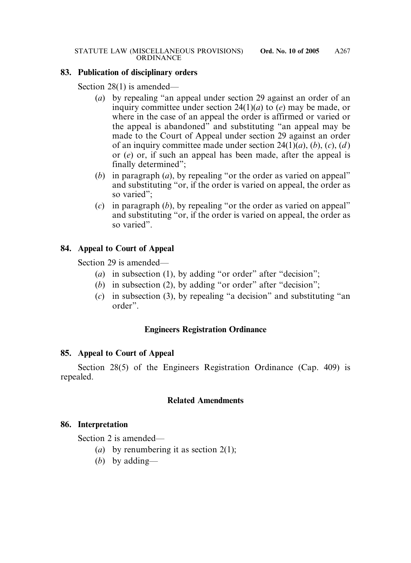#### **83. Publication of disciplinary orders**

Section 28(1) is amended—

- (*a*) by repealing "an appeal under section 29 against an order of an inquiry committee under section 24(1)(*a*) to (*e*) may be made, or where in the case of an appeal the order is affirmed or varied or the appeal is abandoned" and substituting "an appeal may be made to the Court of Appeal under section 29 against an order of an inquiry committee made under section 24(1)(*a*), (*b*), (*c*), (*d* ) or (*e*) or, if such an appeal has been made, after the appeal is finally determined";
- (*b*) in paragraph (*a*), by repealing "or the order as varied on appeal" and substituting "or, if the order is varied on appeal, the order as so varied";
- (*c*) in paragraph (*b*), by repealing "or the order as varied on appeal" and substituting "or, if the order is varied on appeal, the order as so varied".

## **84. Appeal to Court of Appeal**

Section 29 is amended—

- (*a*) in subsection (1), by adding "or order" after "decision";
- (*b*) in subsection (2), by adding "or order" after "decision";
- (*c*) in subsection (3), by repealing "a decision" and substituting "an order".

## **Engineers Registration Ordinance**

## **85. Appeal to Court of Appeal**

Section 28(5) of the Engineers Registration Ordinance (Cap. 409) is repealed.

## **Related Amendments**

## **86. Interpretation**

Section 2 is amended—

- (*a*) by renumbering it as section 2(1);
- (*b*) by adding—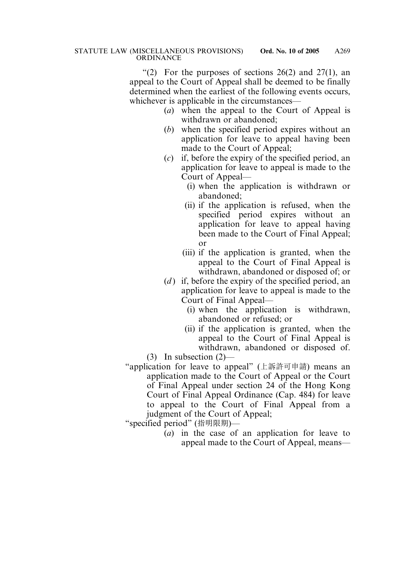"(2) For the purposes of sections  $26(2)$  and  $27(1)$ , an appeal to the Court of Appeal shall be deemed to be finally determined when the earliest of the following events occurs, whichever is applicable in the circumstances—

- (*a*) when the appeal to the Court of Appeal is withdrawn or abandoned;
- (*b*) when the specified period expires without an application for leave to appeal having been made to the Court of Appeal;
- (*c*) if, before the expiry of the specified period, an application for leave to appeal is made to the Court of Appeal—
	- (i) when the application is withdrawn or abandoned;
	- (ii) if the application is refused, when the specified period expires without an application for leave to appeal having been made to the Court of Final Appeal; or
	- (iii) if the application is granted, when the appeal to the Court of Final Appeal is withdrawn, abandoned or disposed of; or
- (*d*) if, before the expiry of the specified period, an application for leave to appeal is made to the Court of Final Appeal—
	- (i) when the application is withdrawn, abandoned or refused; or
	- (ii) if the application is granted, when the appeal to the Court of Final Appeal is withdrawn, abandoned or disposed of.

(3) In subsection (2)—

"application for leave to appeal" (上訴許可申請) means an application made to the Court of Appeal or the Court of Final Appeal under section 24 of the Hong Kong Court of Final Appeal Ordinance (Cap. 484) for leave to appeal to the Court of Final Appeal from a judgment of the Court of Appeal;

"specified period" (指明限期)—

(*a*) in the case of an application for leave to appeal made to the Court of Appeal, means—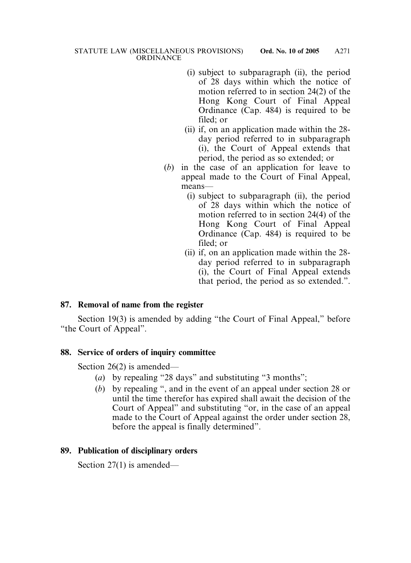- (i) subject to subparagraph (ii), the period of 28 days within which the notice of motion referred to in section 24(2) of the Hong Kong Court of Final Appeal Ordinance (Cap. 484) is required to be filed; or
- (ii) if, on an application made within the 28 day period referred to in subparagraph (i), the Court of Appeal extends that period, the period as so extended; or
- (*b*) in the case of an application for leave to appeal made to the Court of Final Appeal, means—
	- (i) subject to subparagraph (ii), the period of 28 days within which the notice of motion referred to in section 24(4) of the Hong Kong Court of Final Appeal Ordinance (Cap. 484) is required to be filed; or
	- (ii) if, on an application made within the 28 day period referred to in subparagraph (i), the Court of Final Appeal extends that period, the period as so extended.".

# **87. Removal of name from the register**

Section 19(3) is amended by adding "the Court of Final Appeal," before "the Court of Appeal".

# **88. Service of orders of inquiry committee**

Section 26(2) is amended—

- (*a*) by repealing "28 days" and substituting "3 months";
- (*b*) by repealing ", and in the event of an appeal under section 28 or until the time therefor has expired shall await the decision of the Court of Appeal" and substituting "or, in the case of an appeal made to the Court of Appeal against the order under section 28, before the appeal is finally determined".

## **89. Publication of disciplinary orders**

Section 27(1) is amended—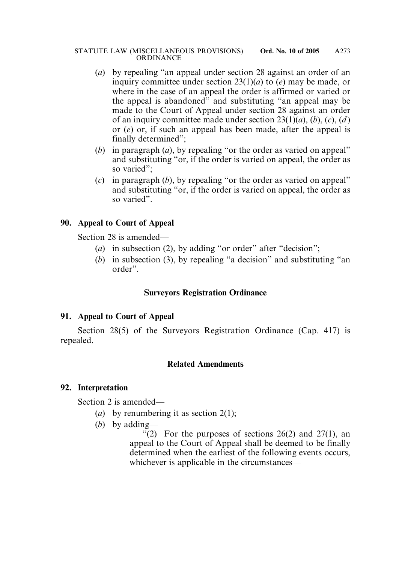#### STATUTE LAW (MISCELLANEOUS PROVISIONS) **Ord. No. 10 of 2005 ORDINANCE** A273

- (*a*) by repealing "an appeal under section 28 against an order of an inquiry committee under section 23(1)(*a*) to (*e*) may be made, or where in the case of an appeal the order is affirmed or varied or the appeal is abandoned" and substituting "an appeal may be made to the Court of Appeal under section 28 against an order of an inquiry committee made under section 23(1)(*a*), (*b*), (*c*), (*d* ) or (*e*) or, if such an appeal has been made, after the appeal is finally determined";
- (*b*) in paragraph (*a*), by repealing "or the order as varied on appeal" and substituting "or, if the order is varied on appeal, the order as so varied";
- (*c*) in paragraph (*b*), by repealing "or the order as varied on appeal" and substituting "or, if the order is varied on appeal, the order as so varied".

# **90. Appeal to Court of Appeal**

Section 28 is amended—

- (*a*) in subsection (2), by adding "or order" after "decision";
- (*b*) in subsection (3), by repealing "a decision" and substituting "an order".

# **Surveyors Registration Ordinance**

# **91. Appeal to Court of Appeal**

Section 28(5) of the Surveyors Registration Ordinance (Cap. 417) is repealed.

## **Related Amendments**

## **92. Interpretation**

Section 2 is amended—

- (*a*) by renumbering it as section 2(1);
- (*b*) by adding—

"(2) For the purposes of sections  $26(2)$  and  $27(1)$ , an appeal to the Court of Appeal shall be deemed to be finally determined when the earliest of the following events occurs, whichever is applicable in the circumstances—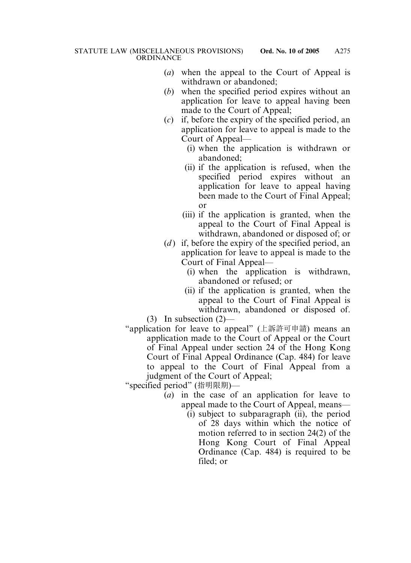- (*a*) when the appeal to the Court of Appeal is withdrawn or abandoned;
- (*b*) when the specified period expires without an application for leave to appeal having been made to the Court of Appeal;
- (*c*) if, before the expiry of the specified period, an application for leave to appeal is made to the Court of Appeal—
	- (i) when the application is withdrawn or abandoned;
	- (ii) if the application is refused, when the specified period expires without an application for leave to appeal having been made to the Court of Final Appeal; or
	- (iii) if the application is granted, when the appeal to the Court of Final Appeal is withdrawn, abandoned or disposed of; or
- (*d*) if, before the expiry of the specified period, an application for leave to appeal is made to the Court of Final Appeal—
	- (i) when the application is withdrawn, abandoned or refused; or
	- (ii) if the application is granted, when the appeal to the Court of Final Appeal is withdrawn, abandoned or disposed of.

(3) In subsection (2)—

"application for leave to appeal" (上訴許可申請) means an application made to the Court of Appeal or the Court of Final Appeal under section 24 of the Hong Kong Court of Final Appeal Ordinance (Cap. 484) for leave to appeal to the Court of Final Appeal from a judgment of the Court of Appeal;

"specified period" (指明限期)—

- (*a*) in the case of an application for leave to appeal made to the Court of Appeal, means—
	- (i) subject to subparagraph (ii), the period of 28 days within which the notice of motion referred to in section 24(2) of the Hong Kong Court of Final Appeal Ordinance (Cap. 484) is required to be filed; or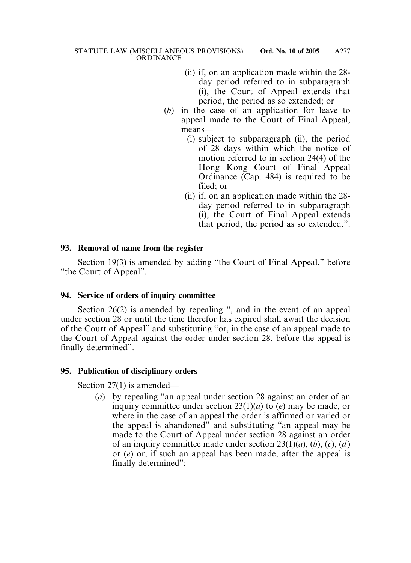- (ii) if, on an application made within the 28 day period referred to in subparagraph (i), the Court of Appeal extends that period, the period as so extended; or
- (*b*) in the case of an application for leave to appeal made to the Court of Final Appeal, means—
	- (i) subject to subparagraph (ii), the period of 28 days within which the notice of motion referred to in section 24(4) of the Hong Kong Court of Final Appeal Ordinance (Cap. 484) is required to be filed; or
	- (ii) if, on an application made within the 28 day period referred to in subparagraph (i), the Court of Final Appeal extends that period, the period as so extended.".

## **93. Removal of name from the register**

Section 19(3) is amended by adding "the Court of Final Appeal," before "the Court of Appeal".

## **94. Service of orders of inquiry committee**

Section 26(2) is amended by repealing ", and in the event of an appeal under section 28 or until the time therefor has expired shall await the decision of the Court of Appeal" and substituting "or, in the case of an appeal made to the Court of Appeal against the order under section 28, before the appeal is finally determined".

## **95. Publication of disciplinary orders**

Section 27(1) is amended—

(*a*) by repealing "an appeal under section 28 against an order of an inquiry committee under section 23(1)(*a*) to (*e*) may be made, or where in the case of an appeal the order is affirmed or varied or the appeal is abandoned" and substituting "an appeal may be made to the Court of Appeal under section 28 against an order of an inquiry committee made under section 23(1)(*a*), (*b*), (*c*), (*d* ) or (*e*) or, if such an appeal has been made, after the appeal is finally determined";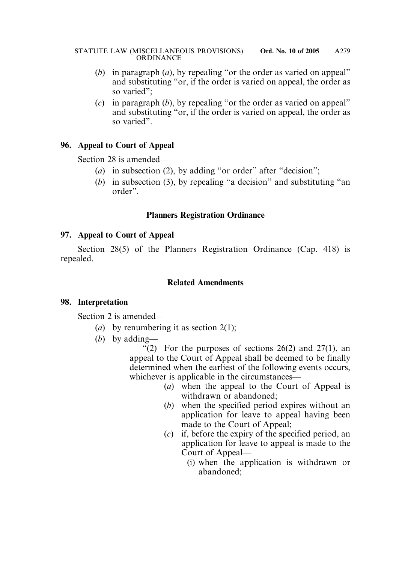- (*b*) in paragraph (*a*), by repealing "or the order as varied on appeal" and substituting "or, if the order is varied on appeal, the order as so varied";
- (*c*) in paragraph (*b*), by repealing "or the order as varied on appeal" and substituting "or, if the order is varied on appeal, the order as so varied".

# **96. Appeal to Court of Appeal**

Section 28 is amended—

- (*a*) in subsection (2), by adding "or order" after "decision";
- (*b*) in subsection (3), by repealing "a decision" and substituting "an order".

## **Planners Registration Ordinance**

## **97. Appeal to Court of Appeal**

Section 28(5) of the Planners Registration Ordinance (Cap. 418) is repealed.

## **Related Amendments**

## **98. Interpretation**

Section 2 is amended—

- (*a*) by renumbering it as section 2(1);
- (*b*) by adding—

"(2) For the purposes of sections  $26(2)$  and  $27(1)$ , an appeal to the Court of Appeal shall be deemed to be finally determined when the earliest of the following events occurs, whichever is applicable in the circumstances—

- (*a*) when the appeal to the Court of Appeal is withdrawn or abandoned;
- (*b*) when the specified period expires without an application for leave to appeal having been made to the Court of Appeal;
- (*c*) if, before the expiry of the specified period, an application for leave to appeal is made to the Court of Appeal—
	- (i) when the application is withdrawn or abandoned;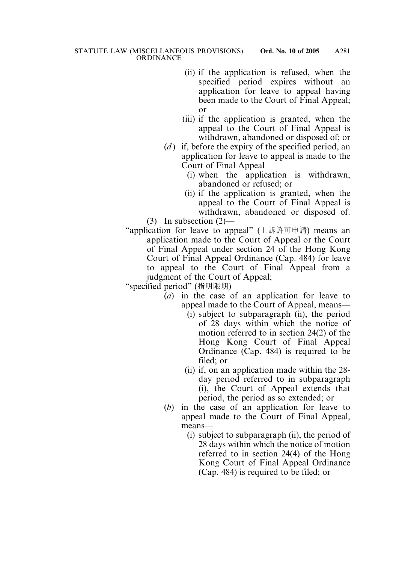- (ii) if the application is refused, when the specified period expires without an application for leave to appeal having been made to the Court of Final Appeal; or
- (iii) if the application is granted, when the appeal to the Court of Final Appeal is withdrawn, abandoned or disposed of; or
- (*d*) if, before the expiry of the specified period, an application for leave to appeal is made to the Court of Final Appeal—
	- (i) when the application is withdrawn, abandoned or refused; or
	- (ii) if the application is granted, when the appeal to the Court of Final Appeal is withdrawn, abandoned or disposed of.

(3) In subsection (2)—

"application for leave to appeal" (上訴許可申請) means an application made to the Court of Appeal or the Court of Final Appeal under section 24 of the Hong Kong Court of Final Appeal Ordinance (Cap. 484) for leave to appeal to the Court of Final Appeal from a judgment of the Court of Appeal;

"specified period" (指明限期)—

- (*a*) in the case of an application for leave to appeal made to the Court of Appeal, means—
	- (i) subject to subparagraph (ii), the period of 28 days within which the notice of motion referred to in section 24(2) of the Hong Kong Court of Final Appeal Ordinance (Cap. 484) is required to be filed; or
	- (ii) if, on an application made within the 28 day period referred to in subparagraph (i), the Court of Appeal extends that period, the period as so extended; or
- (*b*) in the case of an application for leave to appeal made to the Court of Final Appeal, means—
	- (i) subject to subparagraph (ii), the period of 28 days within which the notice of motion referred to in section 24(4) of the Hong Kong Court of Final Appeal Ordinance (Cap. 484) is required to be filed; or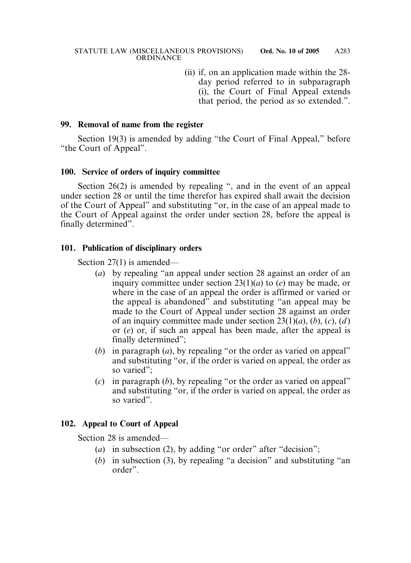(ii) if, on an application made within the 28 day period referred to in subparagraph (i), the Court of Final Appeal extends that period, the period as so extended.".

#### **99. Removal of name from the register**

Section 19(3) is amended by adding "the Court of Final Appeal," before "the Court of Appeal".

#### **100. Service of orders of inquiry committee**

Section 26(2) is amended by repealing ", and in the event of an appeal under section 28 or until the time therefor has expired shall await the decision of the Court of Appeal" and substituting "or, in the case of an appeal made to the Court of Appeal against the order under section 28, before the appeal is finally determined".

#### **101. Publication of disciplinary orders**

Section 27(1) is amended—

- (*a*) by repealing "an appeal under section 28 against an order of an inquiry committee under section 23(1)(*a*) to (*e*) may be made, or where in the case of an appeal the order is affirmed or varied or the appeal is abandoned" and substituting "an appeal may be made to the Court of Appeal under section 28 against an order of an inquiry committee made under section 23(1)(*a*), (*b*), (*c*), (*d* ) or (*e*) or, if such an appeal has been made, after the appeal is finally determined";
- (*b*) in paragraph (*a*), by repealing "or the order as varied on appeal" and substituting "or, if the order is varied on appeal, the order as so varied";
- (*c*) in paragraph (*b*), by repealing "or the order as varied on appeal" and substituting "or, if the order is varied on appeal, the order as so varied".

## **102. Appeal to Court of Appeal**

Section 28 is amended—

- (*a*) in subsection (2), by adding "or order" after "decision";
- (*b*) in subsection (3), by repealing "a decision" and substituting "an order".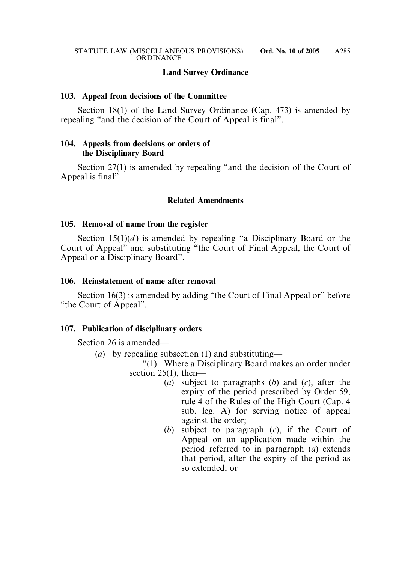## **Land Survey Ordinance**

#### **103. Appeal from decisions of the Committee**

Section 18(1) of the Land Survey Ordinance (Cap. 473) is amended by repealing "and the decision of the Court of Appeal is final".

## **104. Appeals from decisions or orders of the Disciplinary Board**

Section 27(1) is amended by repealing "and the decision of the Court of Appeal is final".

## **Related Amendments**

#### **105. Removal of name from the register**

Section  $15(1)(d)$  is amended by repealing "a Disciplinary Board or the Court of Appeal" and substituting "the Court of Final Appeal, the Court of Appeal or a Disciplinary Board".

#### **106. Reinstatement of name after removal**

Section 16(3) is amended by adding "the Court of Final Appeal or" before "the Court of Appeal".

#### **107. Publication of disciplinary orders**

Section 26 is amended—

- (*a*) by repealing subsection (1) and substituting—
	- "(1) Where a Disciplinary Board makes an order under section  $25(1)$ , then—
		- (*a*) subject to paragraphs (*b*) and (*c*), after the expiry of the period prescribed by Order 59, rule 4 of the Rules of the High Court (Cap. 4 sub. leg. A) for serving notice of appeal against the order;
		- (*b*) subject to paragraph (*c*), if the Court of Appeal on an application made within the period referred to in paragraph (*a*) extends that period, after the expiry of the period as so extended; or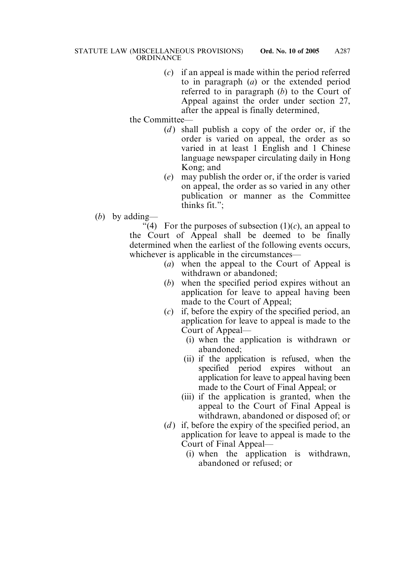(*c*) if an appeal is made within the period referred to in paragraph (*a*) or the extended period referred to in paragraph (*b*) to the Court of Appeal against the order under section 27, after the appeal is finally determined,

the Committee—

- (*d*) shall publish a copy of the order or, if the order is varied on appeal, the order as so varied in at least 1 English and 1 Chinese language newspaper circulating daily in Hong Kong; and
- (*e*) may publish the order or, if the order is varied on appeal, the order as so varied in any other publication or manner as the Committee thinks fit.";
- (*b*) by adding—

"(4) For the purposes of subsection  $(1)(c)$ , an appeal to the Court of Appeal shall be deemed to be finally determined when the earliest of the following events occurs, whichever is applicable in the circumstances—

- (*a*) when the appeal to the Court of Appeal is withdrawn or abandoned;
- (*b*) when the specified period expires without an application for leave to appeal having been made to the Court of Appeal;
- (*c*) if, before the expiry of the specified period, an application for leave to appeal is made to the Court of Appeal—
	- (i) when the application is withdrawn or abandoned;
	- (ii) if the application is refused, when the specified period expires without an application for leave to appeal having been made to the Court of Final Appeal; or
	- (iii) if the application is granted, when the appeal to the Court of Final Appeal is withdrawn, abandoned or disposed of; or
- (*d*) if, before the expiry of the specified period, an application for leave to appeal is made to the Court of Final Appeal—
	- (i) when the application is withdrawn, abandoned or refused; or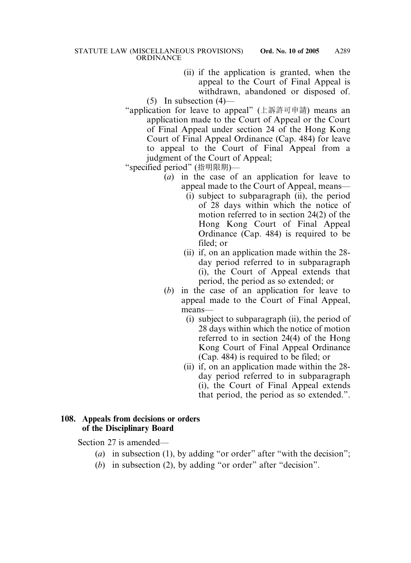(ii) if the application is granted, when the appeal to the Court of Final Appeal is withdrawn, abandoned or disposed of.

 $(5)$  In subsection  $(4)$ —

"application for leave to appeal" (上訴許可申請) means an application made to the Court of Appeal or the Court of Final Appeal under section 24 of the Hong Kong Court of Final Appeal Ordinance (Cap. 484) for leave to appeal to the Court of Final Appeal from a judgment of the Court of Appeal;

"specified period" (指明限期)—

- (*a*) in the case of an application for leave to appeal made to the Court of Appeal, means—
	- (i) subject to subparagraph (ii), the period of 28 days within which the notice of motion referred to in section 24(2) of the Hong Kong Court of Final Appeal Ordinance (Cap. 484) is required to be filed; or
	- (ii) if, on an application made within the 28 day period referred to in subparagraph (i), the Court of Appeal extends that period, the period as so extended; or
- (*b*) in the case of an application for leave to appeal made to the Court of Final Appeal, means—
	- (i) subject to subparagraph (ii), the period of 28 days within which the notice of motion referred to in section 24(4) of the Hong Kong Court of Final Appeal Ordinance (Cap. 484) is required to be filed; or
	- (ii) if, on an application made within the 28 day period referred to in subparagraph (i), the Court of Final Appeal extends that period, the period as so extended.".

## **108. Appeals from decisions or orders of the Disciplinary Board**

Section 27 is amended—

- (*a*) in subsection (1), by adding "or order" after "with the decision";
- (*b*) in subsection (2), by adding "or order" after "decision".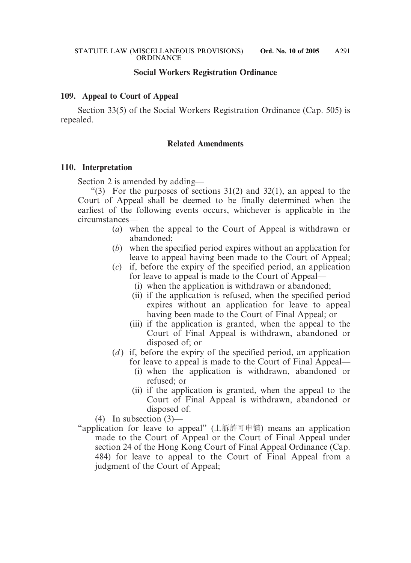## **Social Workers Registration Ordinance**

#### **109. Appeal to Court of Appeal**

Section 33(5) of the Social Workers Registration Ordinance (Cap. 505) is repealed.

#### **Related Amendments**

#### **110. Interpretation**

Section 2 is amended by adding—

"(3) For the purposes of sections  $31(2)$  and  $32(1)$ , an appeal to the Court of Appeal shall be deemed to be finally determined when the earliest of the following events occurs, whichever is applicable in the circumstances—

- (*a*) when the appeal to the Court of Appeal is withdrawn or abandoned;
- (*b*) when the specified period expires without an application for leave to appeal having been made to the Court of Appeal;
- (*c*) if, before the expiry of the specified period, an application for leave to appeal is made to the Court of Appeal—
	- (i) when the application is withdrawn or abandoned;
	- (ii) if the application is refused, when the specified period expires without an application for leave to appeal having been made to the Court of Final Appeal; or
	- (iii) if the application is granted, when the appeal to the Court of Final Appeal is withdrawn, abandoned or disposed of; or
- (*d*) if, before the expiry of the specified period, an application for leave to appeal is made to the Court of Final Appeal—
	- (i) when the application is withdrawn, abandoned or refused; or
	- (ii) if the application is granted, when the appeal to the Court of Final Appeal is withdrawn, abandoned or disposed of.

(4) In subsection (3)—

"application for leave to appeal" (上訴許可申請) means an application made to the Court of Appeal or the Court of Final Appeal under section 24 of the Hong Kong Court of Final Appeal Ordinance (Cap. 484) for leave to appeal to the Court of Final Appeal from a judgment of the Court of Appeal;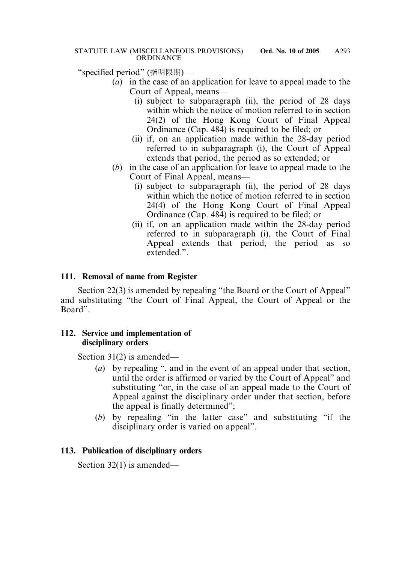"specified period" (指明限期)—

- (*a*) in the case of an application for leave to appeal made to the Court of Appeal, means—
	- (i) subject to subparagraph (ii), the period of 28 days within which the notice of motion referred to in section 24(2) of the Hong Kong Court of Final Appeal Ordinance (Cap. 484) is required to be filed; or
	- (ii) if, on an application made within the 28-day period referred to in subparagraph (i), the Court of Appeal extends that period, the period as so extended; or
- (*b*) in the case of an application for leave to appeal made to the Court of Final Appeal, means—
	- (i) subject to subparagraph (ii), the period of 28 days within which the notice of motion referred to in section 24(4) of the Hong Kong Court of Final Appeal Ordinance (Cap. 484) is required to be filed; or
	- (ii) if, on an application made within the 28-day period referred to in subparagraph (i), the Court of Final Appeal extends that period, the period as so extended."

## **111. Removal of name from Register**

Section 22(3) is amended by repealing "the Board or the Court of Appeal" and substituting "the Court of Final Appeal, the Court of Appeal or the Board".

### **112. Service and implementation of disciplinary orders**

Section 31(2) is amended—

- (*a*) by repealing ", and in the event of an appeal under that section, until the order is affirmed or varied by the Court of Appeal" and substituting "or, in the case of an appeal made to the Court of Appeal against the disciplinary order under that section, before the appeal is finally determined";
- (*b*) by repealing "in the latter case" and substituting "if the disciplinary order is varied on appeal".

## **113. Publication of disciplinary orders**

Section 32(1) is amended—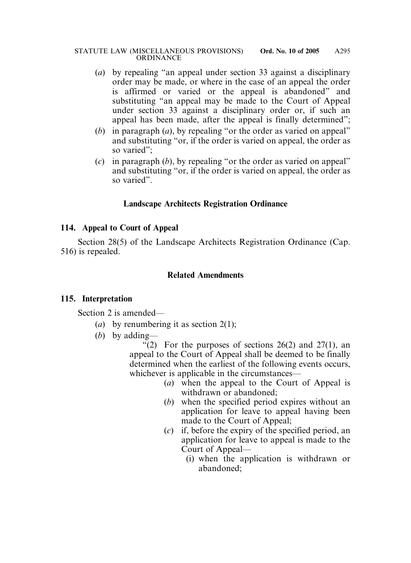- (*a*) by repealing "an appeal under section 33 against a disciplinary order may be made, or where in the case of an appeal the order is affirmed or varied or the appeal is abandoned" and substituting "an appeal may be made to the Court of Appeal under section 33 against a disciplinary order or, if such an appeal has been made, after the appeal is finally determined";
- (*b*) in paragraph (*a*), by repealing "or the order as varied on appeal" and substituting "or, if the order is varied on appeal, the order as so varied";
- (*c*) in paragraph (*b*), by repealing "or the order as varied on appeal" and substituting "or, if the order is varied on appeal, the order as so varied".

## **Landscape Architects Registration Ordinance**

### **114. Appeal to Court of Appeal**

Section 28(5) of the Landscape Architects Registration Ordinance (Cap. 516) is repealed.

### **Related Amendments**

#### **115. Interpretation**

Section 2 is amended—

- (*a*) by renumbering it as section 2(1);
- (*b*) by adding—

"(2) For the purposes of sections  $26(2)$  and  $27(1)$ , an appeal to the Court of Appeal shall be deemed to be finally determined when the earliest of the following events occurs, whichever is applicable in the circumstances—

- (*a*) when the appeal to the Court of Appeal is withdrawn or abandoned;
- (*b*) when the specified period expires without an application for leave to appeal having been made to the Court of Appeal;
- (*c*) if, before the expiry of the specified period, an application for leave to appeal is made to the Court of Appeal—
	- (i) when the application is withdrawn or abandoned;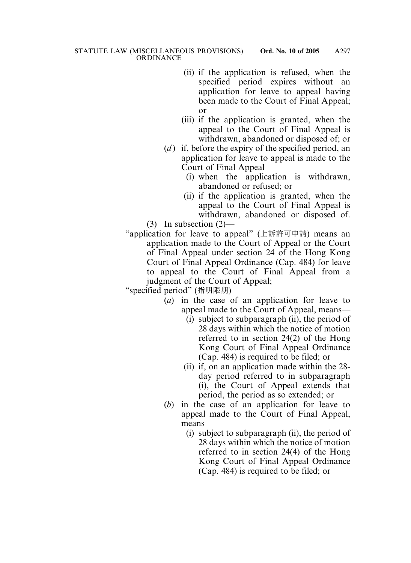- (ii) if the application is refused, when the specified period expires without an application for leave to appeal having been made to the Court of Final Appeal; or
- (iii) if the application is granted, when the appeal to the Court of Final Appeal is withdrawn, abandoned or disposed of; or
- (*d*) if, before the expiry of the specified period, an application for leave to appeal is made to the Court of Final Appeal—
	- (i) when the application is withdrawn, abandoned or refused; or
- (ii) if the application is granted, when the appeal to the Court of Final Appeal is withdrawn, abandoned or disposed of. (3) In subsection (2)—
- "application for leave to appeal" (上訴許可申請) means an application made to the Court of Appeal or the Court of Final Appeal under section 24 of the Hong Kong Court of Final Appeal Ordinance (Cap. 484) for leave to appeal to the Court of Final Appeal from a judgment of the Court of Appeal;

"specified period" (指明限期)—

- (*a*) in the case of an application for leave to appeal made to the Court of Appeal, means—
	- (i) subject to subparagraph (ii), the period of 28 days within which the notice of motion referred to in section 24(2) of the Hong Kong Court of Final Appeal Ordinance (Cap. 484) is required to be filed; or
	- (ii) if, on an application made within the 28 day period referred to in subparagraph (i), the Court of Appeal extends that period, the period as so extended; or
- (*b*) in the case of an application for leave to appeal made to the Court of Final Appeal, means—
	- (i) subject to subparagraph (ii), the period of 28 days within which the notice of motion referred to in section 24(4) of the Hong Kong Court of Final Appeal Ordinance (Cap. 484) is required to be filed; or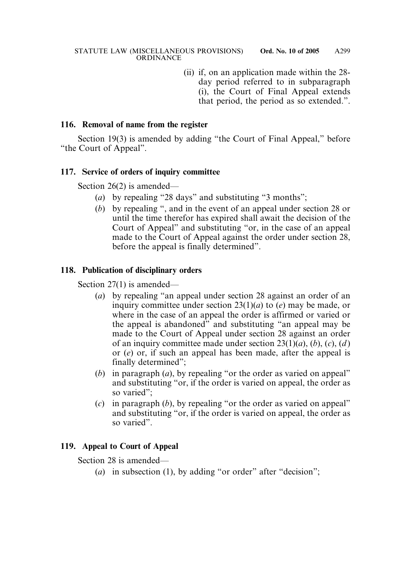(ii) if, on an application made within the 28 day period referred to in subparagraph (i), the Court of Final Appeal extends that period, the period as so extended.".

#### **116. Removal of name from the register**

Section 19(3) is amended by adding "the Court of Final Appeal," before "the Court of Appeal".

#### **117. Service of orders of inquiry committee**

Section 26(2) is amended—

- (*a*) by repealing "28 days" and substituting "3 months";
- (*b*) by repealing ", and in the event of an appeal under section 28 or until the time therefor has expired shall await the decision of the Court of Appeal" and substituting "or, in the case of an appeal made to the Court of Appeal against the order under section 28, before the appeal is finally determined".

### **118. Publication of disciplinary orders**

Section 27(1) is amended—

- (*a*) by repealing "an appeal under section 28 against an order of an inquiry committee under section 23(1)(*a*) to (*e*) may be made, or where in the case of an appeal the order is affirmed or varied or the appeal is abandoned" and substituting "an appeal may be made to the Court of Appeal under section 28 against an order of an inquiry committee made under section 23(1)(*a*), (*b*), (*c*), (*d* ) or (*e*) or, if such an appeal has been made, after the appeal is finally determined";
- (*b*) in paragraph (*a*), by repealing "or the order as varied on appeal" and substituting "or, if the order is varied on appeal, the order as so varied":
- (*c*) in paragraph (*b*), by repealing "or the order as varied on appeal" and substituting "or, if the order is varied on appeal, the order as so varied".

## **119. Appeal to Court of Appeal**

Section 28 is amended—

(*a*) in subsection (1), by adding "or order" after "decision";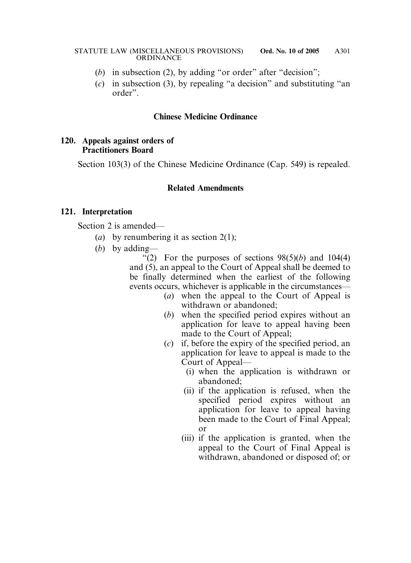- (*b*) in subsection (2), by adding "or order" after "decision";
- (*c*) in subsection (3), by repealing "a decision" and substituting "an order".

#### **Chinese Medicine Ordinance**

#### **120. Appeals against orders of Practitioners Board**

Section 103(3) of the Chinese Medicine Ordinance (Cap. 549) is repealed.

## **Related Amendments**

#### **121. Interpretation**

Section 2 is amended—

- (*a*) by renumbering it as section 2(1);
- (*b*) by adding—

"(2) For the purposes of sections  $98(5)(b)$  and  $104(4)$ and (5), an appeal to the Court of Appeal shall be deemed to be finally determined when the earliest of the following events occurs, whichever is applicable in the circumstances—

- (*a*) when the appeal to the Court of Appeal is withdrawn or abandoned;
- (*b*) when the specified period expires without an application for leave to appeal having been made to the Court of Appeal;
- (*c*) if, before the expiry of the specified period, an application for leave to appeal is made to the Court of Appeal—
	- (i) when the application is withdrawn or abandoned;
	- (ii) if the application is refused, when the specified period expires without an application for leave to appeal having been made to the Court of Final Appeal; or
	- (iii) if the application is granted, when the appeal to the Court of Final Appeal is withdrawn, abandoned or disposed of; or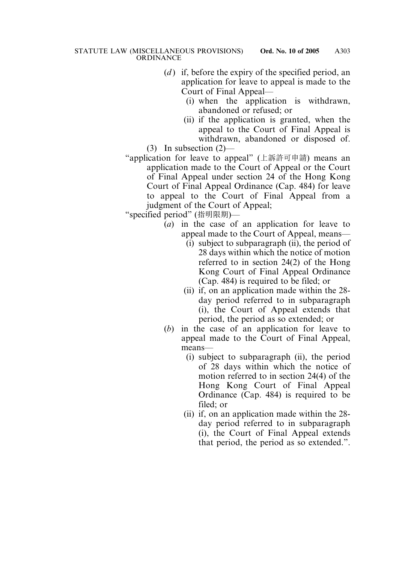- (*d*) if, before the expiry of the specified period, an application for leave to appeal is made to the Court of Final Appeal—
	- (i) when the application is withdrawn, abandoned or refused; or
- (ii) if the application is granted, when the appeal to the Court of Final Appeal is withdrawn, abandoned or disposed of. (3) In subsection (2)—
- "application for leave to appeal" (上訴許可申請) means an application made to the Court of Appeal or the Court of Final Appeal under section 24 of the Hong Kong Court of Final Appeal Ordinance (Cap. 484) for leave to appeal to the Court of Final Appeal from a judgment of the Court of Appeal;

"specified period" (指明限期)—

- (*a*) in the case of an application for leave to appeal made to the Court of Appeal, means—
	- (i) subject to subparagraph (ii), the period of 28 days within which the notice of motion referred to in section 24(2) of the Hong Kong Court of Final Appeal Ordinance (Cap. 484) is required to be filed; or
	- (ii) if, on an application made within the 28 day period referred to in subparagraph (i), the Court of Appeal extends that period, the period as so extended; or
- (*b*) in the case of an application for leave to appeal made to the Court of Final Appeal, means—
	- (i) subject to subparagraph (ii), the period of 28 days within which the notice of motion referred to in section 24(4) of the Hong Kong Court of Final Appeal Ordinance (Cap. 484) is required to be filed; or
	- (ii) if, on an application made within the 28 day period referred to in subparagraph (i), the Court of Final Appeal extends that period, the period as so extended.".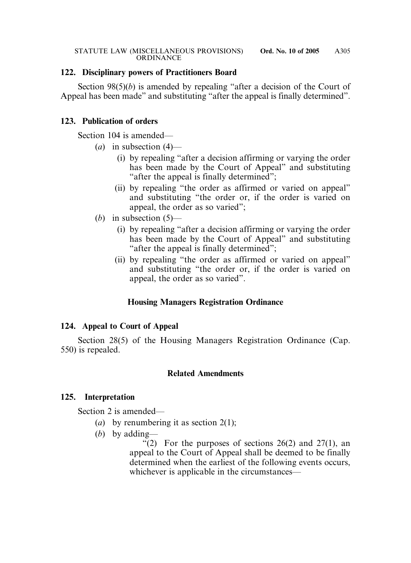## **122. Disciplinary powers of Practitioners Board**

Section 98(5)(*b*) is amended by repealing "after a decision of the Court of Appeal has been made" and substituting "after the appeal is finally determined".

## **123. Publication of orders**

Section 104 is amended—

- (*a*) in subsection (4)—
	- (i) by repealing "after a decision affirming or varying the order has been made by the Court of Appeal" and substituting "after the appeal is finally determined";
	- (ii) by repealing "the order as affirmed or varied on appeal" and substituting "the order or, if the order is varied on appeal, the order as so varied";
- (*b*) in subsection (5)—
	- (i) by repealing "after a decision affirming or varying the order has been made by the Court of Appeal" and substituting "after the appeal is finally determined";
	- (ii) by repealing "the order as affirmed or varied on appeal" and substituting "the order or, if the order is varied on appeal, the order as so varied".

## **Housing Managers Registration Ordinance**

## **124. Appeal to Court of Appeal**

Section 28(5) of the Housing Managers Registration Ordinance (Cap. 550) is repealed.

#### **Related Amendments**

#### **125. Interpretation**

Section 2 is amended—

- (*a*) by renumbering it as section 2(1);
- (*b*) by adding—

"(2) For the purposes of sections  $26(2)$  and  $27(1)$ , an appeal to the Court of Appeal shall be deemed to be finally determined when the earliest of the following events occurs, whichever is applicable in the circumstances—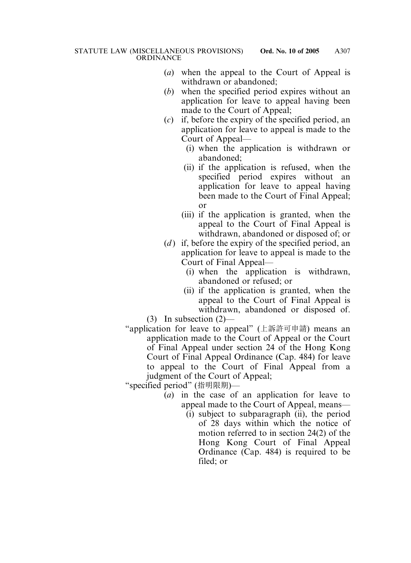- (*a*) when the appeal to the Court of Appeal is withdrawn or abandoned;
- (*b*) when the specified period expires without an application for leave to appeal having been made to the Court of Appeal;
- (*c*) if, before the expiry of the specified period, an application for leave to appeal is made to the Court of Appeal—
	- (i) when the application is withdrawn or abandoned;
	- (ii) if the application is refused, when the specified period expires without an application for leave to appeal having been made to the Court of Final Appeal; or
	- (iii) if the application is granted, when the appeal to the Court of Final Appeal is withdrawn, abandoned or disposed of; or
- (*d*) if, before the expiry of the specified period, an application for leave to appeal is made to the Court of Final Appeal—
	- (i) when the application is withdrawn, abandoned or refused; or
	- (ii) if the application is granted, when the appeal to the Court of Final Appeal is withdrawn, abandoned or disposed of.
- (3) In subsection (2)—
- "application for leave to appeal" (上訴許可申請) means an application made to the Court of Appeal or the Court of Final Appeal under section 24 of the Hong Kong Court of Final Appeal Ordinance (Cap. 484) for leave to appeal to the Court of Final Appeal from a judgment of the Court of Appeal;

"specified period" (指明限期)—

- (*a*) in the case of an application for leave to appeal made to the Court of Appeal, means—
	- (i) subject to subparagraph (ii), the period of 28 days within which the notice of motion referred to in section 24(2) of the Hong Kong Court of Final Appeal Ordinance (Cap. 484) is required to be filed; or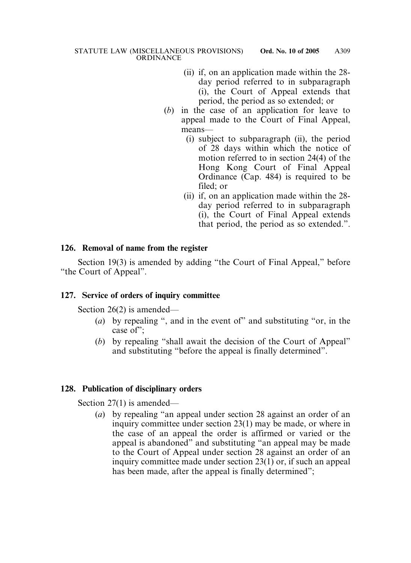- (ii) if, on an application made within the 28 day period referred to in subparagraph (i), the Court of Appeal extends that period, the period as so extended; or
- (*b*) in the case of an application for leave to appeal made to the Court of Final Appeal, means—
	- (i) subject to subparagraph (ii), the period of 28 days within which the notice of motion referred to in section 24(4) of the Hong Kong Court of Final Appeal Ordinance (Cap. 484) is required to be filed; or
	- (ii) if, on an application made within the 28 day period referred to in subparagraph (i), the Court of Final Appeal extends that period, the period as so extended.".

#### **126. Removal of name from the register**

Section 19(3) is amended by adding "the Court of Final Appeal," before "the Court of Appeal".

## **127. Service of orders of inquiry committee**

Section 26(2) is amended—

- (*a*) by repealing ", and in the event of" and substituting "or, in the case of";
- (*b*) by repealing "shall await the decision of the Court of Appeal" and substituting "before the appeal is finally determined".

## **128. Publication of disciplinary orders**

Section 27(1) is amended—

(*a*) by repealing "an appeal under section 28 against an order of an inquiry committee under section 23(1) may be made, or where in the case of an appeal the order is affirmed or varied or the appeal is abandoned" and substituting "an appeal may be made to the Court of Appeal under section 28 against an order of an inquiry committee made under section 23(1) or, if such an appeal has been made, after the appeal is finally determined";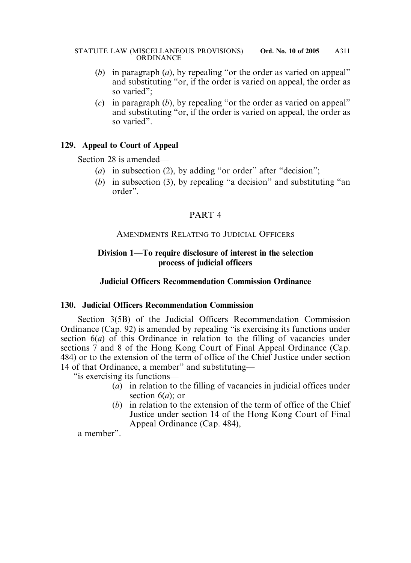- (*b*) in paragraph (*a*), by repealing "or the order as varied on appeal" and substituting "or, if the order is varied on appeal, the order as so varied";
- (*c*) in paragraph (*b*), by repealing "or the order as varied on appeal" and substituting "or, if the order is varied on appeal, the order as so varied".

## **129. Appeal to Court of Appeal**

Section 28 is amended—

- (*a*) in subsection (2), by adding "or order" after "decision";
- (*b*) in subsection (3), by repealing "a decision" and substituting "an order".

## PART 4

### AMENDMENTS RELATING TO JUDICIAL OFFICERS

## **Division 1**—**To require disclosure of interest in the selection process of judicial officers**

## **Judicial Officers Recommendation Commission Ordinance**

#### **130. Judicial Officers Recommendation Commission**

Section 3(5B) of the Judicial Officers Recommendation Commission Ordinance (Cap. 92) is amended by repealing "is exercising its functions under section 6(*a*) of this Ordinance in relation to the filling of vacancies under sections 7 and 8 of the Hong Kong Court of Final Appeal Ordinance (Cap. 484) or to the extension of the term of office of the Chief Justice under section 14 of that Ordinance, a member" and substituting—

"is exercising its functions—

- (*a*) in relation to the filling of vacancies in judicial offices under section 6(*a*); or
- (*b*) in relation to the extension of the term of office of the Chief Justice under section 14 of the Hong Kong Court of Final Appeal Ordinance (Cap. 484),

a member".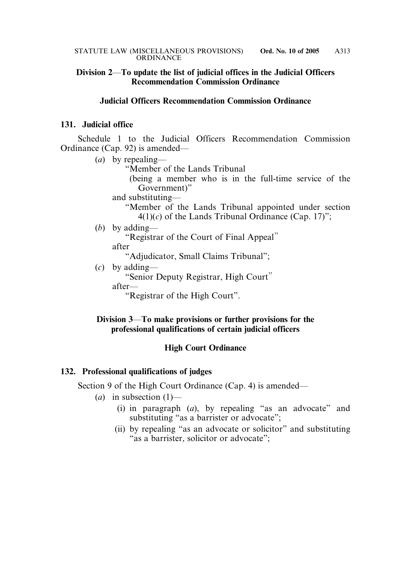## **Division 2**—**To update the list of judicial offices in the Judicial Officers Recommendation Commission Ordinance**

#### **Judicial Officers Recommendation Commission Ordinance**

#### **131. Judicial office**

Schedule 1 to the Judicial Officers Recommendation Commission Ordinance (Cap. 92) is amended—

(*a*) by repealing— "Member of the Lands Tribunal (being a member who is in the full-time service of the Government)" and substituting— "Member of the Lands Tribunal appointed under section  $4(1)(c)$  of the Lands Tribunal Ordinance (Cap. 17)"; (*b*) by adding— "Registrar of the Court of Final Appeal" after "Adjudicator, Small Claims Tribunal"; (*c*) by adding— "Senior Deputy Registrar, High Court" after— "Registrar of the High Court".

### **Division 3**—**To make provisions or further provisions for the professional qualifications of certain judicial officers**

#### **High Court Ordinance**

#### **132. Professional qualifications of judges**

Section 9 of the High Court Ordinance (Cap. 4) is amended—

- $(a)$  in subsection  $(1)$ 
	- (i) in paragraph (*a*), by repealing "as an advocate" and substituting "as a barrister or advocate";
	- (ii) by repealing "as an advocate or solicitor" and substituting "as a barrister, solicitor or advocate";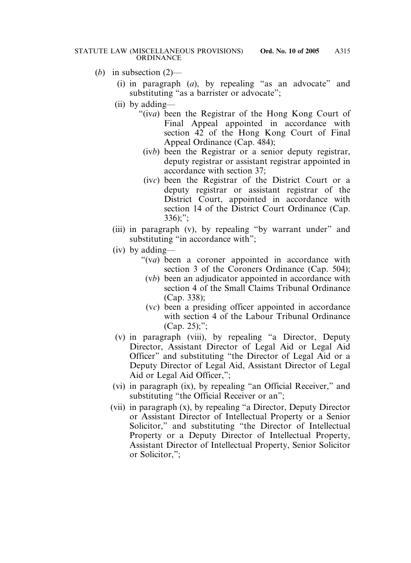- (*b*) in subsection (2)—
	- (i) in paragraph (*a*), by repealing "as an advocate" and substituting "as a barrister or advocate";
	- (ii) by adding—
		- "(iv*a*) been the Registrar of the Hong Kong Court of Final Appeal appointed in accordance with section 42 of the Hong Kong Court of Final Appeal Ordinance (Cap. 484);
			- (iv*b*) been the Registrar or a senior deputy registrar, deputy registrar or assistant registrar appointed in accordance with section 37;
			- (iv*c*) been the Registrar of the District Court or a deputy registrar or assistant registrar of the District Court, appointed in accordance with section 14 of the District Court Ordinance (Cap.  $336$ ;";
	- (iii) in paragraph (v), by repealing "by warrant under" and substituting "in accordance with";
	- (iv) by adding—
		- "(v*a*) been a coroner appointed in accordance with section 3 of the Coroners Ordinance (Cap. 504);
			- (v*b*) been an adjudicator appointed in accordance with section 4 of the Small Claims Tribunal Ordinance (Cap. 338);
			- (v*c*) been a presiding officer appointed in accordance with section 4 of the Labour Tribunal Ordinance (Cap. 25);";
	- (v) in paragraph (viii), by repealing "a Director, Deputy Director, Assistant Director of Legal Aid or Legal Aid Officer" and substituting "the Director of Legal Aid or a Deputy Director of Legal Aid, Assistant Director of Legal Aid or Legal Aid Officer,";
	- (vi) in paragraph (ix), by repealing "an Official Receiver," and substituting "the Official Receiver or an";
	- (vii) in paragraph (x), by repealing "a Director, Deputy Director or Assistant Director of Intellectual Property or a Senior Solicitor," and substituting "the Director of Intellectual Property or a Deputy Director of Intellectual Property, Assistant Director of Intellectual Property, Senior Solicitor or Solicitor,";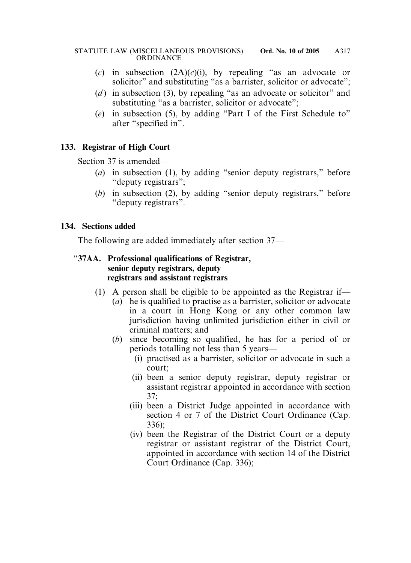- (*c*) in subsection (2A)(*c*)(i), by repealing "as an advocate or solicitor" and substituting "as a barrister, solicitor or advocate";
- (*d*) in subsection (3), by repealing "as an advocate or solicitor" and substituting "as a barrister, solicitor or advocate":
- (*e*) in subsection (5), by adding "Part I of the First Schedule to" after "specified in".

## **133. Registrar of High Court**

Section 37 is amended—

- (*a*) in subsection (1), by adding "senior deputy registrars," before "deputy registrars";
- (*b*) in subsection (2), by adding "senior deputy registrars," before "deputy registrars".

## **134. Sections added**

The following are added immediately after section 37—

## "**37AA. Professional qualifications of Registrar, senior deputy registrars, deputy registrars and assistant registrars**

- (1) A person shall be eligible to be appointed as the Registrar if—
	- (*a*) he is qualified to practise as a barrister, solicitor or advocate in a court in Hong Kong or any other common law jurisdiction having unlimited jurisdiction either in civil or criminal matters; and
	- (*b*) since becoming so qualified, he has for a period of or periods totalling not less than 5 years—
		- (i) practised as a barrister, solicitor or advocate in such a court;
		- (ii) been a senior deputy registrar, deputy registrar or assistant registrar appointed in accordance with section 37;
		- (iii) been a District Judge appointed in accordance with section 4 or 7 of the District Court Ordinance (Cap. 336);
		- (iv) been the Registrar of the District Court or a deputy registrar or assistant registrar of the District Court, appointed in accordance with section 14 of the District Court Ordinance (Cap. 336);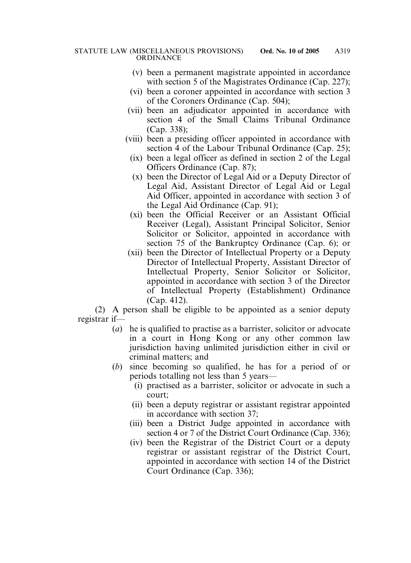- (v) been a permanent magistrate appointed in accordance with section 5 of the Magistrates Ordinance (Cap. 227);
- (vi) been a coroner appointed in accordance with section 3 of the Coroners Ordinance (Cap. 504);
- (vii) been an adjudicator appointed in accordance with section 4 of the Small Claims Tribunal Ordinance (Cap. 338);
- (viii) been a presiding officer appointed in accordance with section 4 of the Labour Tribunal Ordinance (Cap. 25);
	- (ix) been a legal officer as defined in section 2 of the Legal Officers Ordinance (Cap. 87);
	- (x) been the Director of Legal Aid or a Deputy Director of Legal Aid, Assistant Director of Legal Aid or Legal Aid Officer, appointed in accordance with section 3 of the Legal Aid Ordinance (Cap. 91);
	- (xi) been the Official Receiver or an Assistant Official Receiver (Legal), Assistant Principal Solicitor, Senior Solicitor or Solicitor, appointed in accordance with section 75 of the Bankruptcy Ordinance (Cap. 6); or
- (xii) been the Director of Intellectual Property or a Deputy Director of Intellectual Property, Assistant Director of Intellectual Property, Senior Solicitor or Solicitor, appointed in accordance with section 3 of the Director of Intellectual Property (Establishment) Ordinance (Cap. 412).

(2) A person shall be eligible to be appointed as a senior deputy registrar if—

- (*a*) he is qualified to practise as a barrister, solicitor or advocate in a court in Hong Kong or any other common law jurisdiction having unlimited jurisdiction either in civil or criminal matters; and
- (*b*) since becoming so qualified, he has for a period of or periods totalling not less than 5 years—
	- (i) practised as a barrister, solicitor or advocate in such a court;
	- (ii) been a deputy registrar or assistant registrar appointed in accordance with section 37;
	- (iii) been a District Judge appointed in accordance with section 4 or 7 of the District Court Ordinance (Cap. 336);
	- (iv) been the Registrar of the District Court or a deputy registrar or assistant registrar of the District Court, appointed in accordance with section 14 of the District Court Ordinance (Cap. 336);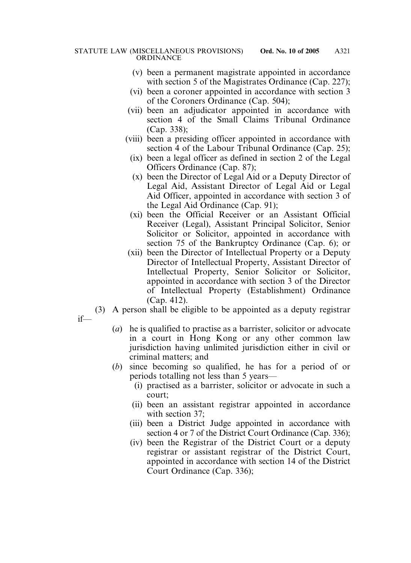- (v) been a permanent magistrate appointed in accordance with section 5 of the Magistrates Ordinance (Cap. 227);
- (vi) been a coroner appointed in accordance with section 3 of the Coroners Ordinance (Cap. 504);
- (vii) been an adjudicator appointed in accordance with section 4 of the Small Claims Tribunal Ordinance (Cap. 338);
- (viii) been a presiding officer appointed in accordance with section 4 of the Labour Tribunal Ordinance (Cap. 25);
	- (ix) been a legal officer as defined in section 2 of the Legal Officers Ordinance (Cap. 87);
	- (x) been the Director of Legal Aid or a Deputy Director of Legal Aid, Assistant Director of Legal Aid or Legal Aid Officer, appointed in accordance with section 3 of the Legal Aid Ordinance (Cap. 91);
	- (xi) been the Official Receiver or an Assistant Official Receiver (Legal), Assistant Principal Solicitor, Senior Solicitor or Solicitor, appointed in accordance with section 75 of the Bankruptcy Ordinance (Cap. 6); or
- (xii) been the Director of Intellectual Property or a Deputy Director of Intellectual Property, Assistant Director of Intellectual Property, Senior Solicitor or Solicitor, appointed in accordance with section 3 of the Director of Intellectual Property (Establishment) Ordinance (Cap. 412).
- (3) A person shall be eligible to be appointed as a deputy registrar

if—

- (*a*) he is qualified to practise as a barrister, solicitor or advocate in a court in Hong Kong or any other common law jurisdiction having unlimited jurisdiction either in civil or criminal matters; and
- (*b*) since becoming so qualified, he has for a period of or periods totalling not less than 5 years—
	- (i) practised as a barrister, solicitor or advocate in such a court;
	- (ii) been an assistant registrar appointed in accordance with section 37;
	- (iii) been a District Judge appointed in accordance with section 4 or 7 of the District Court Ordinance (Cap. 336);
	- (iv) been the Registrar of the District Court or a deputy registrar or assistant registrar of the District Court, appointed in accordance with section 14 of the District Court Ordinance (Cap. 336);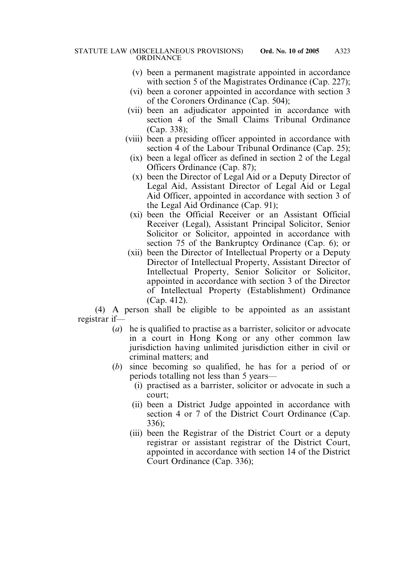- (v) been a permanent magistrate appointed in accordance with section 5 of the Magistrates Ordinance (Cap. 227);
- (vi) been a coroner appointed in accordance with section 3 of the Coroners Ordinance (Cap. 504);
- (vii) been an adjudicator appointed in accordance with section 4 of the Small Claims Tribunal Ordinance (Cap. 338);
- (viii) been a presiding officer appointed in accordance with section 4 of the Labour Tribunal Ordinance (Cap. 25);
	- (ix) been a legal officer as defined in section 2 of the Legal Officers Ordinance (Cap. 87);
	- (x) been the Director of Legal Aid or a Deputy Director of Legal Aid, Assistant Director of Legal Aid or Legal Aid Officer, appointed in accordance with section 3 of the Legal Aid Ordinance (Cap. 91);
	- (xi) been the Official Receiver or an Assistant Official Receiver (Legal), Assistant Principal Solicitor, Senior Solicitor or Solicitor, appointed in accordance with section 75 of the Bankruptcy Ordinance (Cap. 6); or
- (xii) been the Director of Intellectual Property or a Deputy Director of Intellectual Property, Assistant Director of Intellectual Property, Senior Solicitor or Solicitor, appointed in accordance with section 3 of the Director of Intellectual Property (Establishment) Ordinance (Cap. 412).

(4) A person shall be eligible to be appointed as an assistant registrar if—

- (*a*) he is qualified to practise as a barrister, solicitor or advocate in a court in Hong Kong or any other common law jurisdiction having unlimited jurisdiction either in civil or criminal matters; and
- (*b*) since becoming so qualified, he has for a period of or periods totalling not less than 5 years—
	- (i) practised as a barrister, solicitor or advocate in such a court;
	- (ii) been a District Judge appointed in accordance with section 4 or 7 of the District Court Ordinance (Cap. 336);
	- (iii) been the Registrar of the District Court or a deputy registrar or assistant registrar of the District Court, appointed in accordance with section 14 of the District Court Ordinance (Cap. 336);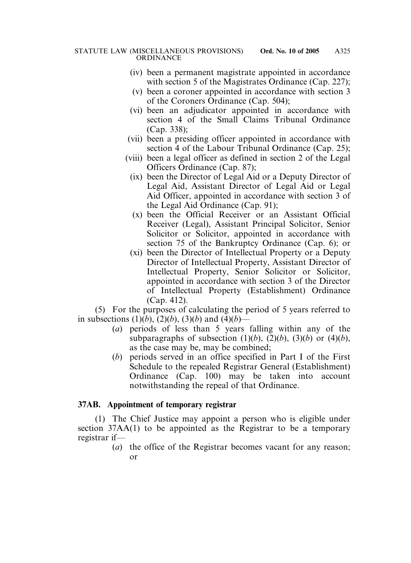- (iv) been a permanent magistrate appointed in accordance with section 5 of the Magistrates Ordinance (Cap. 227);
- (v) been a coroner appointed in accordance with section 3 of the Coroners Ordinance (Cap. 504);
- (vi) been an adjudicator appointed in accordance with section 4 of the Small Claims Tribunal Ordinance (Cap. 338);
- (vii) been a presiding officer appointed in accordance with section 4 of the Labour Tribunal Ordinance (Cap. 25);
- (viii) been a legal officer as defined in section 2 of the Legal Officers Ordinance (Cap. 87);
	- (ix) been the Director of Legal Aid or a Deputy Director of Legal Aid, Assistant Director of Legal Aid or Legal Aid Officer, appointed in accordance with section 3 of the Legal Aid Ordinance (Cap. 91);
	- (x) been the Official Receiver or an Assistant Official Receiver (Legal), Assistant Principal Solicitor, Senior Solicitor or Solicitor, appointed in accordance with section 75 of the Bankruptcy Ordinance (Cap. 6); or
	- (xi) been the Director of Intellectual Property or a Deputy Director of Intellectual Property, Assistant Director of Intellectual Property, Senior Solicitor or Solicitor, appointed in accordance with section 3 of the Director of Intellectual Property (Establishment) Ordinance (Cap. 412).

(5) For the purposes of calculating the period of 5 years referred to in subsections  $(1)(b)$ ,  $(2)(b)$ ,  $(3)(b)$  and  $(4)(b)$ —

- (*a*) periods of less than 5 years falling within any of the subparagraphs of subsection  $(1)(b)$ ,  $(2)(b)$ ,  $(3)(b)$  or  $(4)(b)$ , as the case may be, may be combined;
- (*b*) periods served in an office specified in Part I of the First Schedule to the repealed Registrar General (Establishment) Ordinance (Cap. 100) may be taken into account notwithstanding the repeal of that Ordinance.

## **37AB. Appointment of temporary registrar**

(1) The Chief Justice may appoint a person who is eligible under section 37AA(1) to be appointed as the Registrar to be a temporary registrar if—

(*a*) the office of the Registrar becomes vacant for any reason; or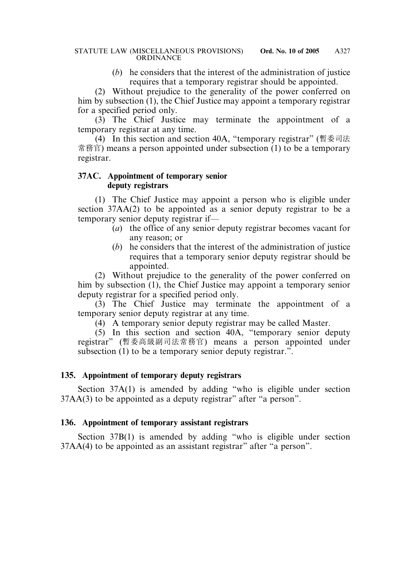(*b*) he considers that the interest of the administration of justice requires that a temporary registrar should be appointed.

(2) Without prejudice to the generality of the power conferred on him by subsection (1), the Chief Justice may appoint a temporary registrar for a specified period only.

(3) The Chief Justice may terminate the appointment of a temporary registrar at any time.

(4) In this section and section 40A, "temporary registrar" (暫委司法 常務官) means a person appointed under subsection (1) to be a temporary registrar.

## **37AC. Appointment of temporary senior deputy registrars**

(1) The Chief Justice may appoint a person who is eligible under section 37AA(2) to be appointed as a senior deputy registrar to be a temporary senior deputy registrar if—

- (*a*) the office of any senior deputy registrar becomes vacant for any reason; or
- (*b*) he considers that the interest of the administration of justice requires that a temporary senior deputy registrar should be appointed.

(2) Without prejudice to the generality of the power conferred on him by subsection (1), the Chief Justice may appoint a temporary senior deputy registrar for a specified period only.

(3) The Chief Justice may terminate the appointment of a temporary senior deputy registrar at any time.

(4) A temporary senior deputy registrar may be called Master.

 $(5)$  In this section and section 40A, "temporary senior deputy registrar" (暫委高級副司法常務官) means a person appointed under subsection (1) to be a temporary senior deputy registrar.".

# **135. Appointment of temporary deputy registrars**

Section 37A(1) is amended by adding "who is eligible under section 37AA(3) to be appointed as a deputy registrar" after "a person".

# **136. Appointment of temporary assistant registrars**

Section 37B(1) is amended by adding "who is eligible under section 37AA(4) to be appointed as an assistant registrar" after "a person".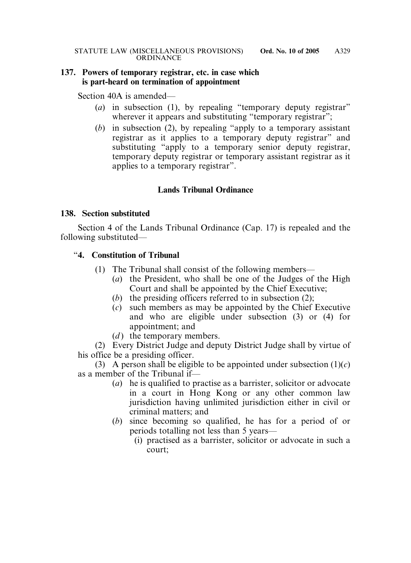### **137. Powers of temporary registrar, etc. in case which is part-heard on termination of appointment**

Section 40A is amended—

- (*a*) in subsection (1), by repealing "temporary deputy registrar" wherever it appears and substituting "temporary registrar";
- (*b*) in subsection (2), by repealing "apply to a temporary assistant registrar as it applies to a temporary deputy registrar" and substituting "apply to a temporary senior deputy registrar, temporary deputy registrar or temporary assistant registrar as it applies to a temporary registrar".

# **Lands Tribunal Ordinance**

### **138. Section substituted**

Section 4 of the Lands Tribunal Ordinance (Cap. 17) is repealed and the following substituted—

## "**4. Constitution of Tribunal**

- (1) The Tribunal shall consist of the following members—
	- (*a*) the President, who shall be one of the Judges of the High Court and shall be appointed by the Chief Executive;
	- (*b*) the presiding officers referred to in subsection (2);
	- (*c*) such members as may be appointed by the Chief Executive and who are eligible under subsection (3) or (4) for appointment; and
	- $(d)$  the temporary members.

(2) Every District Judge and deputy District Judge shall by virtue of his office be a presiding officer.

(3) A person shall be eligible to be appointed under subsection  $(1)(c)$ as a member of the Tribunal if—

- (*a*) he is qualified to practise as a barrister, solicitor or advocate in a court in Hong Kong or any other common law jurisdiction having unlimited jurisdiction either in civil or criminal matters; and
- (*b*) since becoming so qualified, he has for a period of or periods totalling not less than 5 years—
	- (i) practised as a barrister, solicitor or advocate in such a court;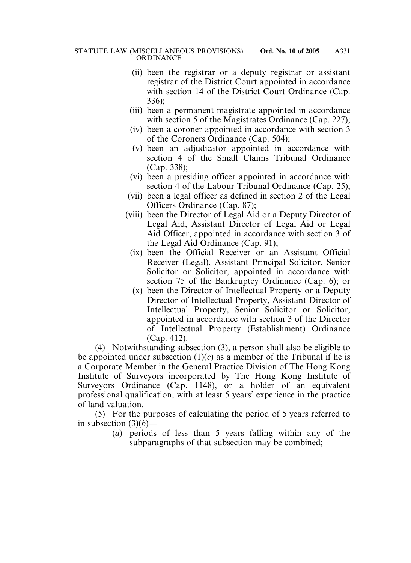- (ii) been the registrar or a deputy registrar or assistant registrar of the District Court appointed in accordance with section 14 of the District Court Ordinance (Cap. 336);
- (iii) been a permanent magistrate appointed in accordance with section 5 of the Magistrates Ordinance (Cap. 227);
- (iv) been a coroner appointed in accordance with section 3 of the Coroners Ordinance (Cap. 504);
- (v) been an adjudicator appointed in accordance with section 4 of the Small Claims Tribunal Ordinance (Cap. 338);
- (vi) been a presiding officer appointed in accordance with section 4 of the Labour Tribunal Ordinance (Cap. 25);
- (vii) been a legal officer as defined in section 2 of the Legal Officers Ordinance (Cap. 87);
- (viii) been the Director of Legal Aid or a Deputy Director of Legal Aid, Assistant Director of Legal Aid or Legal Aid Officer, appointed in accordance with section 3 of the Legal Aid Ordinance (Cap. 91);
	- (ix) been the Official Receiver or an Assistant Official Receiver (Legal), Assistant Principal Solicitor, Senior Solicitor or Solicitor, appointed in accordance with section 75 of the Bankruptcy Ordinance (Cap. 6); or
	- (x) been the Director of Intellectual Property or a Deputy Director of Intellectual Property, Assistant Director of Intellectual Property, Senior Solicitor or Solicitor, appointed in accordance with section 3 of the Director of Intellectual Property (Establishment) Ordinance (Cap. 412).

(4) Notwithstanding subsection (3), a person shall also be eligible to be appointed under subsection  $(1)(c)$  as a member of the Tribunal if he is a Corporate Member in the General Practice Division of The Hong Kong Institute of Surveyors incorporated by The Hong Kong Institute of Surveyors Ordinance (Cap. 1148), or a holder of an equivalent professional qualification, with at least 5 years' experience in the practice of land valuation.

(5) For the purposes of calculating the period of 5 years referred to in subsection  $(3)(b)$ —

> (*a*) periods of less than 5 years falling within any of the subparagraphs of that subsection may be combined;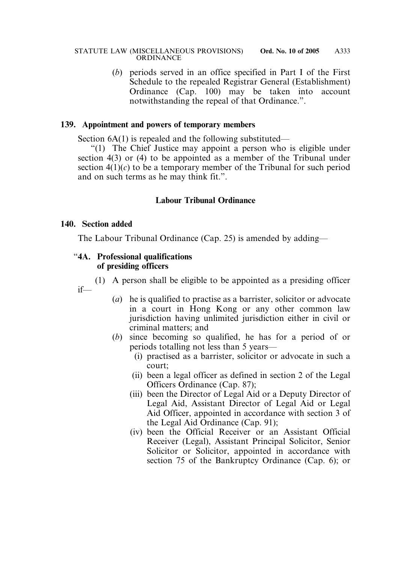(*b*) periods served in an office specified in Part I of the First Schedule to the repealed Registrar General (Establishment) Ordinance (Cap. 100) may be taken into account notwithstanding the repeal of that Ordinance.".

## **139. Appointment and powers of temporary members**

Section 6A(1) is repealed and the following substituted—

"(1) The Chief Justice may appoint a person who is eligible under section 4(3) or (4) to be appointed as a member of the Tribunal under section  $4(1)(c)$  to be a temporary member of the Tribunal for such period and on such terms as he may think fit.".

## **Labour Tribunal Ordinance**

#### **140. Section added**

if—

The Labour Tribunal Ordinance (Cap. 25) is amended by adding—

#### "**4A. Professional qualifications of presiding officers**

(1) A person shall be eligible to be appointed as a presiding officer

- (*a*) he is qualified to practise as a barrister, solicitor or advocate in a court in Hong Kong or any other common law jurisdiction having unlimited jurisdiction either in civil or criminal matters; and
	- (*b*) since becoming so qualified, he has for a period of or periods totalling not less than 5 years—
		- (i) practised as a barrister, solicitor or advocate in such a court;
		- (ii) been a legal officer as defined in section 2 of the Legal Officers Ordinance (Cap. 87);
		- (iii) been the Director of Legal Aid or a Deputy Director of Legal Aid, Assistant Director of Legal Aid or Legal Aid Officer, appointed in accordance with section 3 of the Legal Aid Ordinance (Cap. 91);
		- (iv) been the Official Receiver or an Assistant Official Receiver (Legal), Assistant Principal Solicitor, Senior Solicitor or Solicitor, appointed in accordance with section 75 of the Bankruptcy Ordinance (Cap. 6); or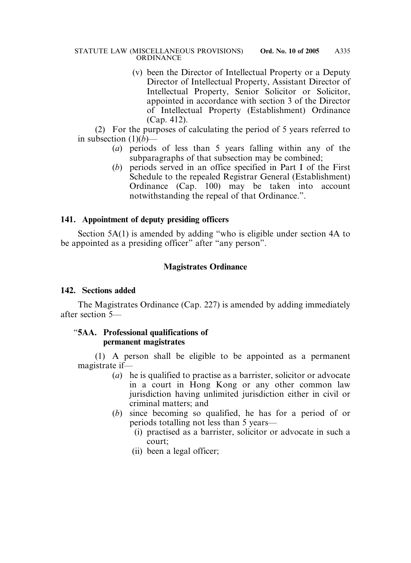(v) been the Director of Intellectual Property or a Deputy Director of Intellectual Property, Assistant Director of Intellectual Property, Senior Solicitor or Solicitor, appointed in accordance with section 3 of the Director of Intellectual Property (Establishment) Ordinance (Cap. 412).

(2) For the purposes of calculating the period of 5 years referred to in subsection  $(1)(b)$ —

- (*a*) periods of less than 5 years falling within any of the subparagraphs of that subsection may be combined;
- (*b*) periods served in an office specified in Part I of the First Schedule to the repealed Registrar General (Establishment) Ordinance (Cap. 100) may be taken into account notwithstanding the repeal of that Ordinance.".

## **141. Appointment of deputy presiding officers**

Section 5A(1) is amended by adding "who is eligible under section 4A to be appointed as a presiding officer" after "any person".

# **Magistrates Ordinance**

## **142. Sections added**

The Magistrates Ordinance (Cap. 227) is amended by adding immediately after section 5—

## "**5AA. Professional qualifications of permanent magistrates**

(1) A person shall be eligible to be appointed as a permanent magistrate if—

- (*a*) he is qualified to practise as a barrister, solicitor or advocate in a court in Hong Kong or any other common law jurisdiction having unlimited jurisdiction either in civil or criminal matters; and
- (*b*) since becoming so qualified, he has for a period of or periods totalling not less than 5 years—
	- (i) practised as a barrister, solicitor or advocate in such a court;
	- (ii) been a legal officer;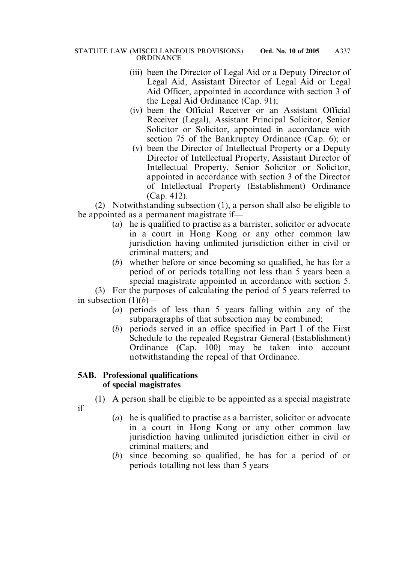- (iii) been the Director of Legal Aid or a Deputy Director of Legal Aid, Assistant Director of Legal Aid or Legal Aid Officer, appointed in accordance with section 3 of the Legal Aid Ordinance (Cap. 91);
- (iv) been the Official Receiver or an Assistant Official Receiver (Legal), Assistant Principal Solicitor, Senior Solicitor or Solicitor, appointed in accordance with section 75 of the Bankruptcy Ordinance (Cap. 6); or
- (v) been the Director of Intellectual Property or a Deputy Director of Intellectual Property, Assistant Director of Intellectual Property, Senior Solicitor or Solicitor, appointed in accordance with section 3 of the Director of Intellectual Property (Establishment) Ordinance (Cap. 412).

(2) Notwithstanding subsection (1), a person shall also be eligible to be appointed as a permanent magistrate if—

- (*a*) he is qualified to practise as a barrister, solicitor or advocate in a court in Hong Kong or any other common law jurisdiction having unlimited jurisdiction either in civil or criminal matters; and
- (*b*) whether before or since becoming so qualified, he has for a period of or periods totalling not less than 5 years been a special magistrate appointed in accordance with section 5.

(3) For the purposes of calculating the period of 5 years referred to in subsection  $(1)(b)$ —

- (*a*) periods of less than 5 years falling within any of the subparagraphs of that subsection may be combined;
- (*b*) periods served in an office specified in Part I of the First Schedule to the repealed Registrar General (Establishment) Ordinance (Cap. 100) may be taken into account notwithstanding the repeal of that Ordinance.

## **5AB. Professional qualifications of special magistrates**

(1) A person shall be eligible to be appointed as a special magistrate if—

- (*a*) he is qualified to practise as a barrister, solicitor or advocate in a court in Hong Kong or any other common law jurisdiction having unlimited jurisdiction either in civil or criminal matters; and
- (*b*) since becoming so qualified, he has for a period of or periods totalling not less than 5 years—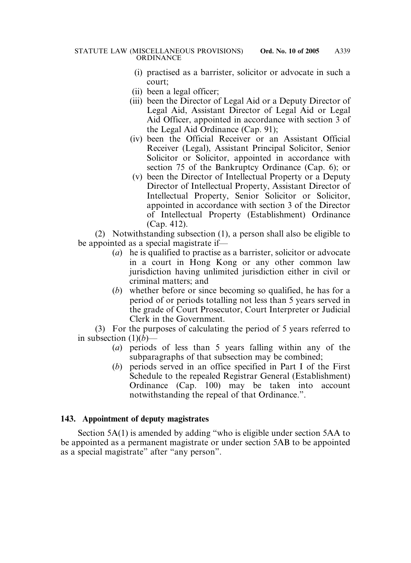- (i) practised as a barrister, solicitor or advocate in such a court;
- (ii) been a legal officer;
- (iii) been the Director of Legal Aid or a Deputy Director of Legal Aid, Assistant Director of Legal Aid or Legal Aid Officer, appointed in accordance with section 3 of the Legal Aid Ordinance (Cap. 91);
- (iv) been the Official Receiver or an Assistant Official Receiver (Legal), Assistant Principal Solicitor, Senior Solicitor or Solicitor, appointed in accordance with section 75 of the Bankruptcy Ordinance (Cap. 6); or
- (v) been the Director of Intellectual Property or a Deputy Director of Intellectual Property, Assistant Director of Intellectual Property, Senior Solicitor or Solicitor, appointed in accordance with section 3 of the Director of Intellectual Property (Establishment) Ordinance (Cap. 412).

(2) Notwithstanding subsection (1), a person shall also be eligible to be appointed as a special magistrate if—

- (*a*) he is qualified to practise as a barrister, solicitor or advocate in a court in Hong Kong or any other common law jurisdiction having unlimited jurisdiction either in civil or criminal matters; and
- (*b*) whether before or since becoming so qualified, he has for a period of or periods totalling not less than 5 years served in the grade of Court Prosecutor, Court Interpreter or Judicial Clerk in the Government.

(3) For the purposes of calculating the period of 5 years referred to in subsection  $(1)(b)$ —

- (*a*) periods of less than 5 years falling within any of the subparagraphs of that subsection may be combined;
- (*b*) periods served in an office specified in Part I of the First Schedule to the repealed Registrar General (Establishment) Ordinance (Cap. 100) may be taken into account notwithstanding the repeal of that Ordinance.".

## **143. Appointment of deputy magistrates**

Section 5A(1) is amended by adding "who is eligible under section 5AA to be appointed as a permanent magistrate or under section 5AB to be appointed as a special magistrate" after "any person".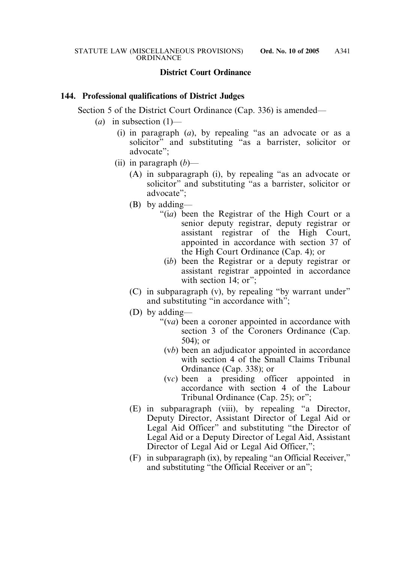# **District Court Ordinance**

#### **144. Professional qualifications of District Judges**

Section 5 of the District Court Ordinance (Cap. 336) is amended—

- (*a*) in subsection (1)—
	- (i) in paragraph (*a*), by repealing "as an advocate or as a solicitor" and substituting "as a barrister, solicitor or advocate";
	- (ii) in paragraph (*b*)—
		- (A) in subparagraph (i), by repealing "as an advocate or solicitor" and substituting "as a barrister, solicitor or advocate";
		- (B) by adding—
			- "(i*a*) been the Registrar of the High Court or a senior deputy registrar, deputy registrar or assistant registrar of the High Court, appointed in accordance with section 37 of the High Court Ordinance (Cap. 4); or
				- (i*b*) been the Registrar or a deputy registrar or assistant registrar appointed in accordance with section 14; or":
		- (C) in subparagraph (v), by repealing "by warrant under" and substituting "in accordance with";
		- (D) by adding—
			- "(v*a*) been a coroner appointed in accordance with section 3 of the Coroners Ordinance (Cap. 504); or
				- (v*b*) been an adjudicator appointed in accordance with section 4 of the Small Claims Tribunal Ordinance (Cap. 338); or
				- (v*c*) been a presiding officer appointed in accordance with section 4 of the Labour Tribunal Ordinance (Cap. 25); or";
		- (E) in subparagraph (viii), by repealing "a Director, Deputy Director, Assistant Director of Legal Aid or Legal Aid Officer" and substituting "the Director of Legal Aid or a Deputy Director of Legal Aid, Assistant Director of Legal Aid or Legal Aid Officer,";
		- (F) in subparagraph (ix), by repealing "an Official Receiver," and substituting "the Official Receiver or an";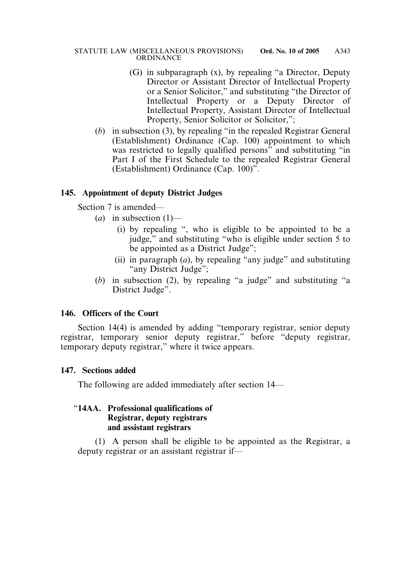- (G) in subparagraph (x), by repealing "a Director, Deputy Director or Assistant Director of Intellectual Property or a Senior Solicitor," and substituting "the Director of Intellectual Property or a Deputy Director of Intellectual Property, Assistant Director of Intellectual Property, Senior Solicitor or Solicitor,";
- (*b*) in subsection (3), by repealing "in the repealed Registrar General (Establishment) Ordinance (Cap. 100) appointment to which was restricted to legally qualified persons" and substituting "in Part I of the First Schedule to the repealed Registrar General (Establishment) Ordinance (Cap. 100)".

## **145. Appointment of deputy District Judges**

Section 7 is amended—

- $(a)$  in subsection  $(1)$ 
	- (i) by repealing ", who is eligible to be appointed to be a judge," and substituting "who is eligible under section 5 to be appointed as a District Judge";
	- (ii) in paragraph (*a*), by repealing "any judge" and substituting "any District Judge";
- (*b*) in subsection (2), by repealing "a judge" and substituting "a District Judge".

# **146. Officers of the Court**

Section 14(4) is amended by adding "temporary registrar, senior deputy registrar, temporary senior deputy registrar," before "deputy registrar, temporary deputy registrar," where it twice appears.

## **147. Sections added**

The following are added immediately after section 14—

### "**14AA. Professional qualifications of Registrar, deputy registrars and assistant registrars**

(1) A person shall be eligible to be appointed as the Registrar, a deputy registrar or an assistant registrar if—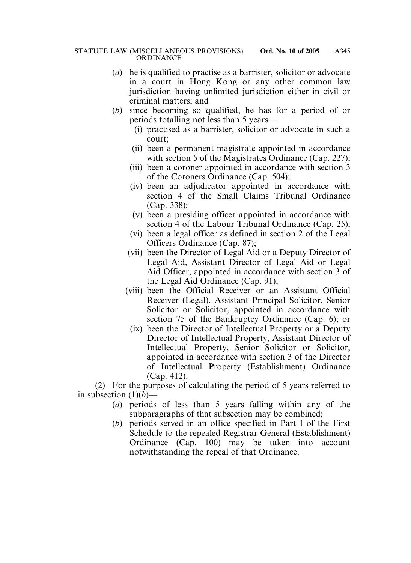- (*a*) he is qualified to practise as a barrister, solicitor or advocate in a court in Hong Kong or any other common law jurisdiction having unlimited jurisdiction either in civil or criminal matters; and
- (*b*) since becoming so qualified, he has for a period of or periods totalling not less than 5 years—
	- (i) practised as a barrister, solicitor or advocate in such a court;
	- (ii) been a permanent magistrate appointed in accordance with section 5 of the Magistrates Ordinance (Cap. 227);
	- (iii) been a coroner appointed in accordance with section 3 of the Coroners Ordinance (Cap. 504);
	- (iv) been an adjudicator appointed in accordance with section 4 of the Small Claims Tribunal Ordinance (Cap. 338);
	- (v) been a presiding officer appointed in accordance with section 4 of the Labour Tribunal Ordinance (Cap. 25);
	- (vi) been a legal officer as defined in section 2 of the Legal Officers Ordinance (Cap. 87);
	- (vii) been the Director of Legal Aid or a Deputy Director of Legal Aid, Assistant Director of Legal Aid or Legal Aid Officer, appointed in accordance with section 3 of the Legal Aid Ordinance (Cap. 91);
	- (viii) been the Official Receiver or an Assistant Official Receiver (Legal), Assistant Principal Solicitor, Senior Solicitor or Solicitor, appointed in accordance with section 75 of the Bankruptcy Ordinance (Cap. 6); or
		- (ix) been the Director of Intellectual Property or a Deputy Director of Intellectual Property, Assistant Director of Intellectual Property, Senior Solicitor or Solicitor, appointed in accordance with section 3 of the Director of Intellectual Property (Establishment) Ordinance (Cap. 412).

(2) For the purposes of calculating the period of 5 years referred to in subsection  $(1)(b)$ —

- (*a*) periods of less than 5 years falling within any of the subparagraphs of that subsection may be combined;
- (*b*) periods served in an office specified in Part I of the First Schedule to the repealed Registrar General (Establishment) Ordinance (Cap. 100) may be taken into account notwithstanding the repeal of that Ordinance.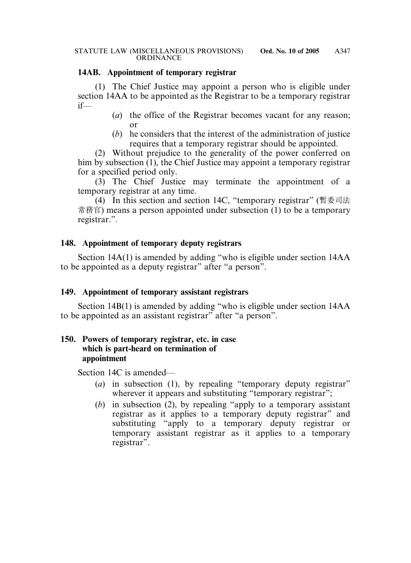## **14AB. Appointment of temporary registrar**

(1) The Chief Justice may appoint a person who is eligible under section 14AA to be appointed as the Registrar to be a temporary registrar if—

- (*a*) the office of the Registrar becomes vacant for any reason; or
- (*b*) he considers that the interest of the administration of justice requires that a temporary registrar should be appointed.

(2) Without prejudice to the generality of the power conferred on him by subsection (1), the Chief Justice may appoint a temporary registrar for a specified period only.

(3) The Chief Justice may terminate the appointment of a temporary registrar at any time.

(4) In this section and section 14C, "temporary registrar" (暫委司法 常務官) means a person appointed under subsection (1) to be a temporary registrar.".

## **148. Appointment of temporary deputy registrars**

Section 14A(1) is amended by adding "who is eligible under section 14AA to be appointed as a deputy registrar" after "a person".

#### **149. Appointment of temporary assistant registrars**

Section 14B(1) is amended by adding "who is eligible under section 14AA to be appointed as an assistant registrar" after "a person".

## **150. Powers of temporary registrar, etc. in case which is part-heard on termination of appointment**

Section 14C is amended—

- (*a*) in subsection (1), by repealing "temporary deputy registrar" wherever it appears and substituting "temporary registrar";
- (*b*) in subsection (2), by repealing "apply to a temporary assistant registrar as it applies to a temporary deputy registrar" and substituting "apply to a temporary deputy registrar or temporary assistant registrar as it applies to a temporary registrar".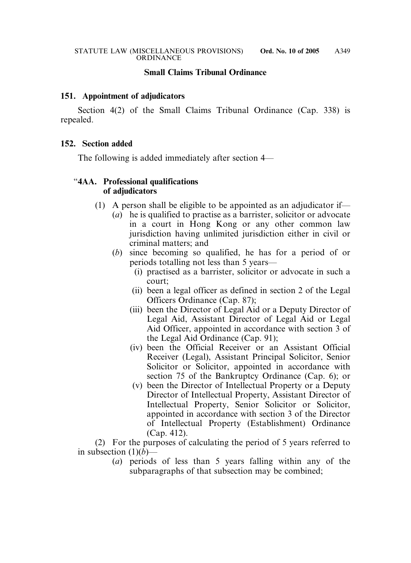#### **Small Claims Tribunal Ordinance**

#### **151. Appointment of adjudicators**

Section 4(2) of the Small Claims Tribunal Ordinance (Cap. 338) is repealed.

#### **152. Section added**

The following is added immediately after section 4—

### "**4AA. Professional qualifications of adjudicators**

- (1) A person shall be eligible to be appointed as an adjudicator if—
	- (*a*) he is qualified to practise as a barrister, solicitor or advocate in a court in Hong Kong or any other common law jurisdiction having unlimited jurisdiction either in civil or criminal matters; and
	- (*b*) since becoming so qualified, he has for a period of or periods totalling not less than 5 years—
		- (i) practised as a barrister, solicitor or advocate in such a court;
		- (ii) been a legal officer as defined in section 2 of the Legal Officers Ordinance (Cap. 87);
		- (iii) been the Director of Legal Aid or a Deputy Director of Legal Aid, Assistant Director of Legal Aid or Legal Aid Officer, appointed in accordance with section 3 of the Legal Aid Ordinance (Cap. 91);
		- (iv) been the Official Receiver or an Assistant Official Receiver (Legal), Assistant Principal Solicitor, Senior Solicitor or Solicitor, appointed in accordance with section 75 of the Bankruptcy Ordinance (Cap. 6); or
		- (v) been the Director of Intellectual Property or a Deputy Director of Intellectual Property, Assistant Director of Intellectual Property, Senior Solicitor or Solicitor, appointed in accordance with section 3 of the Director of Intellectual Property (Establishment) Ordinance (Cap. 412).

(2) For the purposes of calculating the period of 5 years referred to in subsection  $(1)(b)$ —

(*a*) periods of less than 5 years falling within any of the subparagraphs of that subsection may be combined;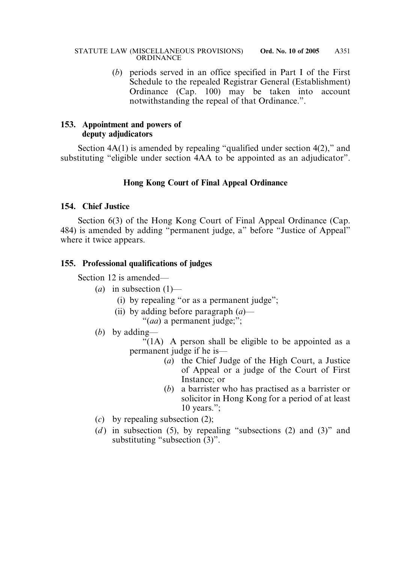(*b*) periods served in an office specified in Part I of the First Schedule to the repealed Registrar General (Establishment) Ordinance (Cap. 100) may be taken into account notwithstanding the repeal of that Ordinance.".

## **153. Appointment and powers of deputy adjudicators**

Section  $4A(1)$  is amended by repealing "qualified under section  $4(2)$ ," and substituting "eligible under section 4AA to be appointed as an adjudicator".

# **Hong Kong Court of Final Appeal Ordinance**

### **154. Chief Justice**

Section 6(3) of the Hong Kong Court of Final Appeal Ordinance (Cap. 484) is amended by adding "permanent judge, a" before "Justice of Appeal" where it twice appears.

## **155. Professional qualifications of judges**

Section 12 is amended—

- $(a)$  in subsection  $(1)$ 
	- (i) by repealing "or as a permanent judge";
	- (ii) by adding before paragraph (*a*)— "(*aa*) a permanent judge;";
- (*b*) by adding—

 $\cdot$  (1A) A person shall be eligible to be appointed as a permanent judge if he is—

- (*a*) the Chief Judge of the High Court, a Justice of Appeal or a judge of the Court of First Instance; or
- (*b*) a barrister who has practised as a barrister or solicitor in Hong Kong for a period of at least 10 years.";
- (*c*) by repealing subsection (2);
- (*d*) in subsection (5), by repealing "subsections (2) and (3)" and substituting "subsection (3)".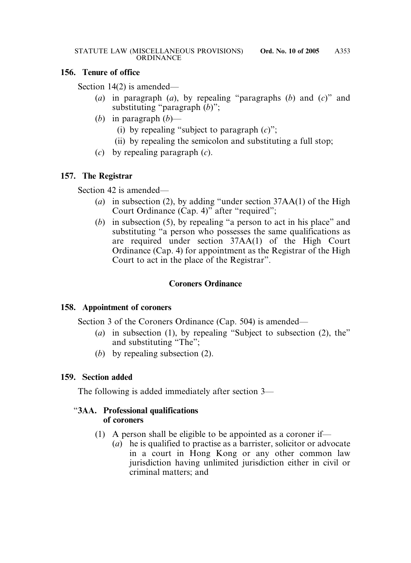#### **156. Tenure of office**

Section 14(2) is amended—

- (*a*) in paragraph (*a*), by repealing "paragraphs (*b*) and (*c*)" and substituting "paragraph (*b*)";
- (*b*) in paragraph (*b*)—
	- (i) by repealing "subject to paragraph (*c*)";
	- (ii) by repealing the semicolon and substituting a full stop;
- (*c*) by repealing paragraph (*c*).

## **157. The Registrar**

Section 42 is amended—

- (*a*) in subsection (2), by adding "under section 37AA(1) of the High Court Ordinance (Cap. 4)" after "required";
- (*b*) in subsection (5), by repealing "a person to act in his place" and substituting "a person who possesses the same qualifications as are required under section 37AA(1) of the High Court Ordinance (Cap. 4) for appointment as the Registrar of the High Court to act in the place of the Registrar".

## **Coroners Ordinance**

## **158. Appointment of coroners**

Section 3 of the Coroners Ordinance (Cap. 504) is amended—

- (*a*) in subsection (1), by repealing "Subject to subsection (2), the" and substituting "The";
- (*b*) by repealing subsection (2).

## **159. Section added**

The following is added immediately after section 3—

## "**3AA. Professional qualifications of coroners**

- (1) A person shall be eligible to be appointed as a coroner if—
	- (*a*) he is qualified to practise as a barrister, solicitor or advocate in a court in Hong Kong or any other common law jurisdiction having unlimited jurisdiction either in civil or criminal matters; and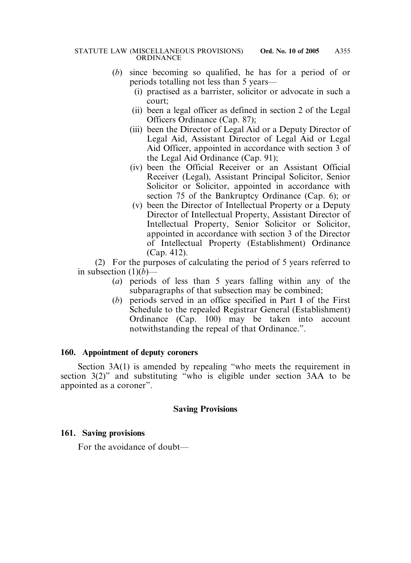- (*b*) since becoming so qualified, he has for a period of or periods totalling not less than 5 years—
	- (i) practised as a barrister, solicitor or advocate in such a court;
	- (ii) been a legal officer as defined in section 2 of the Legal Officers Ordinance (Cap. 87);
	- (iii) been the Director of Legal Aid or a Deputy Director of Legal Aid, Assistant Director of Legal Aid or Legal Aid Officer, appointed in accordance with section 3 of the Legal Aid Ordinance (Cap. 91);
	- (iv) been the Official Receiver or an Assistant Official Receiver (Legal), Assistant Principal Solicitor, Senior Solicitor or Solicitor, appointed in accordance with section 75 of the Bankruptcy Ordinance (Cap. 6); or
	- (v) been the Director of Intellectual Property or a Deputy Director of Intellectual Property, Assistant Director of Intellectual Property, Senior Solicitor or Solicitor, appointed in accordance with section 3 of the Director of Intellectual Property (Establishment) Ordinance (Cap. 412).

(2) For the purposes of calculating the period of 5 years referred to in subsection  $(1)(b)$ —

- (*a*) periods of less than 5 years falling within any of the subparagraphs of that subsection may be combined;
- (*b*) periods served in an office specified in Part I of the First Schedule to the repealed Registrar General (Establishment) Ordinance (Cap. 100) may be taken into account notwithstanding the repeal of that Ordinance.".

## **160. Appointment of deputy coroners**

Section 3A(1) is amended by repealing "who meets the requirement in section 3(2)" and substituting "who is eligible under section 3AA to be appointed as a coroner".

#### **Saving Provisions**

## **161. Saving provisions**

For the avoidance of doubt—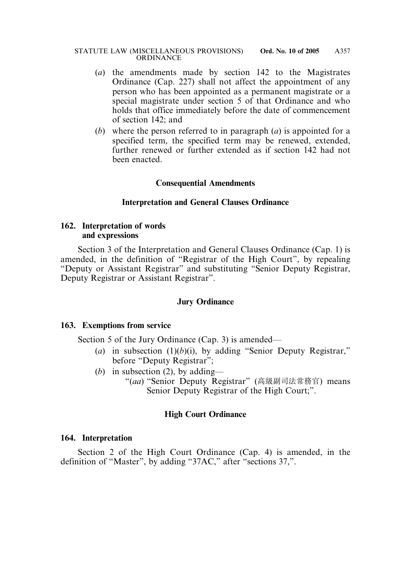- (*a*) the amendments made by section 142 to the Magistrates Ordinance (Cap. 227) shall not affect the appointment of any person who has been appointed as a permanent magistrate or a special magistrate under section 5 of that Ordinance and who holds that office immediately before the date of commencement of section 142; and
- (*b*) where the person referred to in paragraph (*a*) is appointed for a specified term, the specified term may be renewed, extended, further renewed or further extended as if section 142 had not been enacted.

#### **Consequential Amendments**

#### **Interpretation and General Clauses Ordinance**

#### **162. Interpretation of words and expressions**

Section 3 of the Interpretation and General Clauses Ordinance (Cap. 1) is amended, in the definition of "Registrar of the High Court", by repealing "Deputy or Assistant Registrar" and substituting "Senior Deputy Registrar, Deputy Registrar or Assistant Registrar".

#### **Jury Ordinance**

#### **163. Exemptions from service**

Section 5 of the Jury Ordinance (Cap. 3) is amended—

- (*a*) in subsection  $(1)(b)(i)$ , by adding "Senior Deputy Registrar," before "Deputy Registrar";
- (*b*) in subsection (2), by adding—
	- "(*aa*) "Senior Deputy Registrar" (高級副司法常務官) means Senior Deputy Registrar of the High Court;".

#### **High Court Ordinance**

#### **164. Interpretation**

Section 2 of the High Court Ordinance (Cap. 4) is amended, in the definition of "Master", by adding "37AC," after "sections 37,".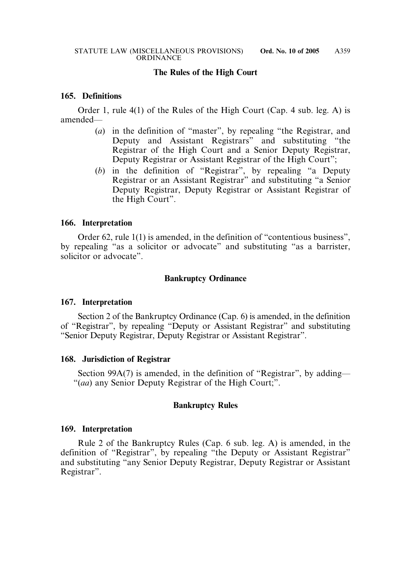#### **The Rules of the High Court**

#### **165. Definitions**

Order 1, rule 4(1) of the Rules of the High Court (Cap. 4 sub. leg. A) is amended—

- (*a*) in the definition of "master", by repealing "the Registrar, and Deputy and Assistant Registrars" and substituting "the Registrar of the High Court and a Senior Deputy Registrar, Deputy Registrar or Assistant Registrar of the High Court";
- (*b*) in the definition of "Registrar", by repealing "a Deputy Registrar or an Assistant Registrar" and substituting "a Senior Deputy Registrar, Deputy Registrar or Assistant Registrar of the High Court".

#### **166. Interpretation**

Order 62, rule 1(1) is amended, in the definition of "contentious business", by repealing "as a solicitor or advocate" and substituting "as a barrister, solicitor or advocate".

#### **Bankruptcy Ordinance**

#### **167. Interpretation**

Section 2 of the Bankruptcy Ordinance (Cap. 6) is amended, in the definition of "Registrar", by repealing "Deputy or Assistant Registrar" and substituting "Senior Deputy Registrar, Deputy Registrar or Assistant Registrar".

#### **168. Jurisdiction of Registrar**

Section 99A(7) is amended, in the definition of "Registrar", by adding— "(*aa*) any Senior Deputy Registrar of the High Court;".

#### **Bankruptcy Rules**

#### **169. Interpretation**

Rule 2 of the Bankruptcy Rules (Cap. 6 sub. leg. A) is amended, in the definition of "Registrar", by repealing "the Deputy or Assistant Registrar" and substituting "any Senior Deputy Registrar, Deputy Registrar or Assistant Registrar".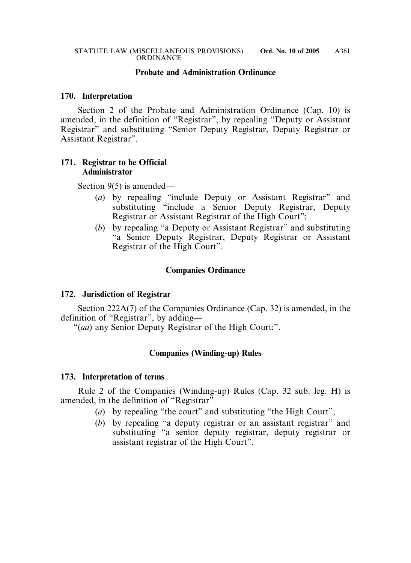### **Probate and Administration Ordinance**

#### **170. Interpretation**

Section 2 of the Probate and Administration Ordinance (Cap. 10) is amended, in the definition of "Registrar", by repealing "Deputy or Assistant Registrar" and substituting "Senior Deputy Registrar, Deputy Registrar or Assistant Registrar".

## **171. Registrar to be Official Administrator**

Section 9(5) is amended—

- (*a*) by repealing "include Deputy or Assistant Registrar" and substituting "include a Senior Deputy Registrar, Deputy Registrar or Assistant Registrar of the High Court";
- (*b*) by repealing "a Deputy or Assistant Registrar" and substituting "a Senior Deputy Registrar, Deputy Registrar or Assistant Registrar of the High Court".

### **Companies Ordinance**

#### **172. Jurisdiction of Registrar**

Section 222A(7) of the Companies Ordinance (Cap. 32) is amended, in the definition of "Registrar", by adding—

"(*aa*) any Senior Deputy Registrar of the High Court;".

#### **Companies (Winding-up) Rules**

#### **173. Interpretation of terms**

Rule 2 of the Companies (Winding-up) Rules (Cap. 32 sub. leg. H) is amended, in the definition of "Registrar"—

- (*a*) by repealing "the court" and substituting "the High Court";
- (*b*) by repealing "a deputy registrar or an assistant registrar" and substituting "a senior deputy registrar, deputy registrar or assistant registrar of the High Court".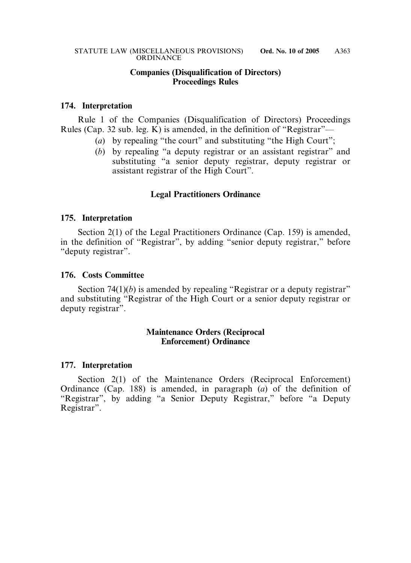#### **Companies (Disqualification of Directors) Proceedings Rules**

#### **174. Interpretation**

Rule 1 of the Companies (Disqualification of Directors) Proceedings Rules (Cap. 32 sub. leg. K) is amended, in the definition of "Registrar"—

- (*a*) by repealing "the court" and substituting "the High Court";
- (*b*) by repealing "a deputy registrar or an assistant registrar" and substituting "a senior deputy registrar, deputy registrar or assistant registrar of the High Court".

### **Legal Practitioners Ordinance**

#### **175. Interpretation**

Section 2(1) of the Legal Practitioners Ordinance (Cap. 159) is amended, in the definition of "Registrar", by adding "senior deputy registrar," before "deputy registrar".

#### **176. Costs Committee**

Section 74(1)(*b*) is amended by repealing "Registrar or a deputy registrar" and substituting "Registrar of the High Court or a senior deputy registrar or deputy registrar".

#### **Maintenance Orders (Reciprocal Enforcement) Ordinance**

#### **177. Interpretation**

Section 2(1) of the Maintenance Orders (Reciprocal Enforcement) Ordinance (Cap. 188) is amended, in paragraph (*a*) of the definition of "Registrar", by adding "a Senior Deputy Registrar," before "a Deputy Registrar".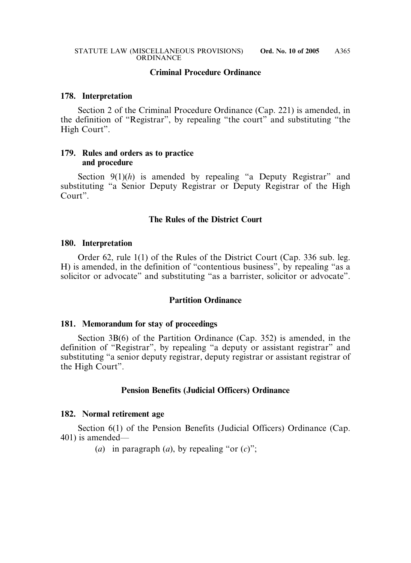#### **Criminal Procedure Ordinance**

#### **178. Interpretation**

Section 2 of the Criminal Procedure Ordinance (Cap. 221) is amended, in the definition of "Registrar", by repealing "the court" and substituting "the High Court".

#### **179. Rules and orders as to practice and procedure**

Section 9(1)(h) is amended by repealing "a Deputy Registrar" and substituting "a Senior Deputy Registrar or Deputy Registrar of the High Court".

### **The Rules of the District Court**

#### **180. Interpretation**

Order 62, rule 1(1) of the Rules of the District Court (Cap. 336 sub. leg. H) is amended, in the definition of "contentious business", by repealing "as a solicitor or advocate" and substituting "as a barrister, solicitor or advocate".

#### **Partition Ordinance**

#### **181. Memorandum for stay of proceedings**

Section 3B(6) of the Partition Ordinance (Cap. 352) is amended, in the definition of "Registrar", by repealing "a deputy or assistant registrar" and substituting "a senior deputy registrar, deputy registrar or assistant registrar of the High Court".

#### **Pension Benefits (Judicial Officers) Ordinance**

#### **182. Normal retirement age**

Section 6(1) of the Pension Benefits (Judicial Officers) Ordinance (Cap. 401) is amended—

(*a*) in paragraph (*a*), by repealing "or  $(c)$ ";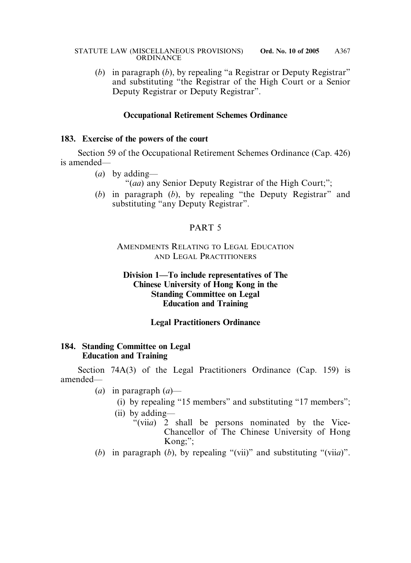(*b*) in paragraph (*b*), by repealing "a Registrar or Deputy Registrar" and substituting "the Registrar of the High Court or a Senior Deputy Registrar or Deputy Registrar".

## **Occupational Retirement Schemes Ordinance**

### **183. Exercise of the powers of the court**

Section 59 of the Occupational Retirement Schemes Ordinance (Cap. 426) is amended—

- (*a*) by adding—
	- "(*aa*) any Senior Deputy Registrar of the High Court;";
- (*b*) in paragraph (*b*), by repealing "the Deputy Registrar" and substituting "any Deputy Registrar".

# PART 5

## AMENDMENTS RELATING TO LEGAL EDUCATION AND LEGAL PRACTITIONERS

## **Division 1—To include representatives of The Chinese University of Hong Kong in the Standing Committee on Legal Education and Training**

## **Legal Practitioners Ordinance**

## **184. Standing Committee on Legal Education and Training**

Section 74A(3) of the Legal Practitioners Ordinance (Cap. 159) is amended—

- (*a*) in paragraph (*a*)—
	- (i) by repealing "15 members" and substituting "17 members";
	- (ii) by adding—
		- "(vii*a*) 2 shall be persons nominated by the Vice-Chancellor of The Chinese University of Hong Kong;";
- (*b*) in paragraph (*b*), by repealing "(vii)" and substituting "(vii*a*)".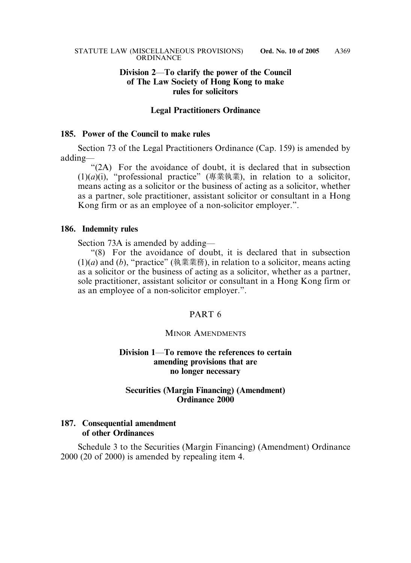## **Division 2**—**To clarify the power of the Council of The Law Society of Hong Kong to make rules for solicitors**

### **Legal Practitioners Ordinance**

### **185. Power of the Council to make rules**

Section 73 of the Legal Practitioners Ordinance (Cap. 159) is amended by adding—

"(2A) For the avoidance of doubt, it is declared that in subsection (1)(*a*)(i), "professional practice" (專業執業), in relation to a solicitor, means acting as a solicitor or the business of acting as a solicitor, whether as a partner, sole practitioner, assistant solicitor or consultant in a Hong Kong firm or as an employee of a non-solicitor employer.".

#### **186. Indemnity rules**

Section 73A is amended by adding—

"(8) For the avoidance of doubt, it is declared that in subsection (1)(*a*) and (*b*), "practice" (執業業務), in relation to a solicitor, means acting as a solicitor or the business of acting as a solicitor, whether as a partner, sole practitioner, assistant solicitor or consultant in a Hong Kong firm or as an employee of a non-solicitor employer.".

## PART 6

#### MINOR AMENDMENTS

## **Division 1**—**To remove the references to certain amending provisions that are no longer necessary**

## **Securities (Margin Financing) (Amendment) Ordinance 2000**

## **187. Consequential amendment of other Ordinances**

Schedule 3 to the Securities (Margin Financing) (Amendment) Ordinance 2000 (20 of 2000) is amended by repealing item 4.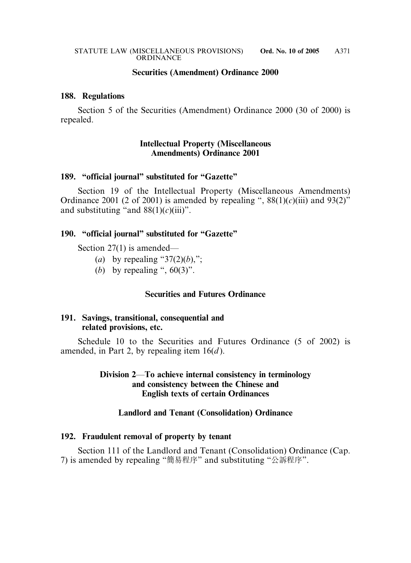### **Securities (Amendment) Ordinance 2000**

### **188. Regulations**

Section 5 of the Securities (Amendment) Ordinance 2000 (30 of 2000) is repealed.

## **Intellectual Property (Miscellaneous Amendments) Ordinance 2001**

#### **189. "official journal" substituted for "Gazette"**

Section 19 of the Intellectual Property (Miscellaneous Amendments) Ordinance 2001 (2 of 2001) is amended by repealing ",  $88(1)(c)$ (iii) and  $93(2)$ " and substituting "and  $88(1)(c)(iii)$ ".

### **190. "official journal" substituted for "Gazette"**

Section 27(1) is amended—

- (*a*) by repealing " $37(2)(b)$ ,";
- (*b*) by repealing ",  $60(3)$ ".

#### **Securities and Futures Ordinance**

## **191. Savings, transitional, consequential and related provisions, etc.**

Schedule 10 to the Securities and Futures Ordinance (5 of 2002) is amended, in Part 2, by repealing item 16(*d* ).

## **Division 2**—**To achieve internal consistency in terminology and consistency between the Chinese and English texts of certain Ordinances**

## **Landlord and Tenant (Consolidation) Ordinance**

## **192. Fraudulent removal of property by tenant**

Section 111 of the Landlord and Tenant (Consolidation) Ordinance (Cap. 7) is amended by repealing "簡易程序" and substituting "公訴程序".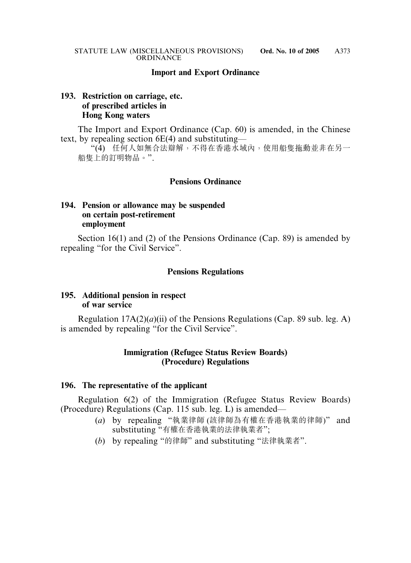### **Import and Export Ordinance**

## **193. Restriction on carriage, etc. of prescribed articles in Hong Kong waters**

The Import and Export Ordinance (Cap. 60) is amended, in the Chinese text, by repealing section 6E(4) and substituting—

"(4) 任何人如無合法辯解,不得在香港水域內,使用船隻拖動並非在另一 船隻上的訂明物品。".

### **Pensions Ordinance**

## **194. Pension or allowance may be suspended on certain post-retirement employment**

Section 16(1) and (2) of the Pensions Ordinance (Cap. 89) is amended by repealing "for the Civil Service".

#### **Pensions Regulations**

## **195. Additional pension in respect of war service**

Regulation 17A(2)(*a*)(ii) of the Pensions Regulations (Cap. 89 sub. leg. A) is amended by repealing "for the Civil Service".

### **Immigration (Refugee Status Review Boards) (Procedure) Regulations**

#### **196. The representative of the applicant**

Regulation 6(2) of the Immigration (Refugee Status Review Boards) (Procedure) Regulations (Cap. 115 sub. leg. L) is amended—

- (*a*) by repealing "執業律師 (該律師為有權在香港執業的律師)" and substituting "有權在香港執業的法律執業者";
- (*b*) by repealing "的律師" and substituting "法律執業者".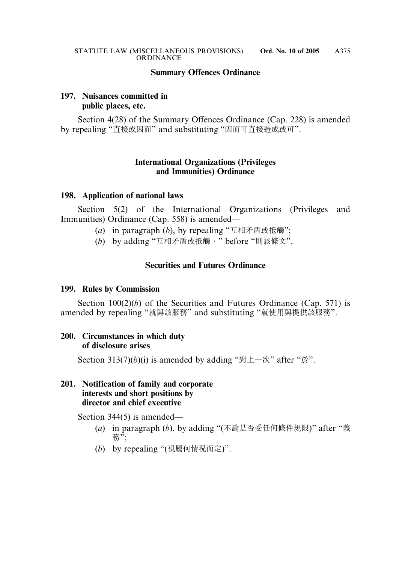## **Summary Offences Ordinance**

# **197. Nuisances committed in public places, etc.**

Section 4(28) of the Summary Offences Ordinance (Cap. 228) is amended by repealing "直接或因而" and substituting "因而可直接造成或可".

## **International Organizations (Privileges and Immunities) Ordinance**

## **198. Application of national laws**

Section 5(2) of the International Organizations (Privileges and Immunities) Ordinance (Cap. 558) is amended—

- (*a*) in paragraph (*b*), by repealing "互相矛盾或抵觸";
- (*b*) by adding "互相矛盾或抵觸," before "則該條文".

# **Securities and Futures Ordinance**

## **199. Rules by Commission**

Section 100(2)(*b*) of the Securities and Futures Ordinance (Cap. 571) is amended by repealing "就與該服務" and substituting "就使用與提供該服務".

## **200. Circumstances in which duty of disclosure arises**

Section 313(7)(*b*)(i) is amended by adding "對上一次" after "於".

## **201. Notification of family and corporate interests and short positions by director and chief executive**

Section 344(5) is amended—

- (*a*) in paragraph (*b*), by adding "(不論是否受任何條件規限)" after "義 務";
- (*b*) by repealing "(視屬何情況而定)".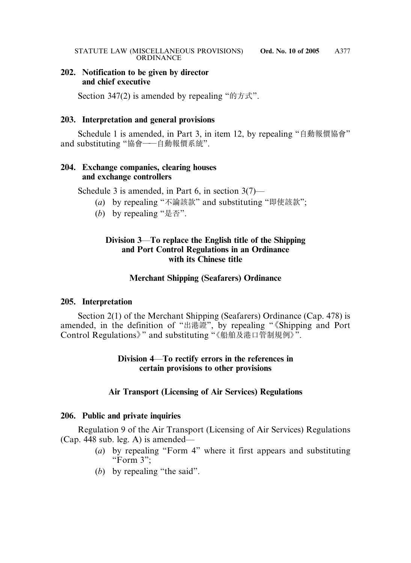## **202. Notification to be given by director and chief executive**

Section 347(2) is amended by repealing "的方式".

## **203. Interpretation and general provisions**

Schedule 1 is amended, in Part 3, in item 12, by repealing "自動報價協會" and substituting "協會——自動報價系統".

## **204. Exchange companies, clearing houses and exchange controllers**

Schedule 3 is amended, in Part 6, in section 3(7)—

- (*a*) by repealing "不論該款" and substituting "即使該款";
- (*b*) by repealing "是否".

# **Division 3**—**To replace the English title of the Shipping and Port Control Regulations in an Ordinance with its Chinese title**

# **Merchant Shipping (Seafarers) Ordinance**

# **205. Interpretation**

Section 2(1) of the Merchant Shipping (Seafarers) Ordinance (Cap. 478) is amended, in the definition of "出港證", by repealing " 《Shipping and Port Control Regulations》" and substituting "《船舶及港口管制規例》".

## **Division 4**—**To rectify errors in the references in certain provisions to other provisions**

# **Air Transport (Licensing of Air Services) Regulations**

# **206. Public and private inquiries**

Regulation 9 of the Air Transport (Licensing of Air Services) Regulations (Cap. 448 sub. leg. A) is amended—

- (*a*) by repealing "Form 4" where it first appears and substituting "Form 3";
- (*b*) by repealing "the said".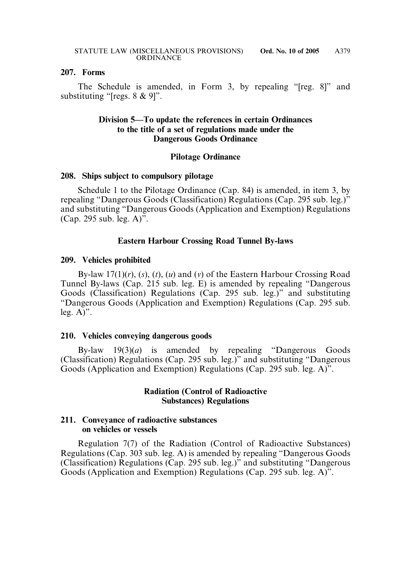#### **207. Forms**

The Schedule is amended, in Form 3, by repealing "[reg. 8]" and substituting "[regs. 8 & 9]".

## **Division 5—To update the references in certain Ordinances to the title of a set of regulations made under the Dangerous Goods Ordinance**

## **Pilotage Ordinance**

#### **208. Ships subject to compulsory pilotage**

Schedule 1 to the Pilotage Ordinance (Cap. 84) is amended, in item 3, by repealing "Dangerous Goods (Classification) Regulations (Cap. 295 sub. leg.)" and substituting "Dangerous Goods (Application and Exemption) Regulations (Cap. 295 sub. leg. A)".

## **Eastern Harbour Crossing Road Tunnel By-laws**

#### **209. Vehicles prohibited**

By-law 17(1)(*r*), (*s*), (*t*), (*u*) and (*v*) of the Eastern Harbour Crossing Road Tunnel By-laws (Cap. 215 sub. leg. E) is amended by repealing "Dangerous Goods (Classification) Regulations (Cap. 295 sub. leg.)" and substituting "Dangerous Goods (Application and Exemption) Regulations (Cap. 295 sub. leg.  $A$ <sup>".</sup>

#### **210. Vehicles conveying dangerous goods**

By-law 19(3)(*a*) is amended by repealing "Dangerous Goods (Classification) Regulations (Cap. 295 sub. leg.)" and substituting "Dangerous Goods (Application and Exemption) Regulations (Cap. 295 sub. leg. A)".

### **Radiation (Control of Radioactive Substances) Regulations**

#### **211. Conveyance of radioactive substances on vehicles or vessels**

Regulation 7(7) of the Radiation (Control of Radioactive Substances) Regulations (Cap. 303 sub. leg. A) is amended by repealing "Dangerous Goods (Classification) Regulations (Cap. 295 sub. leg.)" and substituting "Dangerous Goods (Application and Exemption) Regulations (Cap. 295 sub. leg. A)".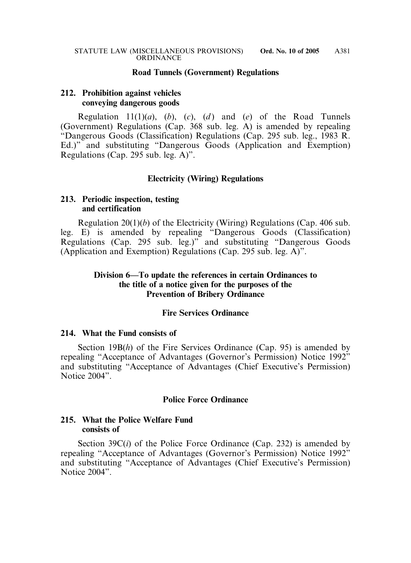#### **Road Tunnels (Government) Regulations**

#### **212. Prohibition against vehicles conveying dangerous goods**

Regulation  $11(1)(a)$ ,  $(b)$ ,  $(c)$ ,  $(d)$  and  $(e)$  of the Road Tunnels (Government) Regulations (Cap. 368 sub. leg. A) is amended by repealing "Dangerous Goods (Classification) Regulations (Cap. 295 sub. leg., 1983 R. Ed.)" and substituting "Dangerous Goods (Application and Exemption) Regulations (Cap. 295 sub. leg. A)".

### **Electricity (Wiring) Regulations**

#### **213. Periodic inspection, testing and certification**

Regulation 20(1)(*b*) of the Electricity (Wiring) Regulations (Cap. 406 sub. leg. E) is amended by repealing "Dangerous Goods (Classification) Regulations (Cap. 295 sub. leg.)" and substituting "Dangerous Goods (Application and Exemption) Regulations (Cap. 295 sub. leg. A)".

## **Division 6—To update the references in certain Ordinances to the title of a notice given for the purposes of the Prevention of Bribery Ordinance**

### **Fire Services Ordinance**

#### **214. What the Fund consists of**

Section 19B(*h*) of the Fire Services Ordinance (Cap. 95) is amended by repealing "Acceptance of Advantages (Governor's Permission) Notice 1992" and substituting "Acceptance of Advantages (Chief Executive's Permission) Notice 2004".

### **Police Force Ordinance**

#### **215. What the Police Welfare Fund consists of**

Section 39C(*i*) of the Police Force Ordinance (Cap. 232) is amended by repealing "Acceptance of Advantages (Governor's Permission) Notice 1992" and substituting "Acceptance of Advantages (Chief Executive's Permission) Notice 2004"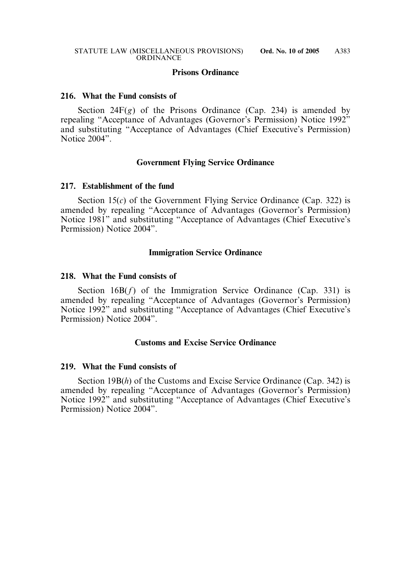#### **Prisons Ordinance**

#### **216. What the Fund consists of**

Section  $24F(g)$  of the Prisons Ordinance (Cap. 234) is amended by repealing "Acceptance of Advantages (Governor's Permission) Notice 1992" and substituting "Acceptance of Advantages (Chief Executive's Permission) Notice 2004".

#### **Government Flying Service Ordinance**

#### **217. Establishment of the fund**

Section 15(*c*) of the Government Flying Service Ordinance (Cap. 322) is amended by repealing "Acceptance of Advantages (Governor's Permission) Notice 1981" and substituting "Acceptance of Advantages (Chief Executive's Permission) Notice 2004".

#### **Immigration Service Ordinance**

#### **218. What the Fund consists of**

Section 16B(f) of the Immigration Service Ordinance (Cap. 331) is amended by repealing "Acceptance of Advantages (Governor's Permission) Notice 1992" and substituting "Acceptance of Advantages (Chief Executive's Permission) Notice 2004".

### **Customs and Excise Service Ordinance**

#### **219. What the Fund consists of**

Section 19B(h) of the Customs and Excise Service Ordinance (Cap. 342) is amended by repealing "Acceptance of Advantages (Governor's Permission) Notice 1992" and substituting "Acceptance of Advantages (Chief Executive's Permission) Notice 2004".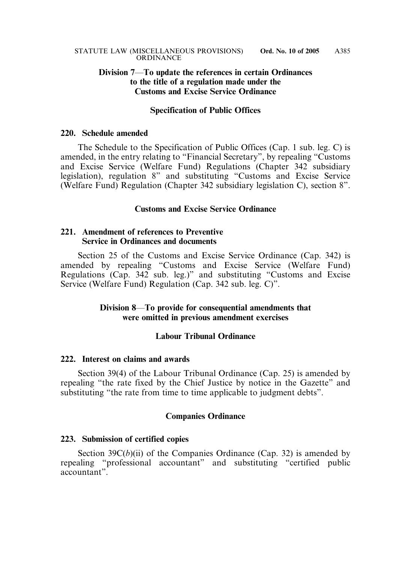## **Division 7**—**To update the references in certain Ordinances to the title of a regulation made under the Customs and Excise Service Ordinance**

#### **Specification of Public Offices**

#### **220. Schedule amended**

The Schedule to the Specification of Public Offices (Cap. 1 sub. leg. C) is amended, in the entry relating to "Financial Secretary", by repealing "Customs and Excise Service (Welfare Fund) Regulations (Chapter 342 subsidiary legislation), regulation 8" and substituting "Customs and Excise Service (Welfare Fund) Regulation (Chapter 342 subsidiary legislation C), section 8".

### **Customs and Excise Service Ordinance**

## **221. Amendment of references to Preventive Service in Ordinances and documents**

Section 25 of the Customs and Excise Service Ordinance (Cap. 342) is amended by repealing "Customs and Excise Service (Welfare Fund) Regulations (Cap. 342 sub. leg.)" and substituting "Customs and Excise Service (Welfare Fund) Regulation (Cap. 342 sub. leg. C)".

### **Division 8**—**To provide for consequential amendments that were omitted in previous amendment exercises**

### **Labour Tribunal Ordinance**

#### **222. Interest on claims and awards**

Section 39(4) of the Labour Tribunal Ordinance (Cap. 25) is amended by repealing "the rate fixed by the Chief Justice by notice in the Gazette" and substituting "the rate from time to time applicable to judgment debts".

#### **Companies Ordinance**

#### **223. Submission of certified copies**

Section  $39C(b)(ii)$  of the Companies Ordinance (Cap. 32) is amended by repealing "professional accountant" and substituting "certified public accountant".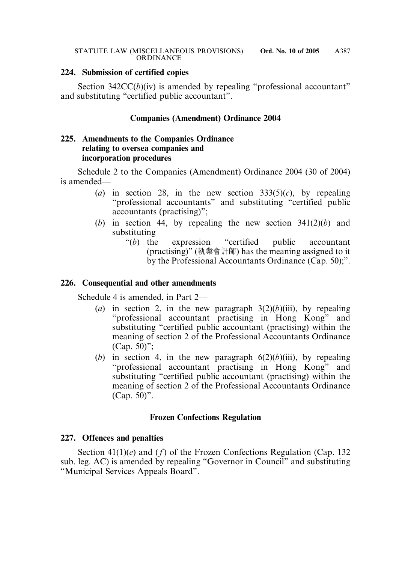## **224. Submission of certified copies**

Section 342CC(*b*)(iv) is amended by repealing "professional accountant" and substituting "certified public accountant".

## **Companies (Amendment) Ordinance 2004**

## **225. Amendments to the Companies Ordinance relating to oversea companies and incorporation procedures**

Schedule 2 to the Companies (Amendment) Ordinance 2004 (30 of 2004) is amended—

- (*a*) in section 28, in the new section  $333(5)(c)$ , by repealing "professional accountants" and substituting "certified public accountants (practising)";
- (*b*) in section 44, by repealing the new section 341(2)(*b*) and substituting—
	- "(*b*) the expression "certified public accountant (practising)" (執業會計師) has the meaning assigned to it by the Professional Accountants Ordinance (Cap. 50);".

## **226. Consequential and other amendments**

Schedule 4 is amended, in Part 2—

- (*a*) in section 2, in the new paragraph  $3(2)(b)(iii)$ , by repealing "professional accountant practising in Hong Kong" and substituting "certified public accountant (practising) within the meaning of section 2 of the Professional Accountants Ordinance (Cap. 50)";
- (*b*) in section 4, in the new paragraph  $6(2)(b)(iii)$ , by repealing "professional accountant practising in Hong Kong" and substituting "certified public accountant (practising) within the meaning of section 2 of the Professional Accountants Ordinance (Cap. 50)".

# **Frozen Confections Regulation**

## **227. Offences and penalties**

Section 41(1)(*e*) and (*f*) of the Frozen Confections Regulation (Cap. 132 sub. leg. AC) is amended by repealing "Governor in Council" and substituting "Municipal Services Appeals Board".